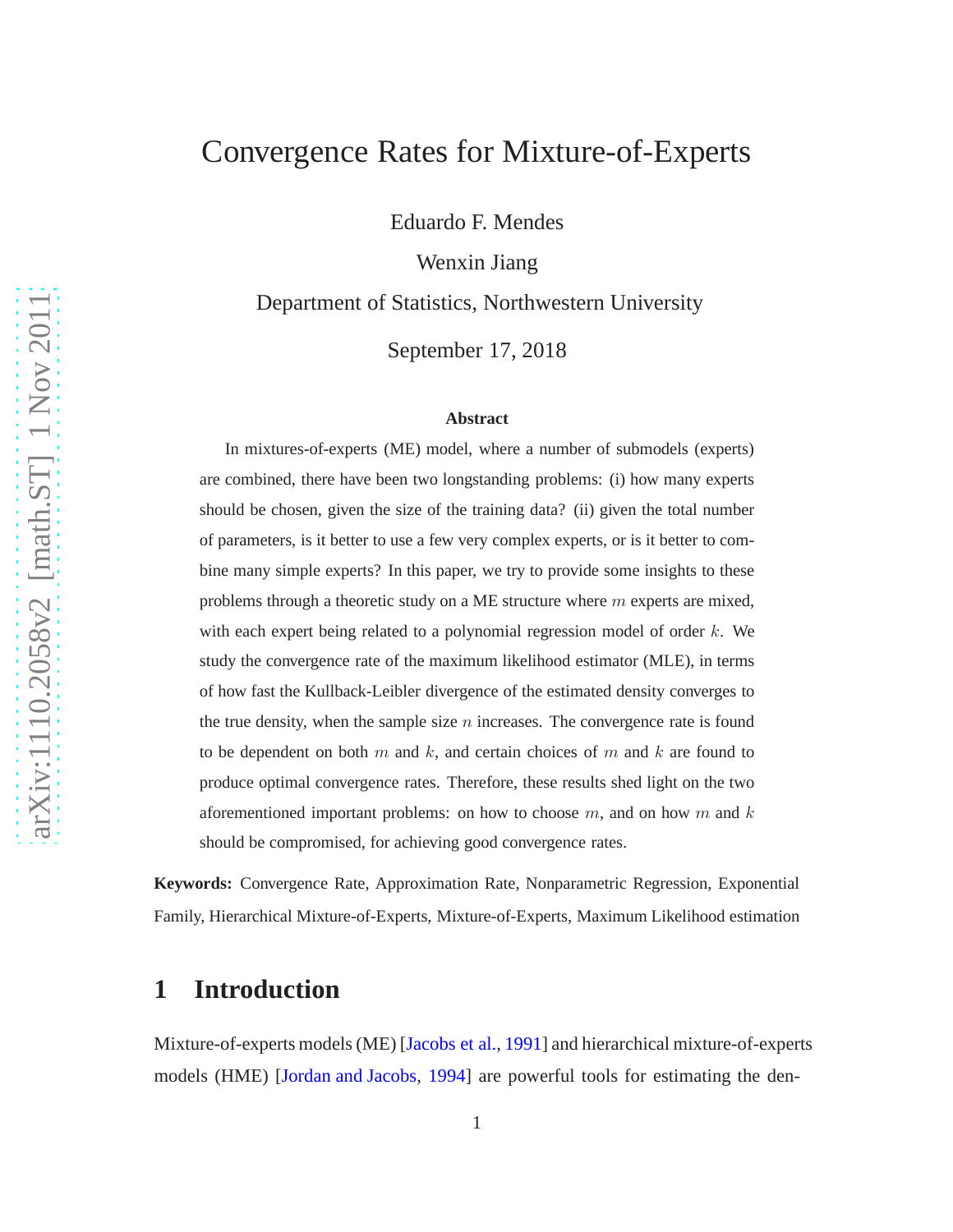# Convergence Rates for Mixture-of-Experts

Eduardo F. Mendes

Wenxin Jiang

Department of Statistics, Northwestern University

September 17, 2018

#### **Abstract**

In mixtures-of-experts (ME) model, where a number of submodels (experts) are combined, there have been two longstanding problems: (i) how many experts should be chosen, given the size of the training data? (ii) given the total number of parameters, is it better to use a few very complex experts, or is it better to combine many simple experts? In this paper, we try to provide some insights to these problems through a theoretic study on a ME structure where  $m$  experts are mixed, with each expert being related to a polynomial regression model of order  $k$ . We study the convergence rate of the maximum likelihood estimator (MLE), in terms of how fast the Kullback-Leibler divergence of the estimated density converges to the true density, when the sample size  $n$  increases. The convergence rate is found to be dependent on both  $m$  and  $k$ , and certain choices of  $m$  and  $k$  are found to produce optimal convergence rates. Therefore, these results shed light on the two aforementioned important problems: on how to choose  $m$ , and on how  $m$  and  $k$ should be compromised, for achieving good convergence rates.

**Keywords:** Convergence Rate, Approximation Rate, Nonparametric Regression, Exponential Family, Hierarchical Mixture-of-Experts, Mixture-of-Experts, Maximum Likelihood estimation

### **1 Introduction**

Mixture-of-experts models (ME) [\[Jacobs et al.](#page-19-0), [1991](#page-19-0)] and hierarchical mixture-of-experts models (HME) [\[Jordan and Jacobs,](#page-19-1) [1994](#page-19-1)] are powerful tools for estimating the den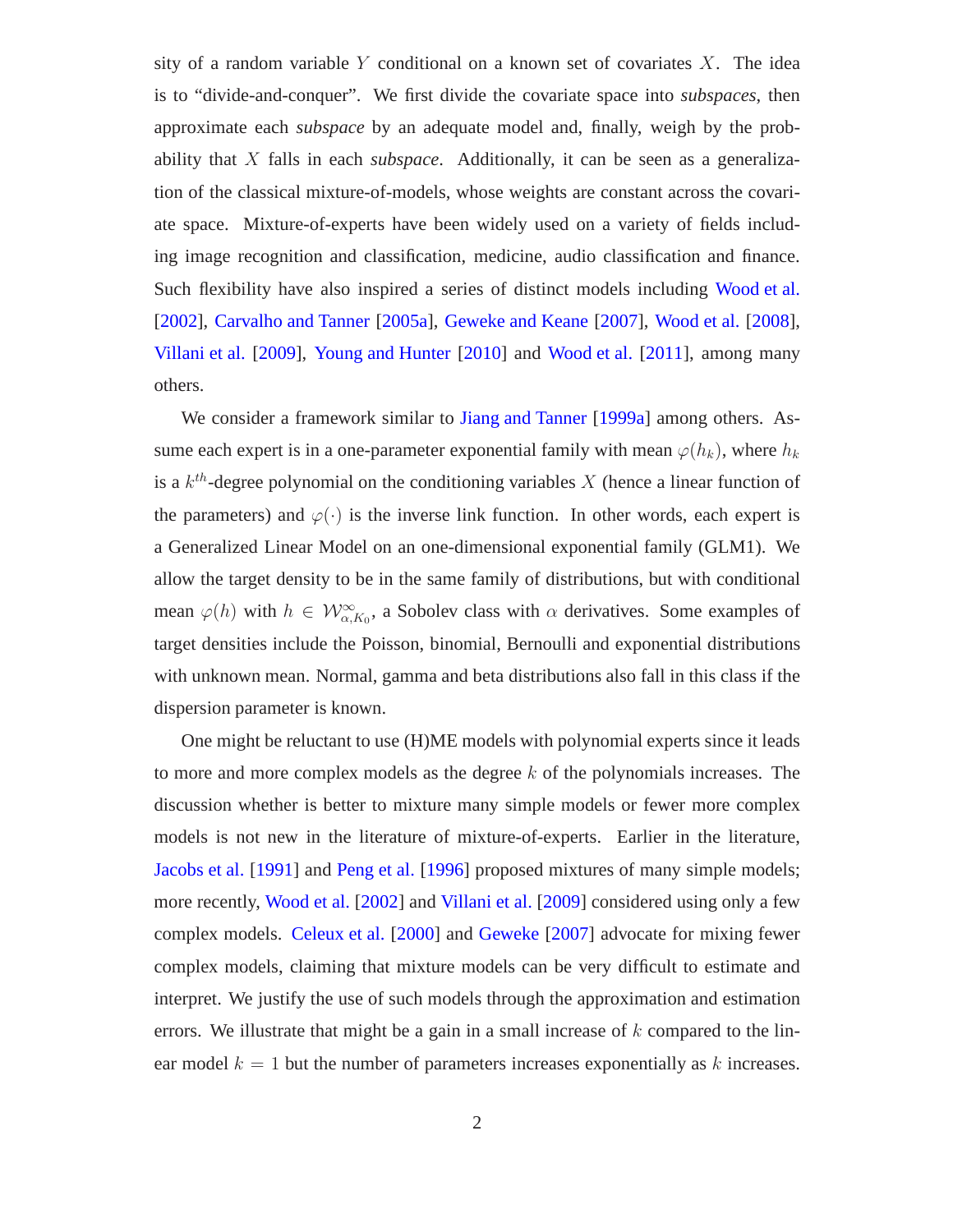sity of a random variable  $Y$  conditional on a known set of covariates  $X$ . The idea is to "divide-and-conquer". We first divide the covariate space into *subspaces*, then approximate each *subspace* by an adequate model and, finally, weigh by the probability that X falls in each *subspace*. Additionally, it can be seen as a generalization of the classical mixture-of-models, whose weights are constant across the covariate space. Mixture-of-experts have been widely used on a variety of fields including image recognition and classification, medicine, audio classification and finance. Such flexibility have also inspired a series of distinct models including [Wood et al.](#page-20-0) [\[2002\]](#page-20-0), [Carvalho and Tanner](#page-18-0) [\[2005a\]](#page-18-0), [Geweke and Keane](#page-19-2) [\[2007\]](#page-19-2), [Wood et al.](#page-20-1) [\[2008](#page-20-1)], [Villani et al.](#page-20-2) [\[2009](#page-20-2)], [Young and Hunter](#page-21-0) [\[2010\]](#page-21-0) and [Wood et al.](#page-20-3) [\[2011](#page-20-3)], among many others.

We consider a framework similar to [Jiang and Tanner](#page-19-3) [\[1999a](#page-19-3)] among others. Assume each expert is in a one-parameter exponential family with mean  $\varphi(h_k)$ , where  $h_k$ is a  $k^{th}$ -degree polynomial on the conditioning variables X (hence a linear function of the parameters) and  $\varphi(\cdot)$  is the inverse link function. In other words, each expert is a Generalized Linear Model on an one-dimensional exponential family (GLM1). We allow the target density to be in the same family of distributions, but with conditional mean  $\varphi(h)$  with  $h \in \mathcal{W}^{\infty}_{\alpha,K_0}$ , a Sobolev class with  $\alpha$  derivatives. Some examples of target densities include the Poisson, binomial, Bernoulli and exponential distributions with unknown mean. Normal, gamma and beta distributions also fall in this class if the dispersion parameter is known.

One might be reluctant to use (H)ME models with polynomial experts since it leads to more and more complex models as the degree  $k$  of the polynomials increases. The discussion whether is better to mixture many simple models or fewer more complex models is not new in the literature of mixture-of-experts. Earlier in the literature, [Jacobs et al.](#page-19-0) [\[1991\]](#page-19-0) and [Peng et al.](#page-20-4) [\[1996\]](#page-20-4) proposed mixtures of many simple models; more recently, [Wood et al.](#page-20-0) [\[2002\]](#page-20-0) and [Villani et al.](#page-20-2) [\[2009](#page-20-2)] considered using only a few complex models. [Celeux et al.](#page-18-1) [\[2000](#page-18-1)] and [Geweke](#page-19-4) [\[2007](#page-19-4)] advocate for mixing fewer complex models, claiming that mixture models can be very difficult to estimate and interpret. We justify the use of such models through the approximation and estimation errors. We illustrate that might be a gain in a small increase of  $k$  compared to the linear model  $k = 1$  but the number of parameters increases exponentially as k increases.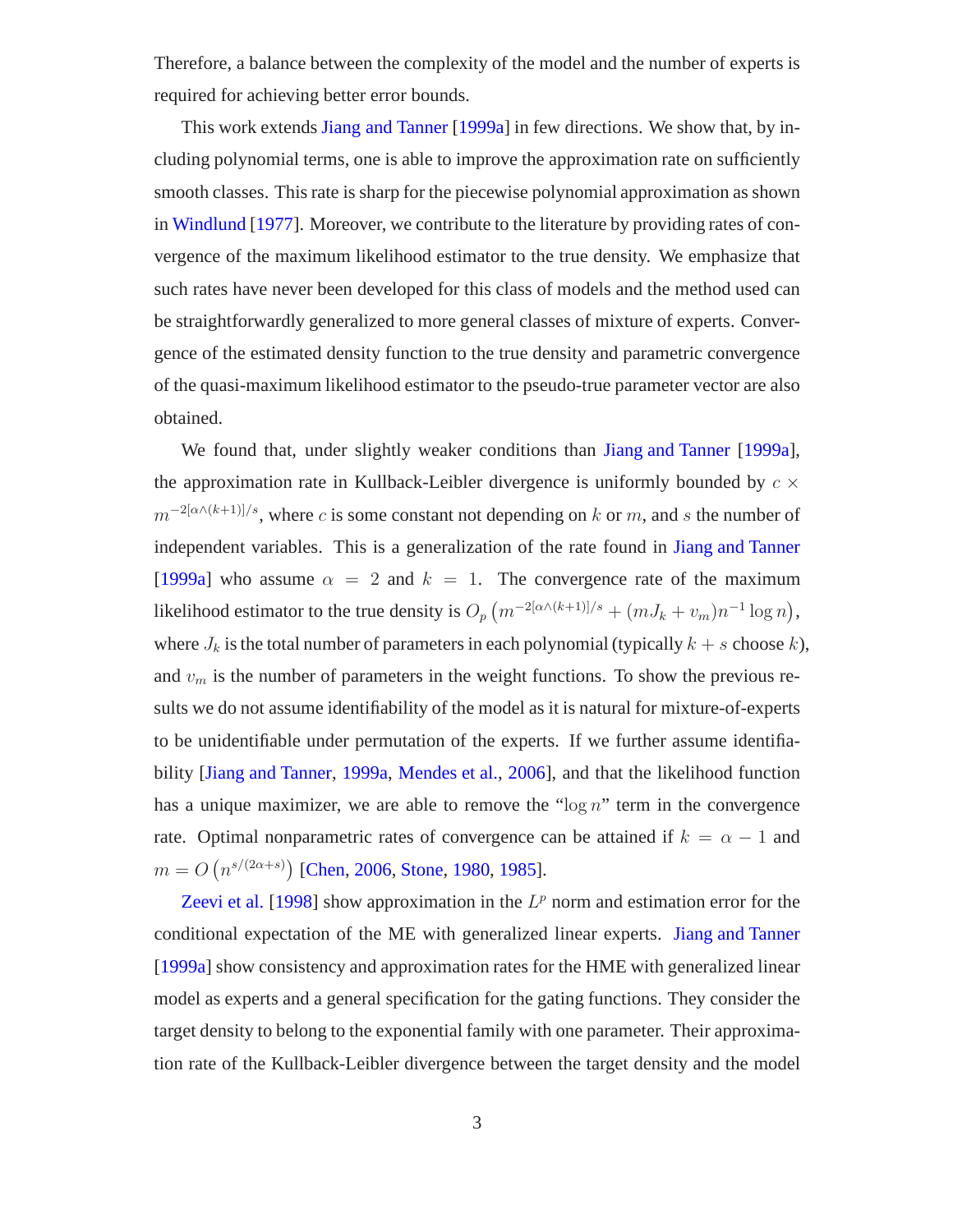Therefore, a balance between the complexity of the model and the number of experts is required for achieving better error bounds.

This work extends [Jiang and Tanner](#page-19-3) [\[1999a](#page-19-3)] in few directions. We show that, by including polynomial terms, one is able to improve the approximation rate on sufficiently smooth classes. This rate is sharp for the piecewise polynomial approximation as shown in [Windlund](#page-20-5) [\[1977\]](#page-20-5). Moreover, we contribute to the literature by providing rates of convergence of the maximum likelihood estimator to the true density. We emphasize that such rates have never been developed for this class of models and the method used can be straightforwardly generalized to more general classes of mixture of experts. Convergence of the estimated density function to the true density and parametric convergence of the quasi-maximum likelihood estimator to the pseudo-true parameter vector are also obtained.

We found that, under slightly weaker conditions than [Jiang and Tanner](#page-19-3) [\[1999a](#page-19-3)], the approximation rate in Kullback-Leibler divergence is uniformly bounded by  $c \times$  $m^{-2[\alpha\wedge (k+1)]/s}$ , where c is some constant not depending on k or m, and s the number of independent variables. This is a generalization of the rate found in [Jiang and Tanner](#page-19-3) [\[1999a](#page-19-3)] who assume  $\alpha = 2$  and  $k = 1$ . The convergence rate of the maximum likelihood estimator to the true density is  $O_p (m^{-2[\alpha\wedge (k+1)]/s} + (mJ_k + v_m)n^{-1} \log n)$ , where  $J_k$  is the total number of parameters in each polynomial (typically  $k + s$  choose k), and  $v_m$  is the number of parameters in the weight functions. To show the previous results we do not assume identifiability of the model as it is natural for mixture-of-experts to be unidentifiable under permutation of the experts. If we further assume identifiability [\[Jiang and Tanner](#page-19-3), [1999a](#page-19-3), [Mendes et al.](#page-19-5), [2006\]](#page-19-5), and that the likelihood function has a unique maximizer, we are able to remove the " $\log n$ " term in the convergence rate. Optimal nonparametric rates of convergence can be attained if  $k = \alpha - 1$  and  $m = O(n^{s/(2\alpha+s)})$  [\[Chen,](#page-18-2) [2006,](#page-18-2) [Stone,](#page-20-6) [1980,](#page-20-6) [1985\]](#page-20-7).

[Zeevi et al.](#page-21-1) [\[1998\]](#page-21-1) show approximation in the  $L^p$  norm and estimation error for the conditional expectation of the ME with generalized linear experts. [Jiang and Tanner](#page-19-3) [\[1999a](#page-19-3)] show consistency and approximation rates for the HME with generalized linear model as experts and a general specification for the gating functions. They consider the target density to belong to the exponential family with one parameter. Their approximation rate of the Kullback-Leibler divergence between the target density and the model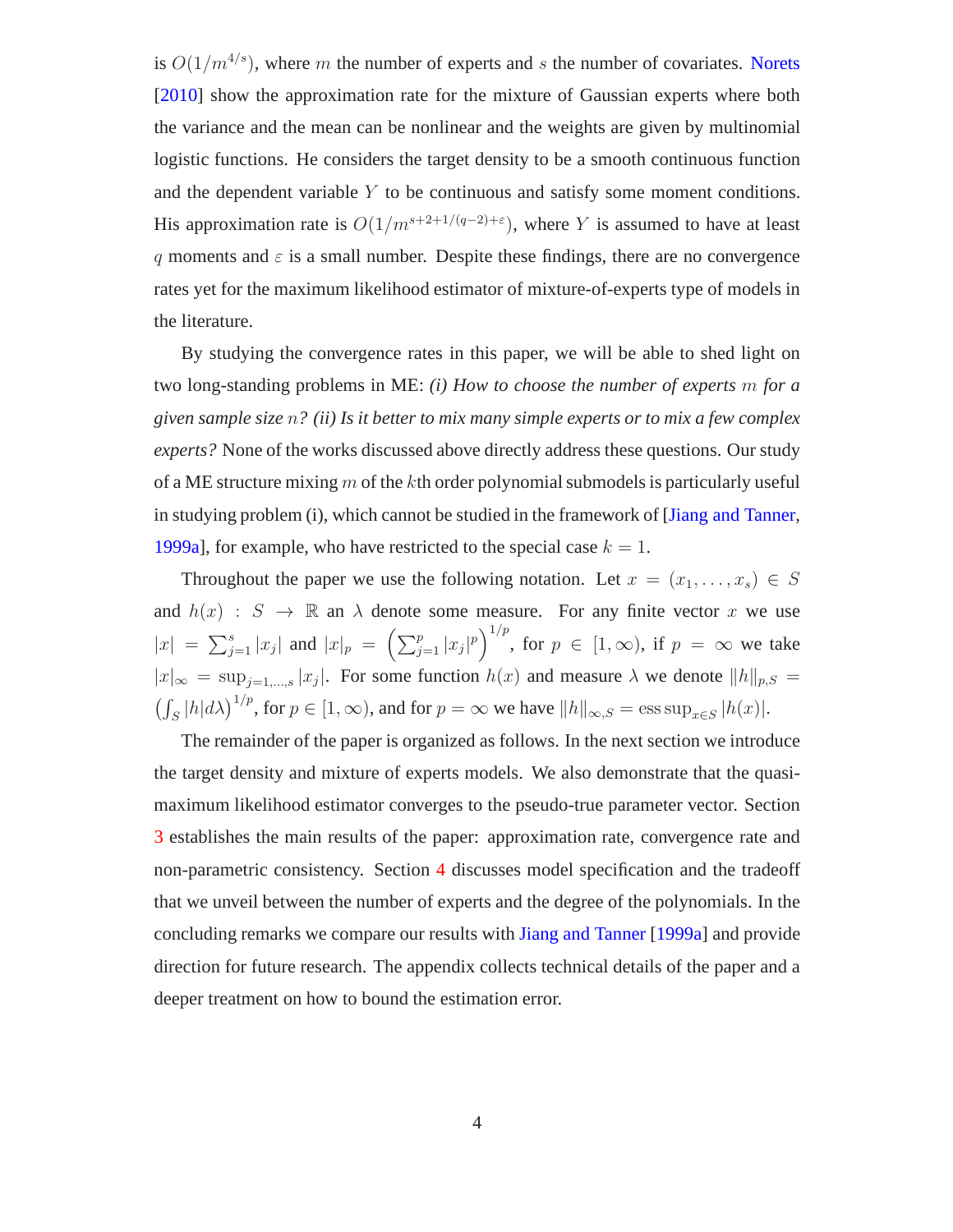is  $O(1/m^{4/s})$ , where m the number of experts and s the number of covariates. [Norets](#page-19-6) [\[2010\]](#page-19-6) show the approximation rate for the mixture of Gaussian experts where both the variance and the mean can be nonlinear and the weights are given by multinomial logistic functions. He considers the target density to be a smooth continuous function and the dependent variable  $Y$  to be continuous and satisfy some moment conditions. His approximation rate is  $O(1/m^{s+2+1/(q-2)+\epsilon})$ , where Y is assumed to have at least q moments and  $\varepsilon$  is a small number. Despite these findings, there are no convergence rates yet for the maximum likelihood estimator of mixture-of-experts type of models in the literature.

By studying the convergence rates in this paper, we will be able to shed light on two long-standing problems in ME: *(i) How to choose the number of experts* m *for a given sample size* n*? (ii) Is it better to mix many simple experts or to mix a few complex experts?* None of the works discussed above directly address these questions. Our study of a ME structure mixing  $m$  of the kth order polynomial submodels is particularly useful in studying problem (i), which cannot be studied in the framework of [\[Jiang and Tanner](#page-19-3), [1999a](#page-19-3)], for example, who have restricted to the special case  $k = 1$ .

Throughout the paper we use the following notation. Let  $x = (x_1, \ldots, x_s) \in S$ and  $h(x) : S \to \mathbb{R}$  an  $\lambda$  denote some measure. For any finite vector x we use  $|x| = \sum_{j=1}^{s} |x_j|$  and  $|x|_p = (\sum_{j=1}^{p} |x_j|^p)^{1/p}$ , for  $p \in [1, \infty)$ , if  $p = \infty$  we take  $|x|_{\infty} = \sup_{j=1,\dots,s} |x_j|$ . For some function  $h(x)$  and measure  $\lambda$  we denote  $||h||_{p,S} =$  $\left(\int_S |h| d\lambda\right)^{1/p}$ , for  $p \in [1, \infty)$ , and for  $p = \infty$  we have  $||h||_{\infty, S} = \operatorname{ess} \operatorname{sup}_{x \in S} |h(x)|$ .

The remainder of the paper is organized as follows. In the next section we introduce the target density and mixture of experts models. We also demonstrate that the quasimaximum likelihood estimator converges to the pseudo-true parameter vector. Section [3](#page-9-0) establishes the main results of the paper: approximation rate, convergence rate and non-parametric consistency. Section [4](#page-13-0) discusses model specification and the tradeoff that we unveil between the number of experts and the degree of the polynomials. In the concluding remarks we compare our results with [Jiang and Tanner](#page-19-3) [\[1999a](#page-19-3)] and provide direction for future research. The appendix collects technical details of the paper and a deeper treatment on how to bound the estimation error.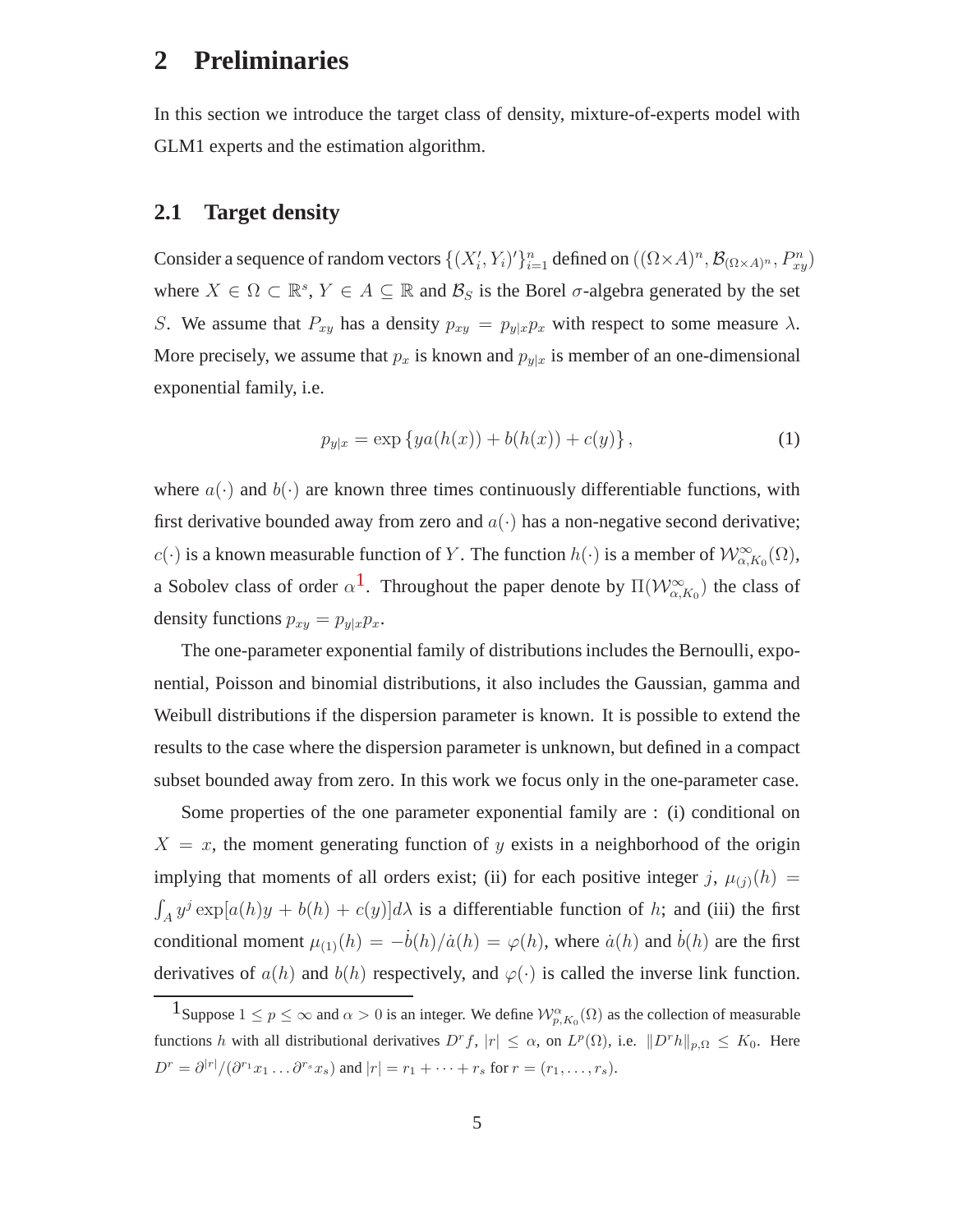## **2 Preliminaries**

<span id="page-4-1"></span>In this section we introduce the target class of density, mixture-of-experts model with GLM1 experts and the estimation algorithm.

### **2.1 Target density**

Consider a sequence of random vectors  $\{(X'_i, Y_i)'\}_{i=1}^n$  defined on  $((\Omega \times A)^n, \mathcal{B}_{(\Omega \times A)^n}, P_{xy}^n)$ where  $X \in \Omega \subset \mathbb{R}^s$ ,  $Y \in A \subseteq \mathbb{R}$  and  $\mathcal{B}_S$  is the Borel  $\sigma$ -algebra generated by the set S. We assume that  $P_{xy}$  has a density  $p_{xy} = p_{y|x}p_x$  with respect to some measure  $\lambda$ . More precisely, we assume that  $p_x$  is known and  $p_{y|x}$  is member of an one-dimensional exponential family, i.e.

$$
p_{y|x} = \exp\{ya(h(x)) + b(h(x)) + c(y)\},\tag{1}
$$

where  $a(\cdot)$  and  $b(\cdot)$  are known three times continuously differentiable functions, with first derivative bounded away from zero and  $a(\cdot)$  has a non-negative second derivative; c(·) is a known measurable function of Y. The function  $h(\cdot)$  is a member of  $\mathcal{W}^{\infty}_{\alpha,K_0}(\Omega)$ , a Sobolev class of order  $\alpha^1$  $\alpha^1$ . Throughout the paper denote by  $\Pi(\mathcal{W}^\infty_{\alpha,K_0})$  the class of density functions  $p_{xy} = p_{y|x}p_x$ .

The one-parameter exponential family of distributions includes the Bernoulli, exponential, Poisson and binomial distributions, it also includes the Gaussian, gamma and Weibull distributions if the dispersion parameter is known. It is possible to extend the results to the case where the dispersion parameter is unknown, but defined in a compact subset bounded away from zero. In this work we focus only in the one-parameter case.

Some properties of the one parameter exponential family are : (i) conditional on  $X = x$ , the moment generating function of y exists in a neighborhood of the origin implying that moments of all orders exist; (ii) for each positive integer j,  $\mu_{(j)}(h)$  =  $\int_A y^j \exp[a(h)y + b(h) + c(y)]d\lambda$  is a differentiable function of h; and (iii) the first conditional moment  $\mu_{(1)}(h) = -\dot{b}(h)/\dot{a}(h) = \varphi(h)$ , where  $\dot{a}(h)$  and  $\dot{b}(h)$  are the first derivatives of  $a(h)$  and  $b(h)$  respectively, and  $\varphi(\cdot)$  is called the inverse link function.

<span id="page-4-0"></span><sup>1</sup> Suppose  $1 \le p \le \infty$  and  $\alpha > 0$  is an integer. We define  $\mathcal{W}_{p,K_0}^{\alpha}(\Omega)$  as the collection of measurable functions h with all distributional derivatives  $D^r f$ ,  $|r| \leq \alpha$ , on  $L^p(\Omega)$ , i.e.  $||D^r h||_{p,\Omega} \leq K_0$ . Here  $D^r = \partial^{|r|}/(\partial^{r_1}x_1 \ldots \partial^{r_s}x_s)$  and  $|r| = r_1 + \cdots + r_s$  for  $r = (r_1, \ldots, r_s)$ .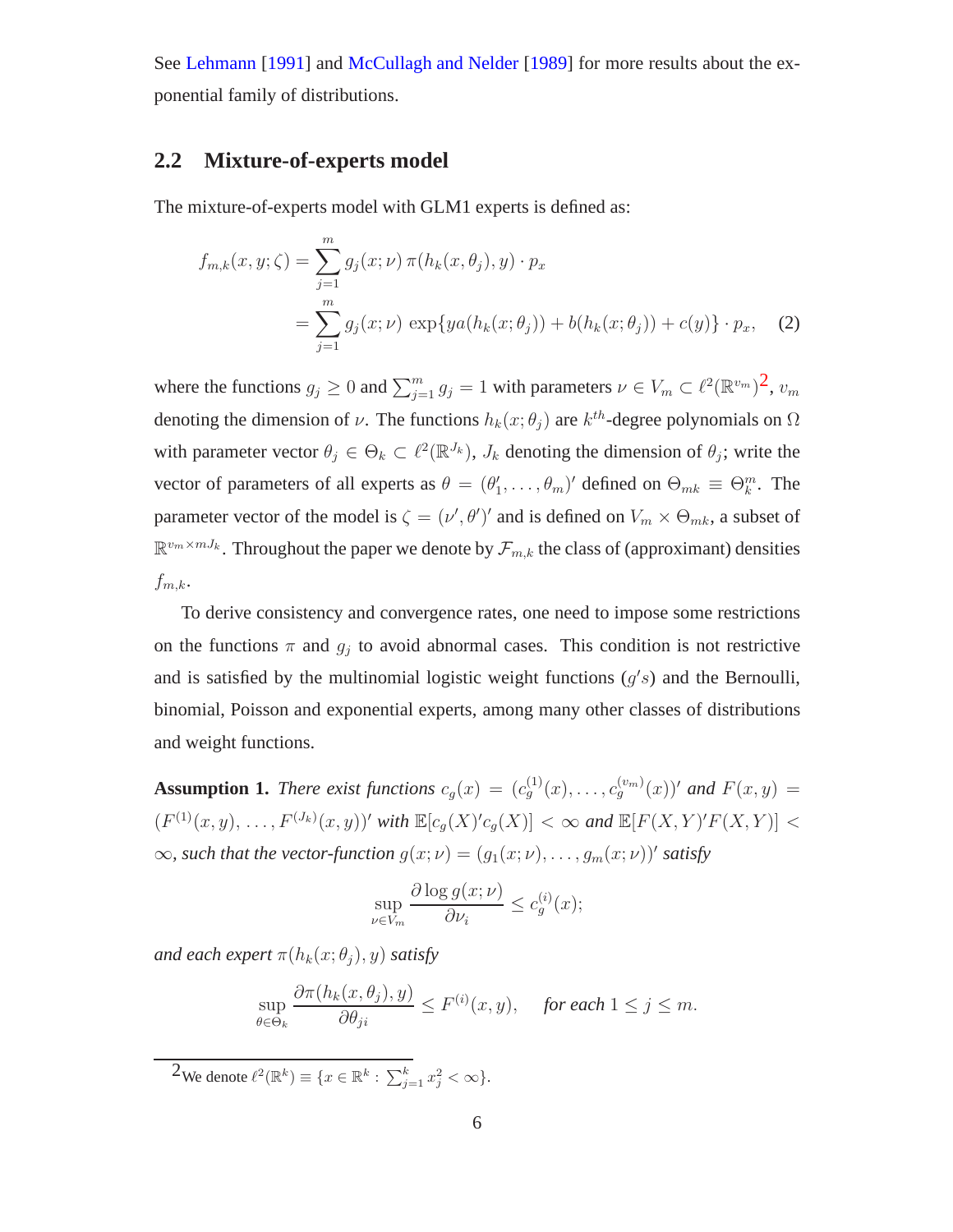<span id="page-5-2"></span>See [Lehmann](#page-19-7) [\[1991\]](#page-19-7) and [McCullagh and Nelder](#page-19-8) [\[1989\]](#page-19-8) for more results about the exponential family of distributions.

### **2.2 Mixture-of-experts model**

The mixture-of-experts model with GLM1 experts is defined as:

$$
f_{m,k}(x, y; \zeta) = \sum_{j=1}^{m} g_j(x; \nu) \pi(h_k(x, \theta_j), y) \cdot p_x
$$
  
= 
$$
\sum_{j=1}^{m} g_j(x; \nu) \exp\{ya(h_k(x; \theta_j)) + b(h_k(x; \theta_j)) + c(y)\} \cdot p_x,
$$
 (2)

where the functions  $g_j \ge 0$  and  $\sum_{j=1}^m g_j = 1$  with parameters  $\nu \in V_m \subset \ell^2(\mathbb{R}^{v_m})^2$ ,  $v_m$ denoting the dimension of  $\nu$ . The functions  $h_k(x; \theta_j)$  are  $k^{th}$ -degree polynomials on  $\Omega$ with parameter vector  $\theta_j \in \Theta_k \subset \ell^2(\mathbb{R}^{J_k})$ ,  $J_k$  denoting the dimension of  $\theta_j$ ; write the vector of parameters of all experts as  $\theta = (\theta'_1, \dots, \theta_m)'$  defined on  $\Theta_{mk} \equiv \Theta_k^m$ . The parameter vector of the model is  $\zeta = (\nu', \theta')'$  and is defined on  $V_m \times \Theta_{mk}$ , a subset of  $\mathbb{R}^{v_m \times mJ_k}$ . Throughout the paper we denote by  $\mathcal{F}_{m,k}$  the class of (approximant) densities  $f_{m,k}$ .

To derive consistency and convergence rates, one need to impose some restrictions on the functions  $\pi$  and  $g_j$  to avoid abnormal cases. This condition is not restrictive and is satisfied by the multinomial logistic weight functions  $(g's)$  and the Bernoulli, binomial, Poisson and exponential experts, among many other classes of distributions and weight functions.

<span id="page-5-1"></span>**Assumption 1.** *There exist functions*  $c_g(x) = (c_g^{(1)}(x), \ldots, c_g^{(v_m)}(x))'$  and  $F(x, y) =$  $(F^{(1)}(x,y), \ldots, F^{(J_k)}(x,y))'$  with  $\mathbb{E}[c_g(X)'c_g(X)] < \infty$  and  $\mathbb{E}[F(X,Y)'F(X,Y)] <$  $\infty$ *, such that the vector-function*  $g(x; \nu) = (g_1(x; \nu), \dots, g_m(x; \nu))'$  satisfy

$$
\sup_{\nu \in V_m} \frac{\partial \log g(x; \nu)}{\partial \nu_i} \le c_g^{(i)}(x);
$$

*and each expert*  $\pi(h_k(x; \theta_i), y)$  *satisfy* 

$$
\sup_{\theta \in \Theta_k} \frac{\partial \pi(h_k(x, \theta_j), y)}{\partial \theta_{ji}} \le F^{(i)}(x, y), \quad \text{for each } 1 \le j \le m.
$$

<span id="page-5-0"></span> $2$ We denote  $\ell^2(\mathbb{R}^k) \equiv \{x \in \mathbb{R}^k : \sum_{j=1}^k x_j^2 < \infty\}.$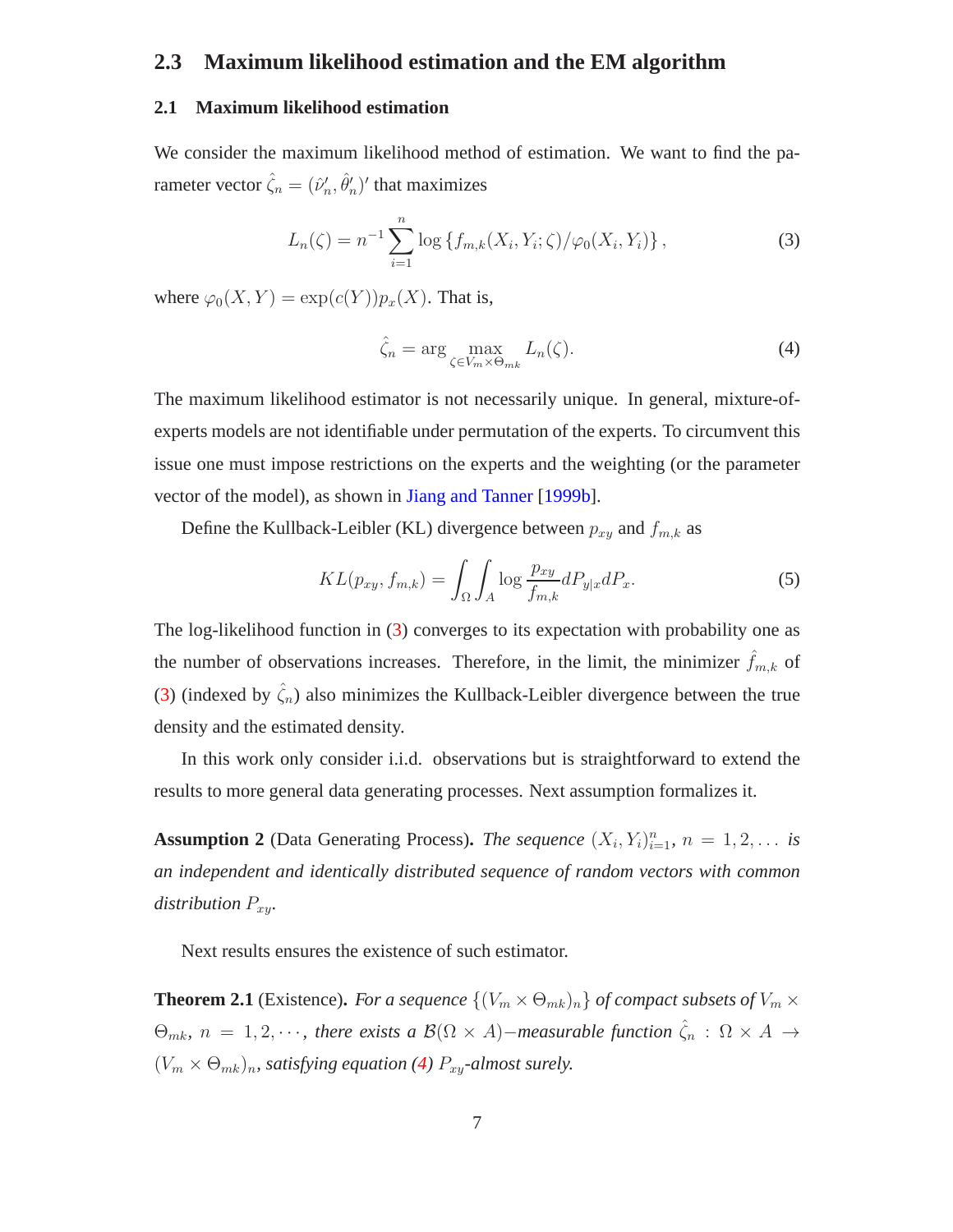### **2.3 Maximum likelihood estimation and the EM algorithm**

#### **2.1 Maximum likelihood estimation**

We consider the maximum likelihood method of estimation. We want to find the parameter vector  $\hat{\zeta}_n = (\hat{\nu}'_n, \hat{\theta}'_n)'$  that maximizes

<span id="page-6-0"></span>
$$
L_n(\zeta) = n^{-1} \sum_{i=1}^n \log \{ f_{m,k}(X_i, Y_i; \zeta) / \varphi_0(X_i, Y_i) \}, \qquad (3)
$$

where  $\varphi_0(X, Y) = \exp(c(Y))p_x(X)$ . That is,

<span id="page-6-1"></span>
$$
\hat{\zeta}_n = \arg \max_{\zeta \in V_m \times \Theta_{mk}} L_n(\zeta). \tag{4}
$$

The maximum likelihood estimator is not necessarily unique. In general, mixture-ofexperts models are not identifiable under permutation of the experts. To circumvent this issue one must impose restrictions on the experts and the weighting (or the parameter vector of the model), as shown in [Jiang and Tanner](#page-19-9) [\[1999b\]](#page-19-9).

Define the Kullback-Leibler (KL) divergence between  $p_{xy}$  and  $f_{m,k}$  as

<span id="page-6-2"></span>
$$
KL(p_{xy}, f_{m,k}) = \int_{\Omega} \int_{A} \log \frac{p_{xy}}{f_{m,k}} dP_{y|x} dP_x.
$$
 (5)

The log-likelihood function in [\(3\)](#page-6-0) converges to its expectation with probability one as the number of observations increases. Therefore, in the limit, the minimizer  $\hat{f}_{m,k}$  of [\(3\)](#page-6-0) (indexed by  $\hat{\zeta}_n$ ) also minimizes the Kullback-Leibler divergence between the true density and the estimated density.

<span id="page-6-3"></span>In this work only consider i.i.d. observations but is straightforward to extend the results to more general data generating processes. Next assumption formalizes it.

**Assumption 2** (Data Generating Process). *The sequence*  $(X_i, Y_i)_{i=1}^n$ ,  $n = 1, 2, \ldots$  *is an independent and identically distributed sequence of random vectors with common distribution*  $P_{xy}$ *.* 

<span id="page-6-4"></span>Next results ensures the existence of such estimator.

**Theorem 2.1** (Existence). *For a sequence*  $\{(V_m \times \Theta_{mk})_n\}$  *of compact subsets of*  $V_m \times$  $\Theta_{mk}$ ,  $n = 1, 2, \cdots$ , there exists a  $\mathcal{B}(\Omega \times A)$  – *measurable function*  $\hat{\zeta}_n$  :  $\Omega \times A$  →  $(V_m \times \Theta_{mk})_n$ , satisfying equation [\(4\)](#page-6-1)  $P_{xy}$ -almost surely.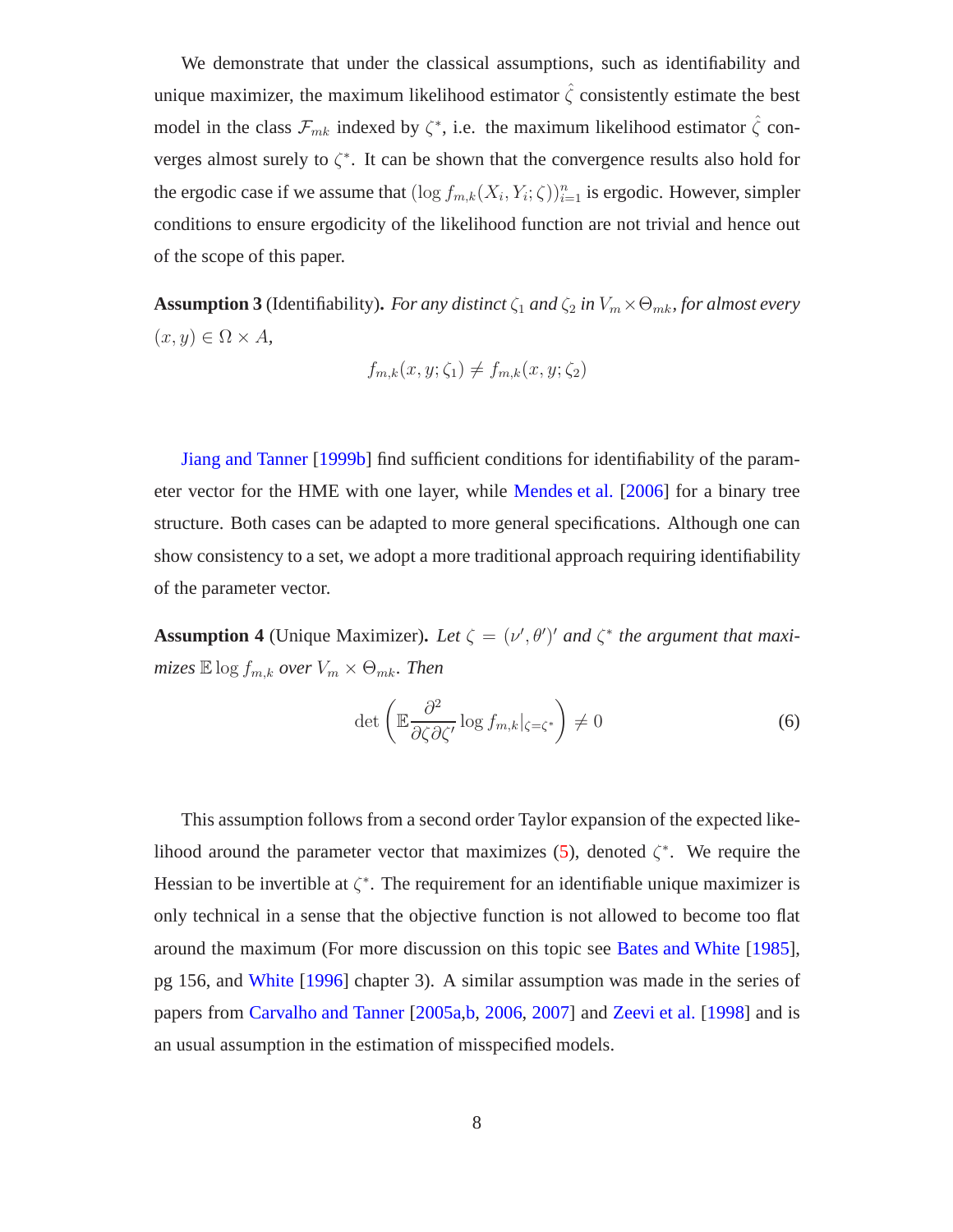We demonstrate that under the classical assumptions, such as identifiability and unique maximizer, the maximum likelihood estimator  $\hat{\zeta}$  consistently estimate the best model in the class  $\mathcal{F}_{mk}$  indexed by  $\zeta^*$ , i.e. the maximum likelihood estimator  $\hat{\zeta}$  converges almost surely to  $\zeta^*$ . It can be shown that the convergence results also hold for the ergodic case if we assume that  $(\log f_{m,k}(X_i, Y_i; \zeta))_{i=1}^n$  is ergodic. However, simpler conditions to ensure ergodicity of the likelihood function are not trivial and hence out of the scope of this paper.

<span id="page-7-0"></span>**Assumption 3** (Identifiability). *For any distinct*  $\zeta_1$  *and*  $\zeta_2$  *in*  $V_m \times \Theta_{mk}$ *, for almost every*  $(x, y) \in \Omega \times A$ ,

$$
f_{m,k}(x, y; \zeta_1) \neq f_{m,k}(x, y; \zeta_2)
$$

[Jiang and Tanner](#page-19-9) [\[1999b](#page-19-9)] find sufficient conditions for identifiability of the parameter vector for the HME with one layer, while [Mendes et al.](#page-19-5) [\[2006](#page-19-5)] for a binary tree structure. Both cases can be adapted to more general specifications. Although one can show consistency to a set, we adopt a more traditional approach requiring identifiability of the parameter vector.

**Assumption 4** (Unique Maximizer). Let  $\zeta = (\nu', \theta')'$  and  $\zeta^*$  the argument that maxi*mizes*  $\mathbb{E} \log f_{m,k}$  *over*  $V_m \times \Theta_{mk}$ *. Then* 

<span id="page-7-1"></span>
$$
\det\left(\mathbb{E}\frac{\partial^2}{\partial\zeta\partial\zeta'}\log f_{m,k}|_{\zeta=\zeta^*}\right)\neq 0\tag{6}
$$

<span id="page-7-2"></span>This assumption follows from a second order Taylor expansion of the expected like-lihood around the parameter vector that maximizes [\(5\)](#page-6-2), denoted  $\zeta^*$ . We require the Hessian to be invertible at  $\zeta^*$ . The requirement for an identifiable unique maximizer is only technical in a sense that the objective function is not allowed to become too flat around the maximum (For more discussion on this topic see [Bates and White](#page-18-3) [\[1985](#page-18-3)], pg 156, and [White](#page-20-8) [\[1996](#page-20-8)] chapter 3). A similar assumption was made in the series of papers from [Carvalho and Tanner](#page-18-0) [\[2005a](#page-18-0)[,b](#page-18-4), [2006,](#page-18-5) [2007\]](#page-18-6) and [Zeevi et al.](#page-21-1) [\[1998](#page-21-1)] and is an usual assumption in the estimation of misspecified models.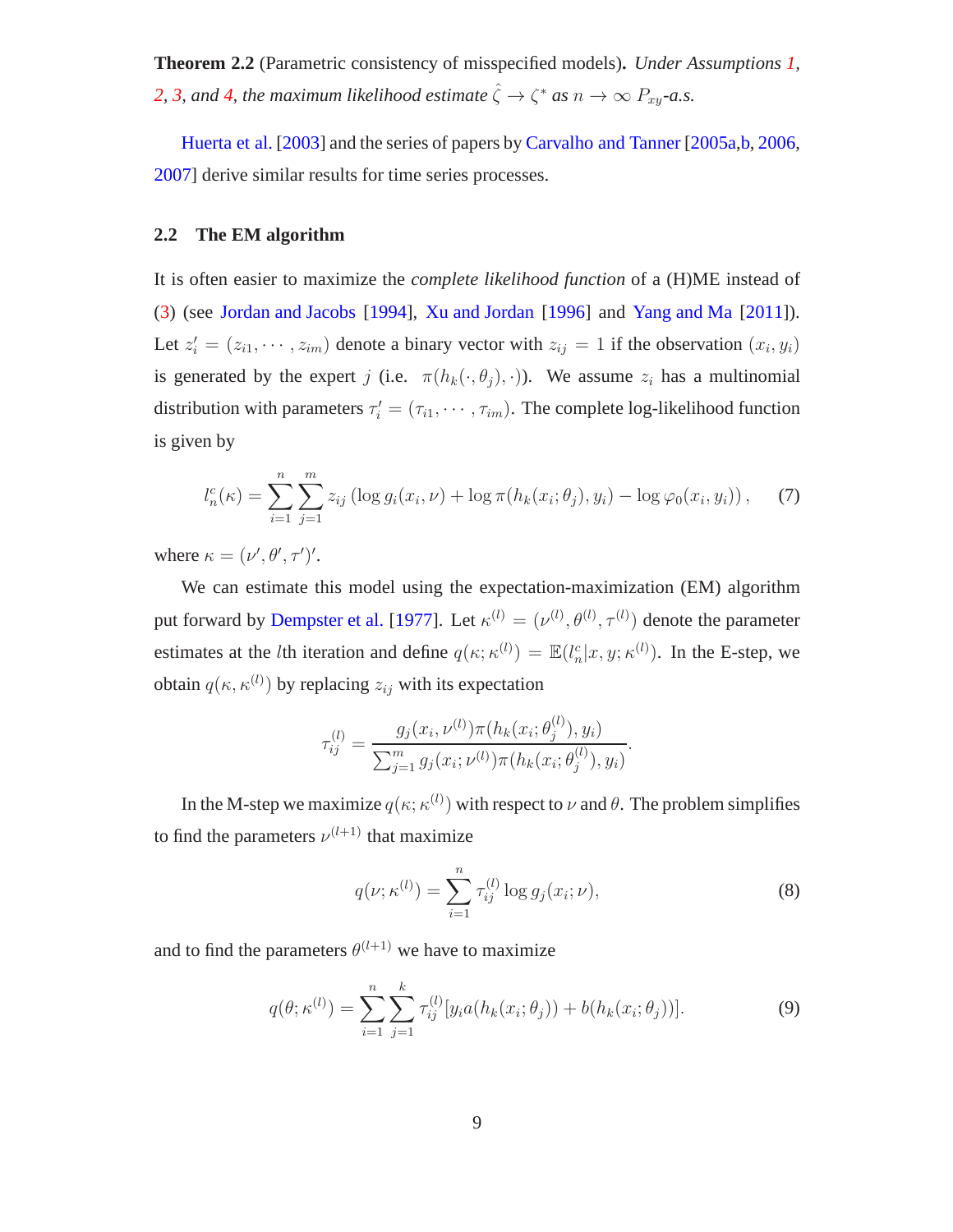**Theorem 2.2** (Parametric consistency of misspecified models)**.** *Under Assumptions [1,](#page-5-1)* [2,](#page-6-3) [3,](#page-7-0) and [4,](#page-7-1) the maximum likelihood estimate  $\hat{\zeta} \to \zeta^*$  as  $n \to \infty$   $P_{xy}$ -a.s.

[Huerta et al.](#page-19-10) [\[2003\]](#page-19-10) and the series of papers by [Carvalho and Tanner](#page-18-0) [\[2005a](#page-18-0)[,b](#page-18-4), [2006](#page-18-5), [2007\]](#page-18-6) derive similar results for time series processes.

#### **2.2 The EM algorithm**

It is often easier to maximize the *complete likelihood function* of a (H)ME instead of [\(3\)](#page-6-0) (see [Jordan and Jacobs](#page-19-1) [\[1994](#page-19-1)], [Xu and Jordan](#page-20-9) [\[1996\]](#page-20-9) and [Yang and Ma](#page-21-2) [\[2011](#page-21-2)]). Let  $z_i' = (z_{i1}, \dots, z_{im})$  denote a binary vector with  $z_{ij} = 1$  if the observation  $(x_i, y_i)$ is generated by the expert j (i.e.  $\pi(h_k(\cdot, \theta_i), \cdot)$ ). We assume  $z_i$  has a multinomial distribution with parameters  $\tau'_{i} = (\tau_{i1}, \dots, \tau_{im})$ . The complete log-likelihood function is given by

$$
l_n^c(\kappa) = \sum_{i=1}^n \sum_{j=1}^m z_{ij} \left( \log g_i(x_i, \nu) + \log \pi(h_k(x_i; \theta_j), y_i) - \log \varphi_0(x_i, y_i) \right), \quad (7)
$$

where  $\kappa = (\nu', \theta', \tau')'.$ 

We can estimate this model using the expectation-maximization (EM) algorithm put forward by [Dempster et al.](#page-19-11) [\[1977\]](#page-19-11). Let  $\kappa^{(l)} = (\nu^{(l)}, \theta^{(l)}, \tau^{(l)})$  denote the parameter estimates at the *l*th iteration and define  $q(\kappa; \kappa^{(l)}) = \mathbb{E}(l_n^c | x, y; \kappa^{(l)})$ . In the E-step, we obtain  $q(\kappa, \kappa^{(l)})$  by replacing  $z_{ij}$  with its expectation

$$
\tau_{ij}^{(l)} = \frac{g_j(x_i, \nu^{(l)}) \pi(h_k(x_i; \theta_j^{(l)}), y_i)}{\sum_{j=1}^m g_j(x_i; \nu^{(l)}) \pi(h_k(x_i; \theta_j^{(l)}), y_i)}.
$$

In the M-step we maximize  $q(\kappa; \kappa^{(l)})$  with respect to  $\nu$  and  $\theta$ . The problem simplifies to find the parameters  $\nu^{(l+1)}$  that maximize

$$
q(\nu; \kappa^{(l)}) = \sum_{i=1}^{n} \tau_{ij}^{(l)} \log g_j(x_i; \nu), \qquad (8)
$$

 $\langle \rangle$ 

and to find the parameters  $\theta^{(l+1)}$  we have to maximize

$$
q(\theta; \kappa^{(l)}) = \sum_{i=1}^{n} \sum_{j=1}^{k} \tau_{ij}^{(l)} [y_i a(h_k(x_i; \theta_j)) + b(h_k(x_i; \theta_j))]. \tag{9}
$$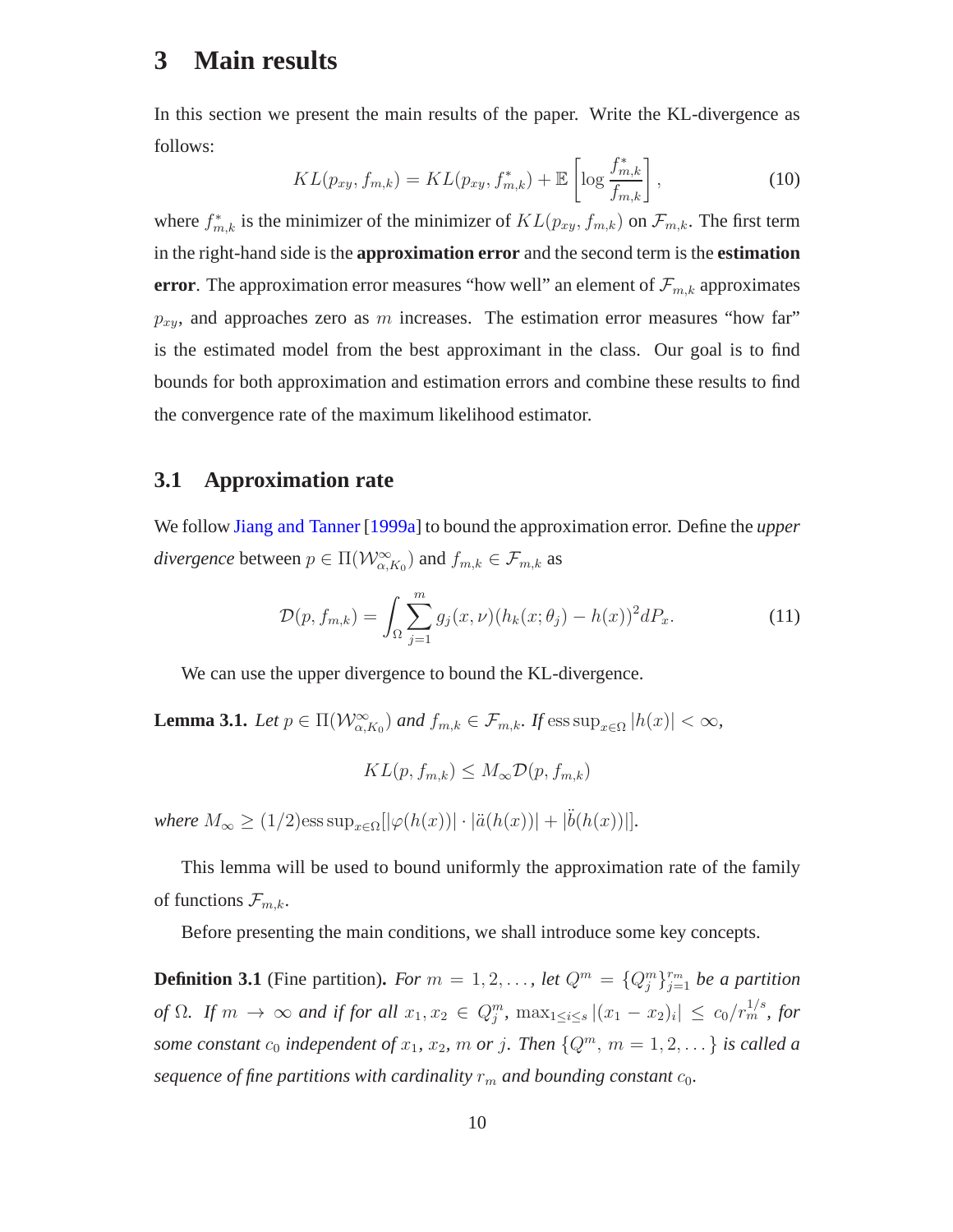### <span id="page-9-0"></span>**3 Main results**

In this section we present the main results of the paper. Write the KL-divergence as follows:

<span id="page-9-1"></span>
$$
KL(p_{xy}, f_{m,k}) = KL(p_{xy}, f_{m,k}^*) + \mathbb{E}\left[\log \frac{f_{m,k}^*}{f_{m,k}}\right],
$$
\n(10)

where  $f_{m,k}^*$  is the minimizer of the minimizer of  $KL(p_{xy}, f_{m,k})$  on  $\mathcal{F}_{m,k}$ . The first term in the right-hand side is the **approximation error** and the second term is the **estimation error**. The approximation error measures "how well" an element of  $\mathcal{F}_{m,k}$  approximates  $p_{xy}$ , and approaches zero as m increases. The estimation error measures "how far" is the estimated model from the best approximant in the class. Our goal is to find bounds for both approximation and estimation errors and combine these results to find the convergence rate of the maximum likelihood estimator.

### **3.1 Approximation rate**

We follow [Jiang and Tanner](#page-19-3) [\[1999a](#page-19-3)] to bound the approximation error. Define the *upper divergence* between  $p \in \Pi(\mathcal{W}_{\alpha,K_0}^{\infty})$  and  $f_{m,k} \in \mathcal{F}_{m,k}$  as

$$
\mathcal{D}(p, f_{m,k}) = \int_{\Omega} \sum_{j=1}^{m} g_j(x, \nu) (h_k(x; \theta_j) - h(x))^2 dP_x.
$$
 (11)

We can use the upper divergence to bound the KL-divergence.

**Lemma 3.1.** *Let*  $p \in \Pi(\mathcal{W}_{\alpha,K_0}^{\infty})$  *and*  $f_{m,k} \in \mathcal{F}_{m,k}$ *. If*  $\text{ess sup}_{x \in \Omega} |h(x)| < \infty$ *,* 

$$
KL(p, f_{m,k}) \leq M_{\infty} \mathcal{D}(p, f_{m,k})
$$

*where*  $M_{\infty} \ge (1/2)$ ess  $\sup_{x \in \Omega} [|\varphi(h(x))| \cdot |\ddot{a}(h(x))| + |\ddot{b}(h(x))|].$ 

This lemma will be used to bound uniformly the approximation rate of the family of functions  $\mathcal{F}_{m,k}$ .

Before presenting the main conditions, we shall introduce some key concepts.

**Definition 3.1** (Fine partition). For  $m = 1, 2, \ldots$ , let  $Q^m = \{Q_j^m\}_{j=1}^{r_m}$  be a partition *of*  $\Omega$ *. If*  $m \to \infty$  *and if for all*  $x_1, x_2 \in Q_j^m$ ,  $\max_{1 \le i \le s} |(x_1 - x_2)_i| \le c_0 / r_m^{1/s}$ , for *some constant*  $c_0$  *independent* of  $x_1$ *,*  $x_2$ *,*  $m$  *or*  $j$ *. Then*  $\{Q^m, m = 1, 2, \dots\}$  *is called a sequence of fine partitions with cardinality*  $r_m$  *and bounding constant*  $c_0$ *.*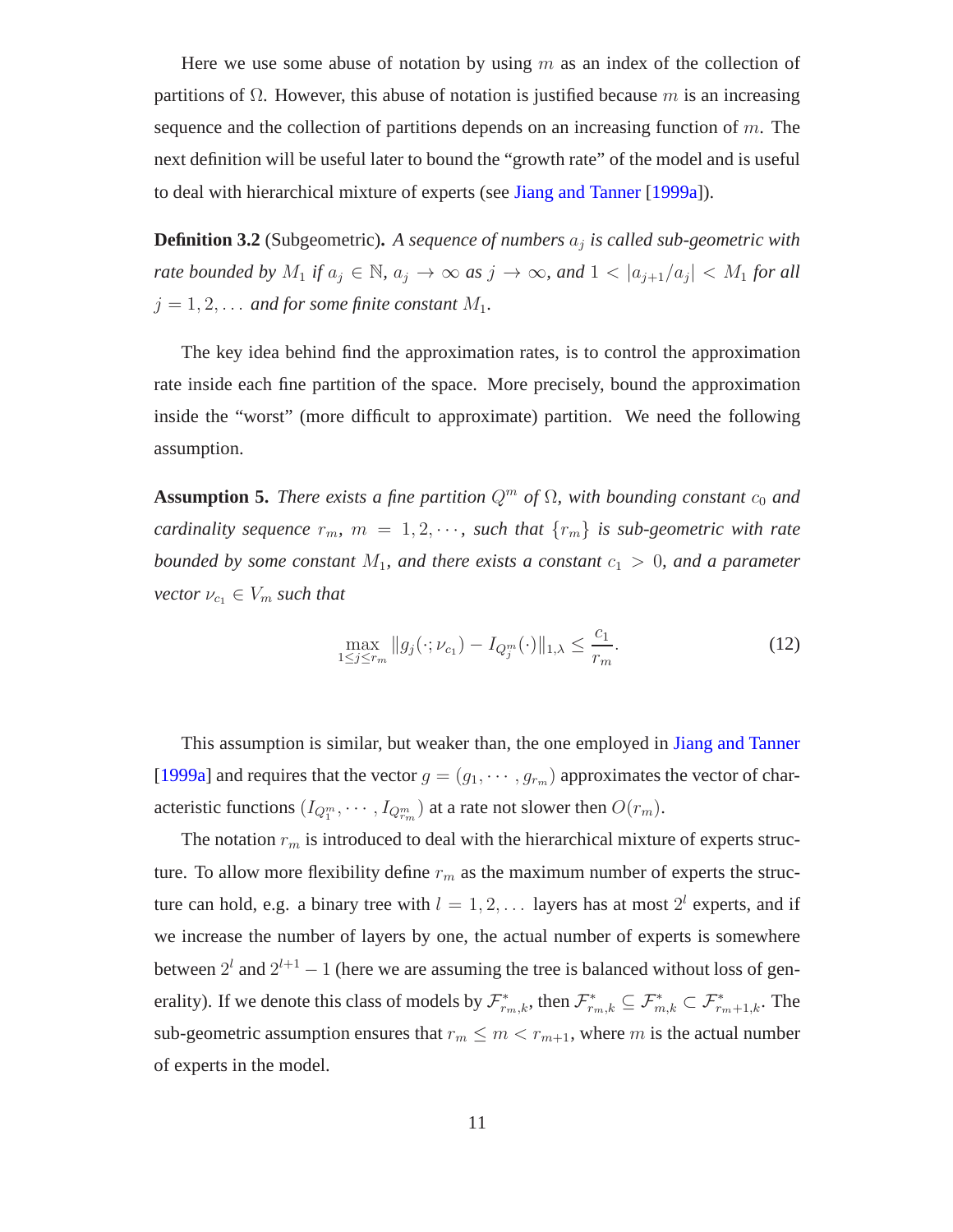Here we use some abuse of notation by using  $m$  as an index of the collection of partitions of Ω. However, this abuse of notation is justified because m is an increasing sequence and the collection of partitions depends on an increasing function of  $m$ . The next definition will be useful later to bound the "growth rate" of the model and is useful to deal with hierarchical mixture of experts (see [Jiang and Tanner](#page-19-3) [\[1999a](#page-19-3)]).

**Definition 3.2** (Subgeometric)**.** *A sequence of numbers* a<sup>j</sup> *is called sub-geometric with rate bounded by*  $M_1$  *if*  $a_j \in \mathbb{N}$ *,*  $a_j \to \infty$  *as*  $j \to \infty$ *, and*  $1 < |a_{j+1}/a_j| < M_1$  *for all*  $j = 1, 2, \ldots$  *and for some finite constant*  $M_1$ *.* 

The key idea behind find the approximation rates, is to control the approximation rate inside each fine partition of the space. More precisely, bound the approximation inside the "worst" (more difficult to approximate) partition. We need the following assumption.

**Assumption 5.** *There exists a fine partition*  $Q^m$  *of*  $\Omega$ *, with bounding constant*  $c_0$  *and cardinality sequence*  $r_m$ ,  $m = 1, 2, \cdots$ , such that  $\{r_m\}$  *is sub-geometric with rate bounded by some constant*  $M_1$ *, and there exists a constant*  $c_1 > 0$ *, and a parameter vector*  $\nu_{c_1} \in V_m$  *such that* 

<span id="page-10-0"></span>
$$
\max_{1 \le j \le r_m} \|g_j(\cdot; \nu_{c_1}) - I_{Q_j^m}(\cdot)\|_{1,\lambda} \le \frac{c_1}{r_m}.\tag{12}
$$

This assumption is similar, but weaker than, the one employed in [Jiang and Tanner](#page-19-3) [\[1999a](#page-19-3)] and requires that the vector  $g = (g_1, \dots, g_{r_m})$  approximates the vector of characteristic functions  $(I_{Q_1^m}, \cdots, I_{Q_{r_m}^m})$  at a rate not slower then  $O(r_m)$ .

The notation  $r_m$  is introduced to deal with the hierarchical mixture of experts structure. To allow more flexibility define  $r_m$  as the maximum number of experts the structure can hold, e.g. a binary tree with  $l = 1, 2, \ldots$  layers has at most  $2^l$  experts, and if we increase the number of layers by one, the actual number of experts is somewhere between  $2^l$  and  $2^{l+1} - 1$  (here we are assuming the tree is balanced without loss of generality). If we denote this class of models by  $\mathcal{F}_{r_m,k}^*$ , then  $\mathcal{F}_{r_m,k}^* \subseteq \mathcal{F}_{m,k}^* \subset \mathcal{F}_{r_m+1,k}^*$ . The sub-geometric assumption ensures that  $r_m \leq m < r_{m+1}$ , where m is the actual number of experts in the model.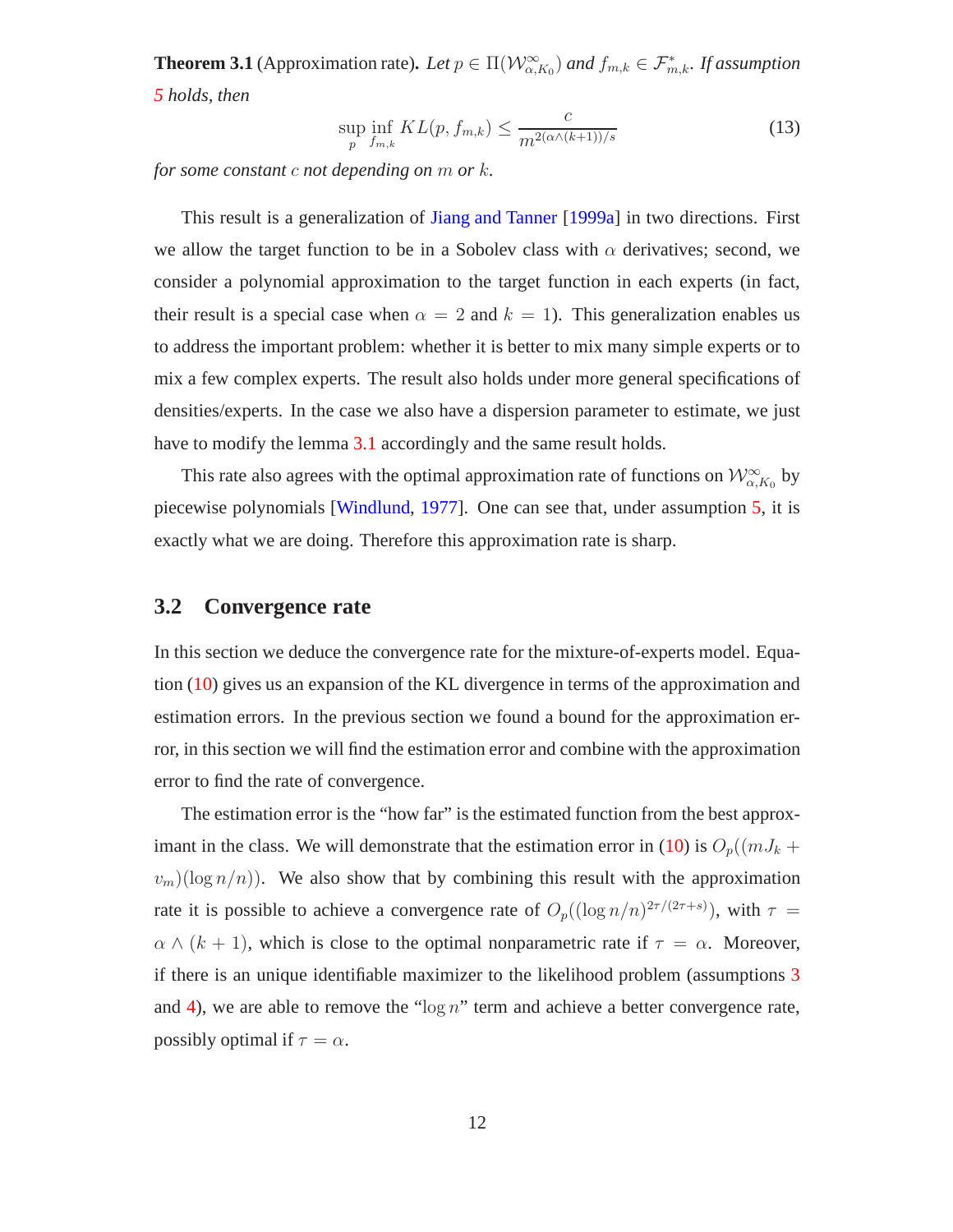**Theorem 3.1** (Approximation rate). Let  $p \in \Pi(W_{\alpha,K_0}^{\infty})$  and  $f_{m,k} \in \mathcal{F}_{m,k}^*$ . If assumption *[5](#page-10-0) holds, then*

<span id="page-11-0"></span>
$$
\sup_{p} \inf_{f_{m,k}} KL(p, f_{m,k}) \le \frac{c}{m^{2(\alpha \wedge (k+1))/s}}
$$
\n(13)

*for some constant* c *not depending on* m *or* k*.*

This result is a generalization of [Jiang and Tanner](#page-19-3) [\[1999a\]](#page-19-3) in two directions. First we allow the target function to be in a Sobolev class with  $\alpha$  derivatives; second, we consider a polynomial approximation to the target function in each experts (in fact, their result is a special case when  $\alpha = 2$  and  $k = 1$ ). This generalization enables us to address the important problem: whether it is better to mix many simple experts or to mix a few complex experts. The result also holds under more general specifications of densities/experts. In the case we also have a dispersion parameter to estimate, we just have to modify the lemma [3.1](#page-10-0) accordingly and the same result holds.

This rate also agrees with the optimal approximation rate of functions on  $\mathcal{W}^{\infty}_{\alpha,K_0}$  by piecewise polynomials [\[Windlund,](#page-20-5) [1977](#page-20-5)]. One can see that, under assumption [5,](#page-10-0) it is exactly what we are doing. Therefore this approximation rate is sharp.

### **3.2 Convergence rate**

In this section we deduce the convergence rate for the mixture-of-experts model. Equation [\(10\)](#page-9-1) gives us an expansion of the KL divergence in terms of the approximation and estimation errors. In the previous section we found a bound for the approximation error, in this section we will find the estimation error and combine with the approximation error to find the rate of convergence.

The estimation error is the "how far" is the estimated function from the best approx-imant in the class. We will demonstrate that the estimation error in [\(10\)](#page-9-1) is  $O_p((mJ_k +$  $(v_m)(\log n/n)$ . We also show that by combining this result with the approximation rate it is possible to achieve a convergence rate of  $O_p((\log n/n)^{2\tau/(2\tau+s)})$ , with  $\tau =$  $\alpha \wedge (k + 1)$ , which is close to the optimal nonparametric rate if  $\tau = \alpha$ . Moreover, if there is an unique identifiable maximizer to the likelihood problem (assumptions [3](#page-7-0) and [4\)](#page-7-1), we are able to remove the " $\log n$ " term and achieve a better convergence rate, possibly optimal if  $\tau = \alpha$ .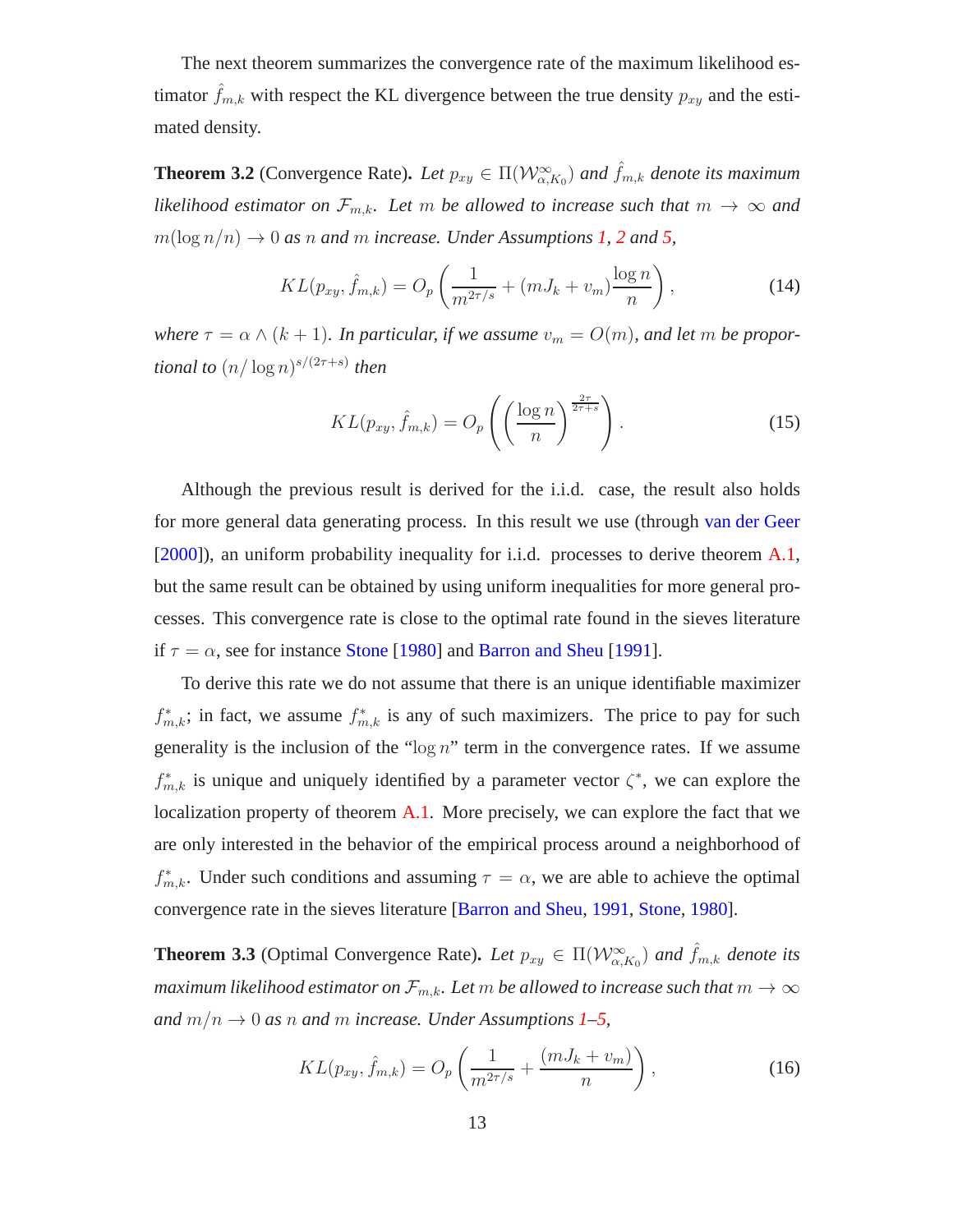The next theorem summarizes the convergence rate of the maximum likelihood estimator  $\hat{f}_{m,k}$  with respect the KL divergence between the true density  $p_{xy}$  and the estimated density.

**Theorem 3.2** (Convergence Rate). Let  $p_{xy} \in \Pi(\mathcal{W}^{\infty}_{\alpha,K_0})$  and  $\hat{f}_{m,k}$  denote its maximum *likelihood estimator on*  $\mathcal{F}_{m,k}$ *. Let* m *be allowed to increase such that*  $m \to \infty$  *and*  $m(\log n/n) \to 0$  *as n and m increase. Under Assumptions [1,](#page-5-1) [2](#page-6-3) and [5,](#page-10-0)* 

<span id="page-12-2"></span>
$$
KL(p_{xy}, \hat{f}_{m,k}) = O_p\left(\frac{1}{m^{2\tau/s}} + (mJ_k + v_m)\frac{\log n}{n}\right),\tag{14}
$$

*where*  $\tau = \alpha \wedge (k+1)$ *. In particular, if we assume*  $v_m = O(m)$ *, and let* m *be proportional to* (n/ log n) s/(2τ+s) *then*

<span id="page-12-0"></span>
$$
KL(p_{xy}, \hat{f}_{m,k}) = O_p\left(\left(\frac{\log n}{n}\right)^{\frac{2\tau}{2\tau+s}}\right).
$$
 (15)

Although the previous result is derived for the i.i.d. case, the result also holds for more general data generating process. In this result we use (through [van der Geer](#page-20-10) [\[2000\]](#page-20-10)), an uniform probability inequality for i.i.d. processes to derive theorem [A.1,](#page-24-0) but the same result can be obtained by using uniform inequalities for more general processes. This convergence rate is close to the optimal rate found in the sieves literature if  $\tau = \alpha$ , see for instance [Stone](#page-20-6) [\[1980](#page-20-6)] and [Barron and Sheu](#page-18-7) [\[1991\]](#page-18-7).

To derive this rate we do not assume that there is an unique identifiable maximizer  $f_{m,k}^*$ ; in fact, we assume  $f_{m,k}^*$  is any of such maximizers. The price to pay for such generality is the inclusion of the " $\log n$ " term in the convergence rates. If we assume  $f_{m,k}^*$  is unique and uniquely identified by a parameter vector  $\zeta^*$ , we can explore the localization property of theorem [A.1.](#page-24-0) More precisely, we can explore the fact that we are only interested in the behavior of the empirical process around a neighborhood of  $f_{m,k}^*$ . Under such conditions and assuming  $\tau = \alpha$ , we are able to achieve the optimal convergence rate in the sieves literature [\[Barron and Sheu,](#page-18-7) [1991,](#page-18-7) [Stone,](#page-20-6) [1980\]](#page-20-6).

**Theorem 3.3** (Optimal Convergence Rate). Let  $p_{xy} \in \Pi(\mathcal{W}^{\infty}_{\alpha,K_0})$  and  $\hat{f}_{m,k}$  denote its *maximum likelihood estimator on*  $\mathcal{F}_{m,k}$ . Let m be allowed to increase such that  $m \to \infty$ *and*  $m/n \rightarrow 0$  *as n and m increase. Under Assumptions* [1–](#page-5-1)[5,](#page-10-0)

<span id="page-12-1"></span>
$$
KL(p_{xy}, \hat{f}_{m,k}) = O_p\left(\frac{1}{m^{2\tau/s}} + \frac{(mJ_k + v_m)}{n}\right),\tag{16}
$$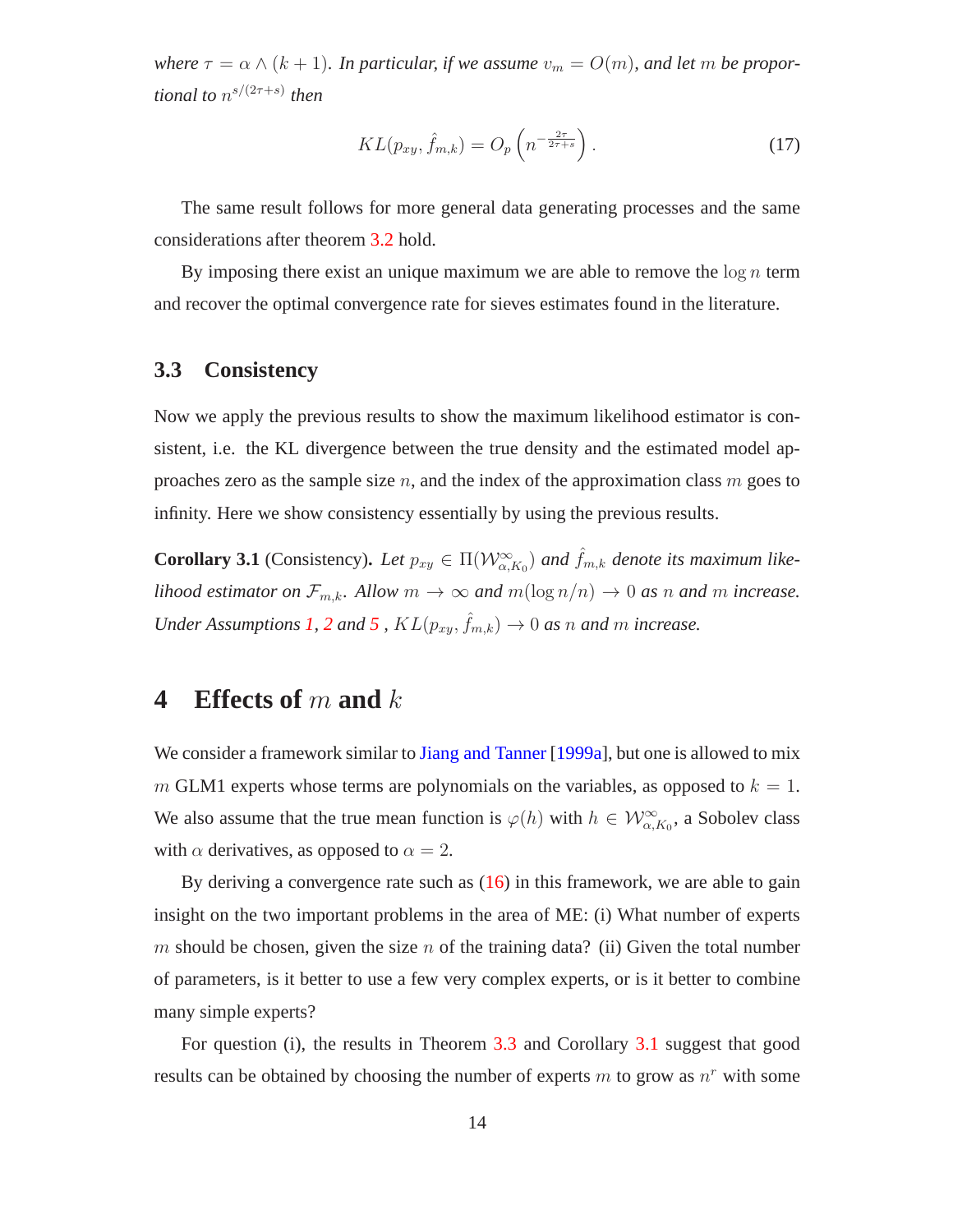*where*  $\tau = \alpha \wedge (k+1)$ *. In particular, if we assume*  $v_m = O(m)$ *, and let* m *be proportional to* n s/(2τ+s) *then*

<span id="page-13-1"></span>
$$
KL(p_{xy}, \hat{f}_{m,k}) = O_p\left(n^{-\frac{2\tau}{2\tau+s}}\right).
$$
 (17)

The same result follows for more general data generating processes and the same considerations after theorem [3.2](#page-12-0) hold.

By imposing there exist an unique maximum we are able to remove the  $\log n$  term and recover the optimal convergence rate for sieves estimates found in the literature.

### **3.3 Consistency**

Now we apply the previous results to show the maximum likelihood estimator is consistent, i.e. the KL divergence between the true density and the estimated model approaches zero as the sample size  $n$ , and the index of the approximation class  $m$  goes to infinity. Here we show consistency essentially by using the previous results.

<span id="page-13-2"></span>**Corollary 3.1** (Consistency). Let  $p_{xy} \in \Pi(\mathcal{W}^{\infty}_{\alpha,K_0})$  and  $\hat{f}_{m,k}$  denote its maximum like*lihood estimator on*  $\mathcal{F}_{m,k}$ *. Allow*  $m \to \infty$  *and*  $m(\log n/n) \to 0$  *as n and m increase. Under Assumptions [1,](#page-5-1) [2](#page-6-3) and [5](#page-10-0),*  $KL(p_{xy}, \hat{f}_{m,k}) \rightarrow 0$  *as n and m increase.* 

### <span id="page-13-0"></span>**4 Effects of** m **and** k

We consider a framework similar to [Jiang and Tanner](#page-19-3) [\[1999a\]](#page-19-3), but one is allowed to mix m GLM1 experts whose terms are polynomials on the variables, as opposed to  $k = 1$ . We also assume that the true mean function is  $\varphi(h)$  with  $h \in \mathcal{W}_{\alpha,K_0}^{\infty}$ , a Sobolev class with  $\alpha$  derivatives, as opposed to  $\alpha = 2$ .

By deriving a convergence rate such as  $(16)$  in this framework, we are able to gain insight on the two important problems in the area of ME: (i) What number of experts m should be chosen, given the size n of the training data? (ii) Given the total number of parameters, is it better to use a few very complex experts, or is it better to combine many simple experts?

For question (i), the results in Theorem [3.3](#page-13-1) and Corollary [3.1](#page-13-2) suggest that good results can be obtained by choosing the number of experts  $m$  to grow as  $n<sup>r</sup>$  with some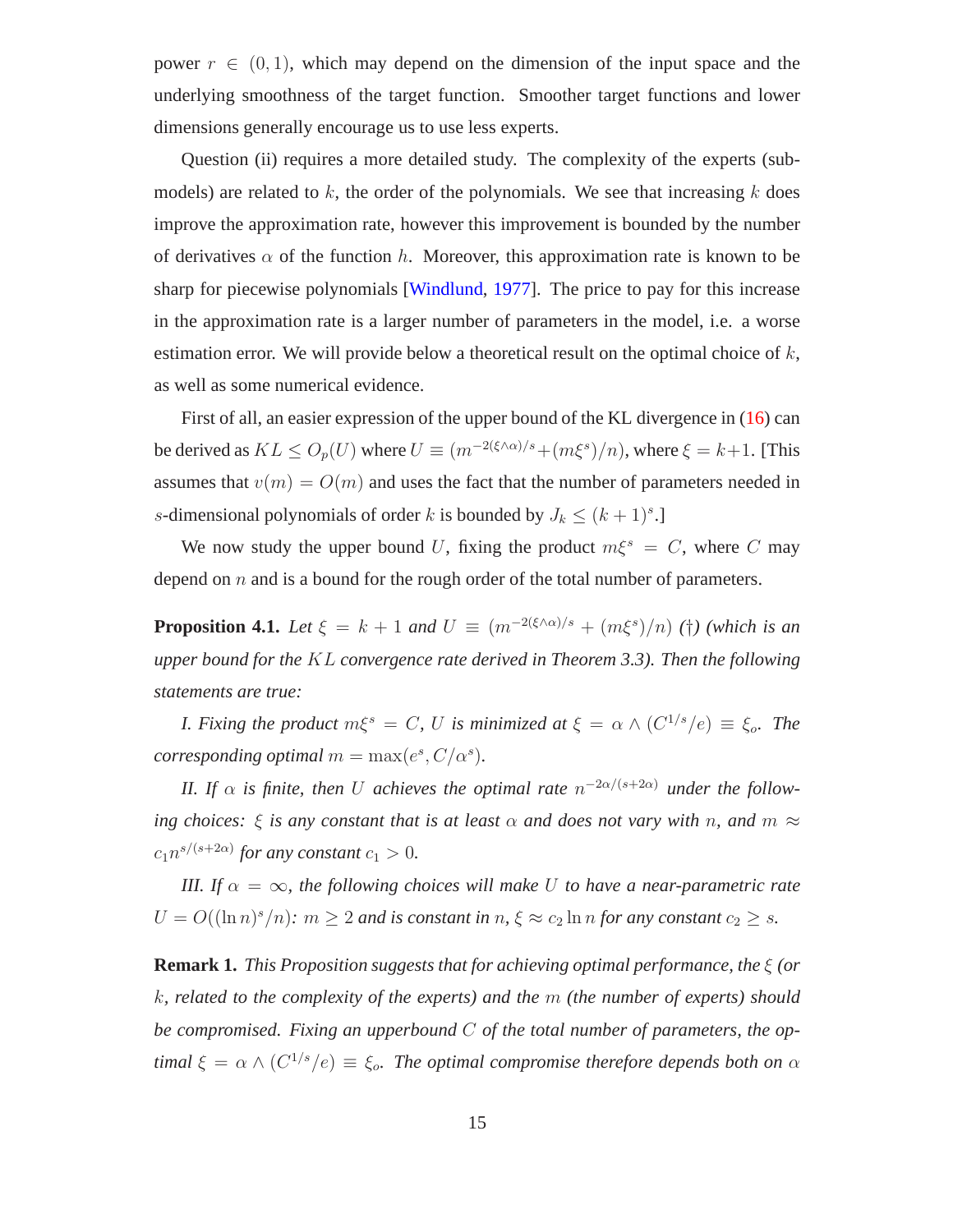power  $r \in (0, 1)$ , which may depend on the dimension of the input space and the underlying smoothness of the target function. Smoother target functions and lower dimensions generally encourage us to use less experts.

Question (ii) requires a more detailed study. The complexity of the experts (submodels) are related to  $k$ , the order of the polynomials. We see that increasing  $k$  does improve the approximation rate, however this improvement is bounded by the number of derivatives  $\alpha$  of the function h. Moreover, this approximation rate is known to be sharp for piecewise polynomials [\[Windlund,](#page-20-5) [1977\]](#page-20-5). The price to pay for this increase in the approximation rate is a larger number of parameters in the model, i.e. a worse estimation error. We will provide below a theoretical result on the optimal choice of  $k$ , as well as some numerical evidence.

First of all, an easier expression of the upper bound of the KL divergence in [\(16\)](#page-12-1) can be derived as  $KL \leq O_p(U)$  where  $U \equiv (m^{-2(\xi \wedge \alpha)/s} + (m\xi^s)/n)$ , where  $\xi = k+1$ . [This assumes that  $v(m) = O(m)$  and uses the fact that the number of parameters needed in s-dimensional polynomials of order k is bounded by  $J_k \leq (k+1)^s$ .

<span id="page-14-1"></span>We now study the upper bound U, fixing the product  $m\xi^s = C$ , where C may depend on  $n$  and is a bound for the rough order of the total number of parameters.

**Proposition 4.1.** *Let*  $\xi = k + 1$  *and*  $U \equiv (m^{-2(\xi \wedge \alpha)/s} + (m\xi^s)/n)$  (†) (which is an *upper bound for the* KL *convergence rate derived in Theorem 3.3). Then the following statements are true:*

*I. Fixing the product*  $m\xi^s = C$ , U *is minimized at*  $\xi = \alpha \wedge (C^{1/s}/e) \equiv \xi_o$ . The *corresponding optimal*  $m = \max(e^s, C/\alpha^s)$ *.* 

*II.* If  $\alpha$  is finite, then U achieves the optimal rate  $n^{-2\alpha/(s+2\alpha)}$  under the follow*ing choices:*  $\xi$  *is any constant that is at least*  $\alpha$  *and does not vary with n, and*  $m \approx$  $c_1 n^{s/(s+2\alpha)}$  for any constant  $c_1 > 0$ .

*III. If*  $\alpha = \infty$ *, the following choices will make U to have a near-parametric rate*  $U = O((\ln n)^s/n)$ :  $m \ge 2$  *and is constant in*  $n, \xi \approx c_2 \ln n$  *for any constant*  $c_2 \ge s$ .

<span id="page-14-0"></span>**Remark 1.** *This Proposition suggests that for achieving optimal performance, the* ξ *(or* k*, related to the complexity of the experts) and the* m *(the number of experts) should be compromised. Fixing an upperbound* C *of the total number of parameters, the optimal*  $\xi = \alpha \wedge (C^{1/s}/e) \equiv \xi_o$ . *The optimal compromise therefore depends both on*  $\alpha$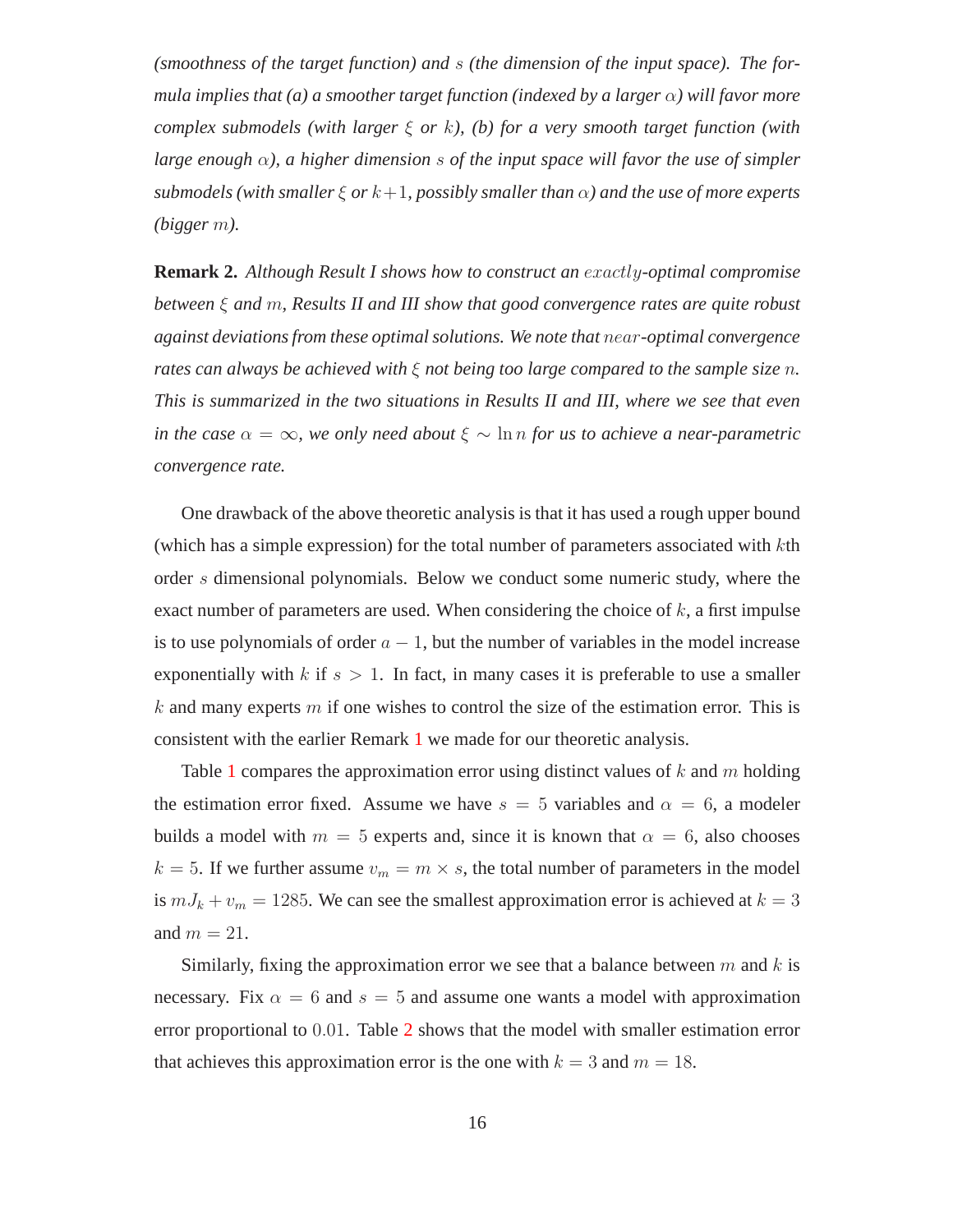*(smoothness of the target function) and* s *(the dimension of the input space). The formula implies that (a) a smoother target function (indexed by a larger* α*) will favor more complex submodels (with larger* ξ *or* k*), (b) for a very smooth target function (with large enough* α*), a higher dimension* s *of the input space will favor the use of simpler submodels (with smaller*  $\xi$  *or*  $k+1$ , possibly smaller than  $\alpha$ ) and the use of more experts *(bigger* m*).*

**Remark 2.** *Although Result I shows how to construct an* exactly*-optimal compromise between* ξ *and* m*, Results II and III show that good convergence rates are quite robust against deviations from these optimal solutions. We note that* near*-optimal convergence rates can always be achieved with* ξ *not being too large compared to the sample size* n*. This is summarized in the two situations in Results II and III, where we see that even in the case*  $\alpha = \infty$ *, we only need about*  $\xi \sim \ln n$  *for us to achieve a near-parametric convergence rate.*

One drawback of the above theoretic analysis is that it has used a rough upper bound (which has a simple expression) for the total number of parameters associated with  $k$ th order s dimensional polynomials. Below we conduct some numeric study, where the exact number of parameters are used. When considering the choice of  $k$ , a first impulse is to use polynomials of order  $a - 1$ , but the number of variables in the model increase exponentially with  $k$  if  $s > 1$ . In fact, in many cases it is preferable to use a smaller  $k$  and many experts  $m$  if one wishes to control the size of the estimation error. This is consistent with the earlier Remark [1](#page-14-0) we made for our theoretic analysis.

Table [1](#page-16-0) compares the approximation error using distinct values of k and m holding the estimation error fixed. Assume we have  $s = 5$  variables and  $\alpha = 6$ , a modeler builds a model with  $m = 5$  experts and, since it is known that  $\alpha = 6$ , also chooses  $k = 5$ . If we further assume  $v_m = m \times s$ , the total number of parameters in the model is  $mJ_k + v_m = 1285$ . We can see the smallest approximation error is achieved at  $k = 3$ and  $m = 21$ .

Similarly, fixing the approximation error we see that a balance between  $m$  and k is necessary. Fix  $\alpha = 6$  and  $s = 5$  and assume one wants a model with approximation error proportional to 0.01. Table [2](#page-16-1) shows that the model with smaller estimation error that achieves this approximation error is the one with  $k = 3$  and  $m = 18$ .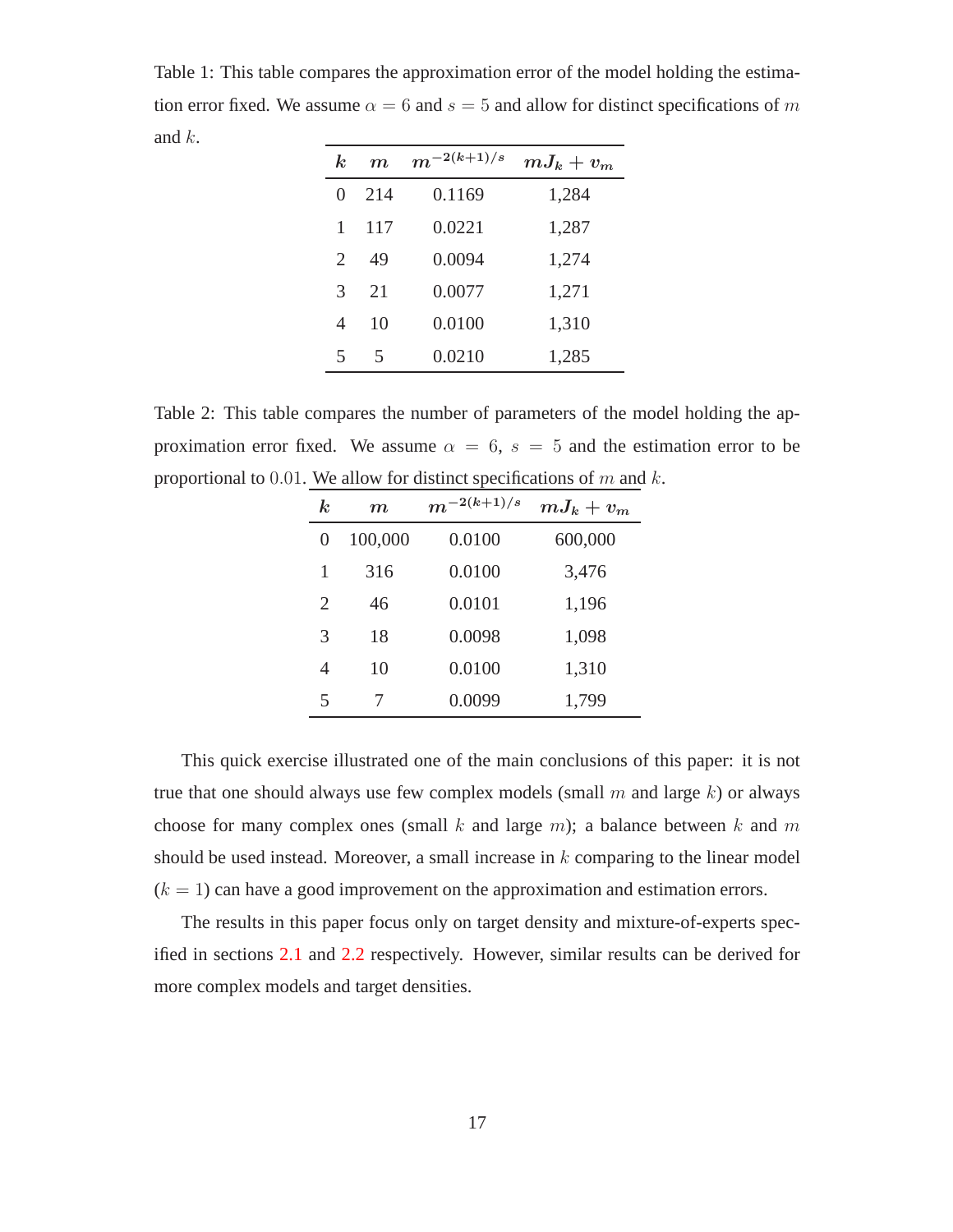<span id="page-16-0"></span>Table 1: This table compares the approximation error of the model holding the estimation error fixed. We assume  $\alpha = 6$  and  $s = 5$  and allow for distinct specifications of m and k.

| $\boldsymbol{k}$ | $\boldsymbol{m}$ | $m^{-2(k+1)/s}$ | $mJ_k+v_m$ |
|------------------|------------------|-----------------|------------|
| 0                | 214              | 0.1169          | 1,284      |
| 1                | 117              | 0.0221          | 1,287      |
| 2                | 49               | 0.0094          | 1,274      |
| 3                | 21               | 0.0077          | 1,271      |
| $\overline{4}$   | 10               | 0.0100          | 1,310      |
| 5                | 5                | 0.0210          | 1,285      |

<span id="page-16-1"></span>Table 2: This table compares the number of parameters of the model holding the approximation error fixed. We assume  $\alpha = 6$ ,  $s = 5$  and the estimation error to be proportional to 0.01. We allow for distinct specifications of  $m$  and  $k$ .

| $\boldsymbol{k}$ | $\boldsymbol{m}$ | $m^{-2(k+1)/s}$ | $mJ_k+v_m$ |
|------------------|------------------|-----------------|------------|
| $\mathbf{0}$     | 100,000          | 0.0100          | 600,000    |
| 1                | 316              | 0.0100          | 3,476      |
| 2                | 46               | 0.0101          | 1,196      |
| 3                | 18               | 0.0098          | 1,098      |
| 4                | 10               | 0.0100          | 1,310      |
| 5                |                  | 0.0099          | 1,799      |

This quick exercise illustrated one of the main conclusions of this paper: it is not true that one should always use few complex models (small  $m$  and large  $k$ ) or always choose for many complex ones (small k and large m); a balance between k and m should be used instead. Moreover, a small increase in  $k$  comparing to the linear model  $(k = 1)$  can have a good improvement on the approximation and estimation errors.

The results in this paper focus only on target density and mixture-of-experts specified in sections [2.1](#page-4-1) and [2.2](#page-5-2) respectively. However, similar results can be derived for more complex models and target densities.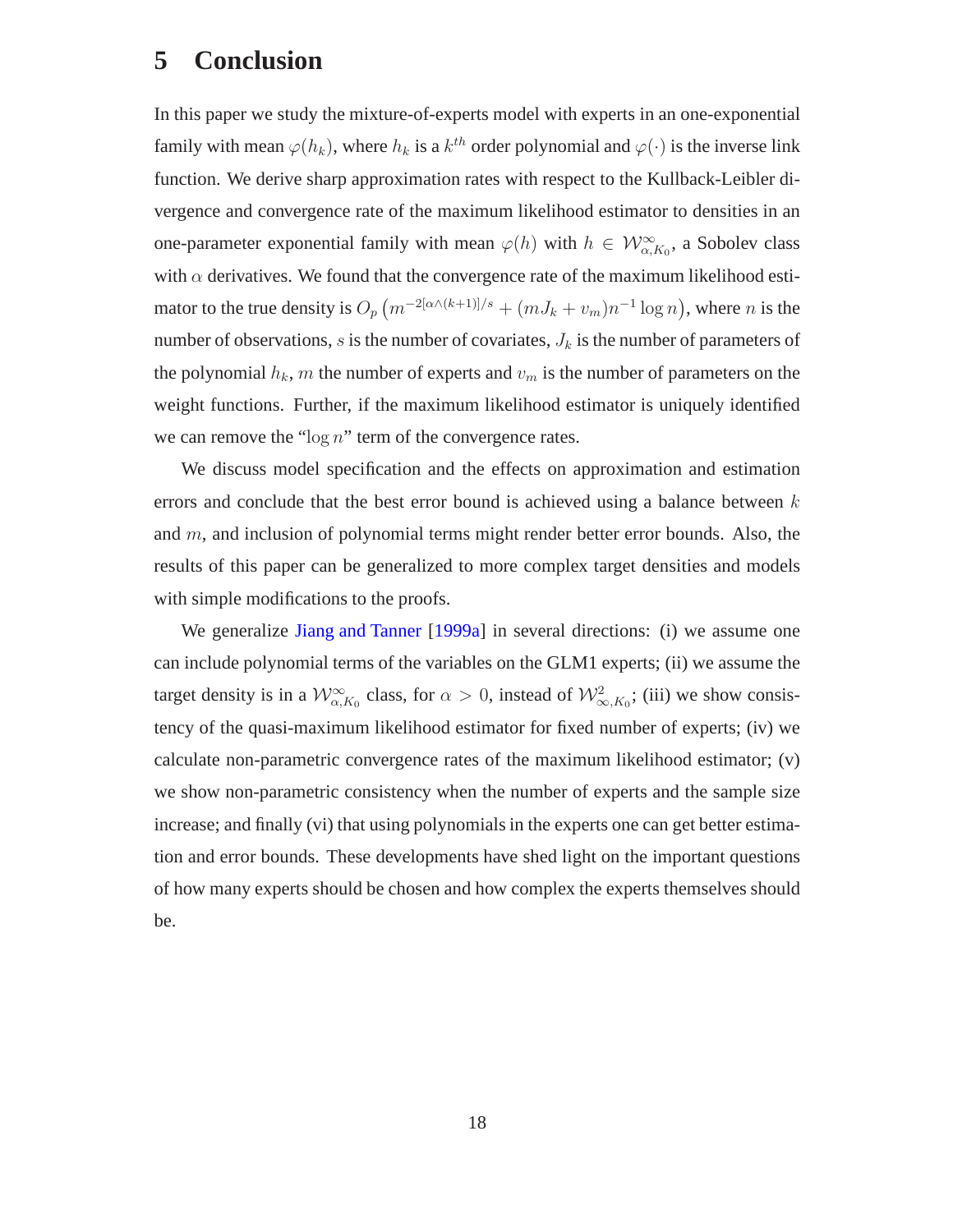## **5 Conclusion**

In this paper we study the mixture-of-experts model with experts in an one-exponential family with mean  $\varphi(h_k)$ , where  $h_k$  is a  $k^{th}$  order polynomial and  $\varphi(\cdot)$  is the inverse link function. We derive sharp approximation rates with respect to the Kullback-Leibler divergence and convergence rate of the maximum likelihood estimator to densities in an one-parameter exponential family with mean  $\varphi(h)$  with  $h \in \mathcal{W}^{\infty}_{\alpha,K_0}$ , a Sobolev class with  $\alpha$  derivatives. We found that the convergence rate of the maximum likelihood estimator to the true density is  $O_p (m^{-2[\alpha \wedge (k+1)]/s} + (mJ_k + v_m)n^{-1} \log n)$ , where n is the number of observations, s is the number of covariates,  $J_k$  is the number of parameters of the polynomial  $h_k$ , m the number of experts and  $v_m$  is the number of parameters on the weight functions. Further, if the maximum likelihood estimator is uniquely identified we can remove the " $\log n$ " term of the convergence rates.

We discuss model specification and the effects on approximation and estimation errors and conclude that the best error bound is achieved using a balance between  $k$ and m, and inclusion of polynomial terms might render better error bounds. Also, the results of this paper can be generalized to more complex target densities and models with simple modifications to the proofs.

We generalize [Jiang and Tanner](#page-19-3) [\[1999a](#page-19-3)] in several directions: (i) we assume one can include polynomial terms of the variables on the GLM1 experts; (ii) we assume the target density is in a  $\mathcal{W}^{\infty}_{\alpha,K_0}$  class, for  $\alpha > 0$ , instead of  $\mathcal{W}^2_{\infty,K_0}$ ; (iii) we show consistency of the quasi-maximum likelihood estimator for fixed number of experts; (iv) we calculate non-parametric convergence rates of the maximum likelihood estimator; (v) we show non-parametric consistency when the number of experts and the sample size increase; and finally (vi) that using polynomials in the experts one can get better estimation and error bounds. These developments have shed light on the important questions of how many experts should be chosen and how complex the experts themselves should be.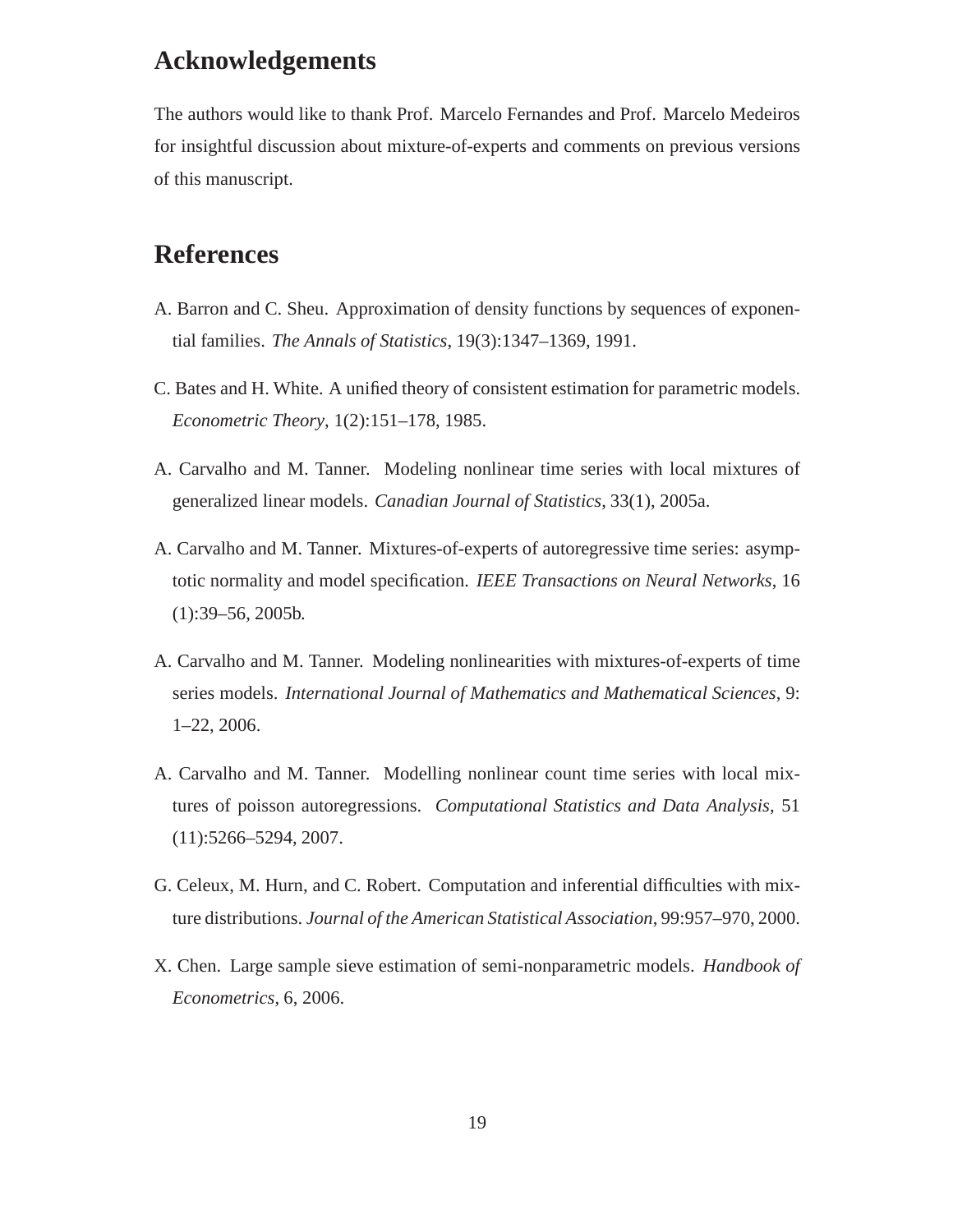## **Acknowledgements**

The authors would like to thank Prof. Marcelo Fernandes and Prof. Marcelo Medeiros for insightful discussion about mixture-of-experts and comments on previous versions of this manuscript.

# **References**

- <span id="page-18-7"></span>A. Barron and C. Sheu. Approximation of density functions by sequences of exponential families. *The Annals of Statistics*, 19(3):1347–1369, 1991.
- <span id="page-18-3"></span>C. Bates and H. White. A unified theory of consistent estimation for parametric models. *Econometric Theory*, 1(2):151–178, 1985.
- <span id="page-18-0"></span>A. Carvalho and M. Tanner. Modeling nonlinear time series with local mixtures of generalized linear models. *Canadian Journal of Statistics*, 33(1), 2005a.
- <span id="page-18-4"></span>A. Carvalho and M. Tanner. Mixtures-of-experts of autoregressive time series: asymptotic normality and model specification. *IEEE Transactions on Neural Networks*, 16 (1):39–56, 2005b.
- <span id="page-18-5"></span>A. Carvalho and M. Tanner. Modeling nonlinearities with mixtures-of-experts of time series models. *International Journal of Mathematics and Mathematical Sciences*, 9: 1–22, 2006.
- <span id="page-18-6"></span>A. Carvalho and M. Tanner. Modelling nonlinear count time series with local mixtures of poisson autoregressions. *Computational Statistics and Data Analysis*, 51 (11):5266–5294, 2007.
- <span id="page-18-1"></span>G. Celeux, M. Hurn, and C. Robert. Computation and inferential difficulties with mixture distributions. *Journal of the American Statistical Association*, 99:957–970, 2000.
- <span id="page-18-2"></span>X. Chen. Large sample sieve estimation of semi-nonparametric models. *Handbook of Econometrics*, 6, 2006.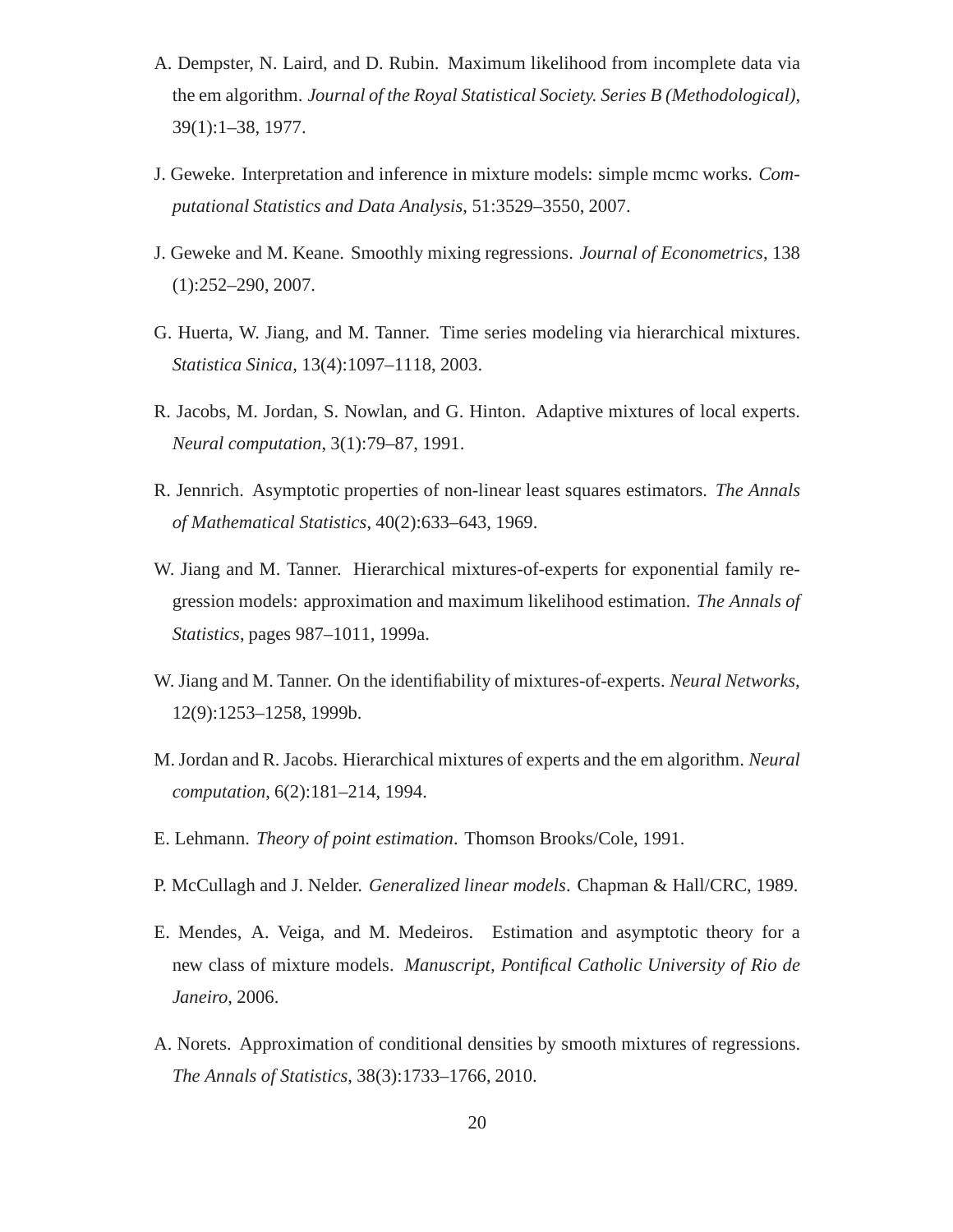- <span id="page-19-11"></span>A. Dempster, N. Laird, and D. Rubin. Maximum likelihood from incomplete data via the em algorithm. *Journal of the Royal Statistical Society. Series B (Methodological)*, 39(1):1–38, 1977.
- <span id="page-19-4"></span>J. Geweke. Interpretation and inference in mixture models: simple mcmc works. *Computational Statistics and Data Analysis*, 51:3529–3550, 2007.
- <span id="page-19-2"></span>J. Geweke and M. Keane. Smoothly mixing regressions. *Journal of Econometrics*, 138 (1):252–290, 2007.
- <span id="page-19-10"></span>G. Huerta, W. Jiang, and M. Tanner. Time series modeling via hierarchical mixtures. *Statistica Sinica*, 13(4):1097–1118, 2003.
- <span id="page-19-0"></span>R. Jacobs, M. Jordan, S. Nowlan, and G. Hinton. Adaptive mixtures of local experts. *Neural computation*, 3(1):79–87, 1991.
- <span id="page-19-12"></span>R. Jennrich. Asymptotic properties of non-linear least squares estimators. *The Annals of Mathematical Statistics*, 40(2):633–643, 1969.
- <span id="page-19-3"></span>W. Jiang and M. Tanner. Hierarchical mixtures-of-experts for exponential family regression models: approximation and maximum likelihood estimation. *The Annals of Statistics*, pages 987–1011, 1999a.
- <span id="page-19-9"></span>W. Jiang and M. Tanner. On the identifiability of mixtures-of-experts. *Neural Networks*, 12(9):1253–1258, 1999b.
- <span id="page-19-1"></span>M. Jordan and R. Jacobs. Hierarchical mixtures of experts and the em algorithm. *Neural computation*, 6(2):181–214, 1994.
- <span id="page-19-7"></span>E. Lehmann. *Theory of point estimation*. Thomson Brooks/Cole, 1991.
- <span id="page-19-8"></span>P. McCullagh and J. Nelder. *Generalized linear models*. Chapman & Hall/CRC, 1989.
- <span id="page-19-5"></span>E. Mendes, A. Veiga, and M. Medeiros. Estimation and asymptotic theory for a new class of mixture models. *Manuscript, Pontifical Catholic University of Rio de Janeiro*, 2006.
- <span id="page-19-6"></span>A. Norets. Approximation of conditional densities by smooth mixtures of regressions. *The Annals of Statistics*, 38(3):1733–1766, 2010.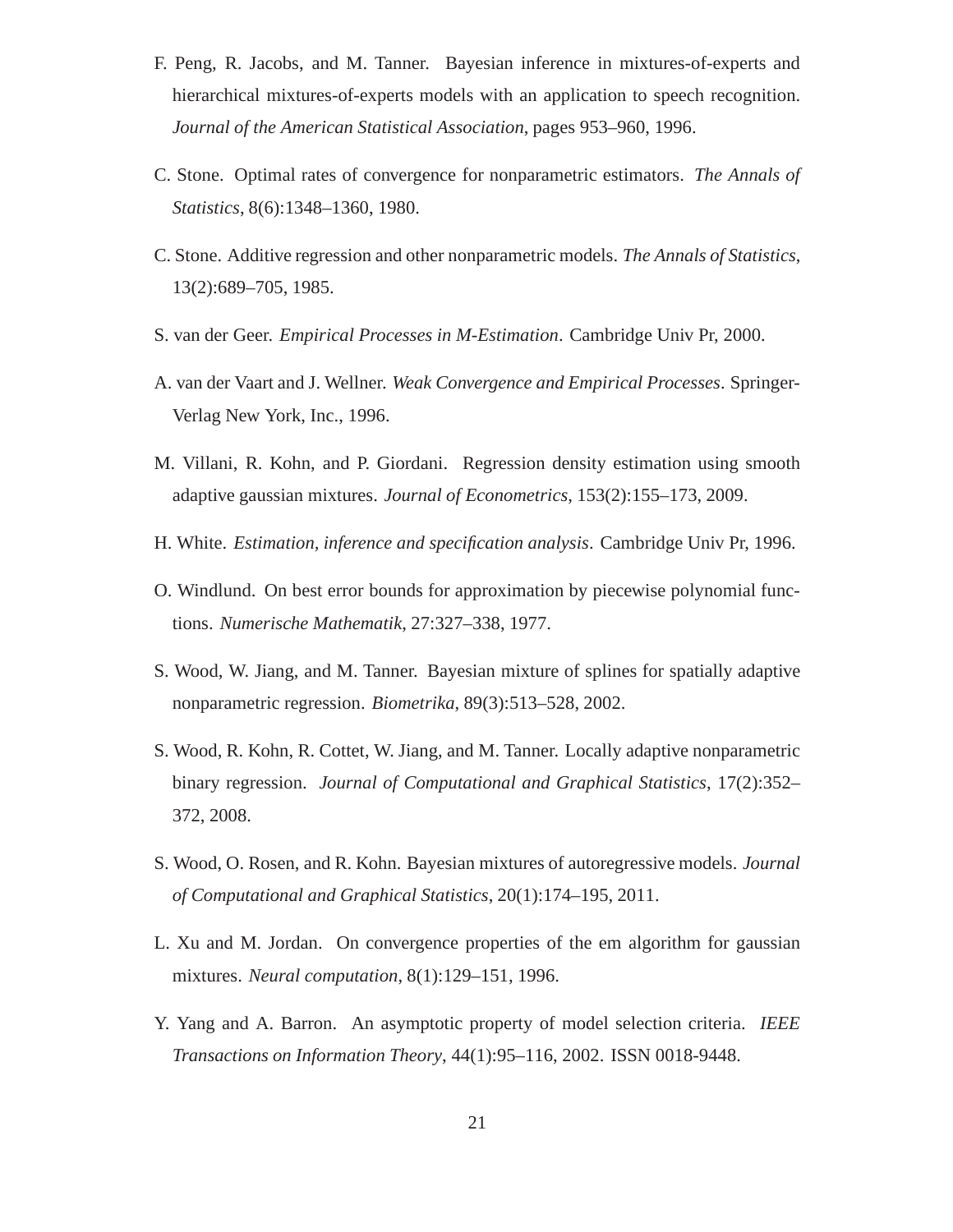- <span id="page-20-4"></span>F. Peng, R. Jacobs, and M. Tanner. Bayesian inference in mixtures-of-experts and hierarchical mixtures-of-experts models with an application to speech recognition. *Journal of the American Statistical Association*, pages 953–960, 1996.
- <span id="page-20-6"></span>C. Stone. Optimal rates of convergence for nonparametric estimators. *The Annals of Statistics*, 8(6):1348–1360, 1980.
- <span id="page-20-7"></span>C. Stone. Additive regression and other nonparametric models. *The Annals of Statistics*, 13(2):689–705, 1985.
- <span id="page-20-10"></span>S. van der Geer. *Empirical Processes in M-Estimation*. Cambridge Univ Pr, 2000.
- <span id="page-20-12"></span>A. van der Vaart and J. Wellner. *Weak Convergence and Empirical Processes*. Springer-Verlag New York, Inc., 1996.
- <span id="page-20-2"></span>M. Villani, R. Kohn, and P. Giordani. Regression density estimation using smooth adaptive gaussian mixtures. *Journal of Econometrics*, 153(2):155–173, 2009.
- <span id="page-20-8"></span>H. White. *Estimation, inference and specification analysis*. Cambridge Univ Pr, 1996.
- <span id="page-20-5"></span>O. Windlund. On best error bounds for approximation by piecewise polynomial functions. *Numerische Mathematik*, 27:327–338, 1977.
- <span id="page-20-0"></span>S. Wood, W. Jiang, and M. Tanner. Bayesian mixture of splines for spatially adaptive nonparametric regression. *Biometrika*, 89(3):513–528, 2002.
- <span id="page-20-1"></span>S. Wood, R. Kohn, R. Cottet, W. Jiang, and M. Tanner. Locally adaptive nonparametric binary regression. *Journal of Computational and Graphical Statistics*, 17(2):352– 372, 2008.
- <span id="page-20-3"></span>S. Wood, O. Rosen, and R. Kohn. Bayesian mixtures of autoregressive models. *Journal of Computational and Graphical Statistics*, 20(1):174–195, 2011.
- <span id="page-20-9"></span>L. Xu and M. Jordan. On convergence properties of the em algorithm for gaussian mixtures. *Neural computation*, 8(1):129–151, 1996.
- <span id="page-20-11"></span>Y. Yang and A. Barron. An asymptotic property of model selection criteria. *IEEE Transactions on Information Theory*, 44(1):95–116, 2002. ISSN 0018-9448.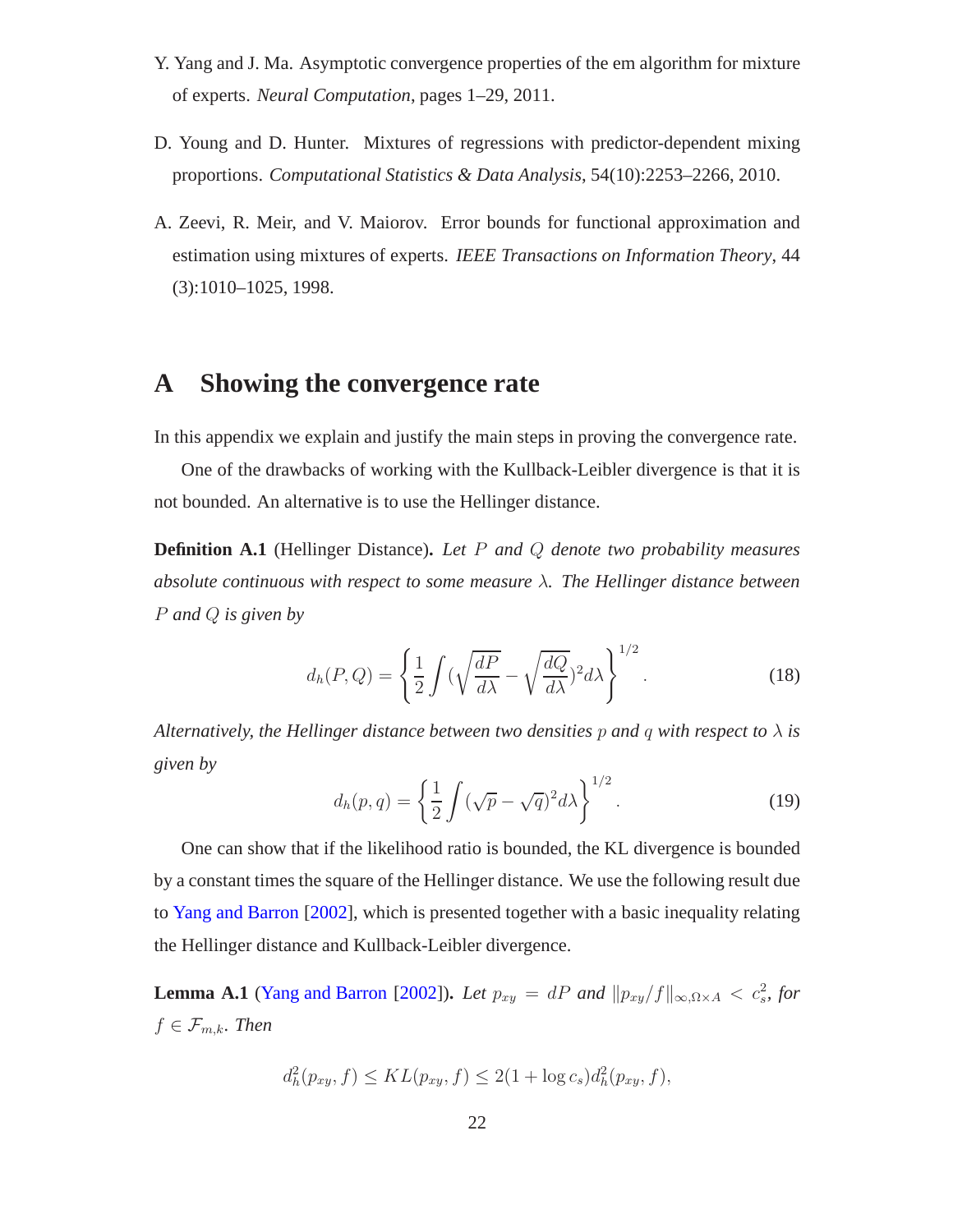- <span id="page-21-2"></span>Y. Yang and J. Ma. Asymptotic convergence properties of the em algorithm for mixture of experts. *Neural Computation*, pages 1–29, 2011.
- <span id="page-21-0"></span>D. Young and D. Hunter. Mixtures of regressions with predictor-dependent mixing proportions. *Computational Statistics & Data Analysis*, 54(10):2253–2266, 2010.
- <span id="page-21-1"></span>A. Zeevi, R. Meir, and V. Maiorov. Error bounds for functional approximation and estimation using mixtures of experts. *IEEE Transactions on Information Theory*, 44 (3):1010–1025, 1998.

## **A Showing the convergence rate**

In this appendix we explain and justify the main steps in proving the convergence rate.

One of the drawbacks of working with the Kullback-Leibler divergence is that it is not bounded. An alternative is to use the Hellinger distance.

**Definition A.1** (Hellinger Distance)**.** *Let* P *and* Q *denote two probability measures absolute continuous with respect to some measure* λ*. The Hellinger distance between* P *and* Q *is given by*

$$
d_h(P,Q) = \left\{ \frac{1}{2} \int \left( \sqrt{\frac{dP}{d\lambda}} - \sqrt{\frac{dQ}{d\lambda}} \right)^2 d\lambda \right\}^{1/2}.
$$
 (18)

*Alternatively, the Hellinger distance between two densities* p and q with respect to  $\lambda$  is *given by*

$$
d_h(p,q) = \left\{ \frac{1}{2} \int (\sqrt{p} - \sqrt{q})^2 d\lambda \right\}^{1/2}.
$$
 (19)

One can show that if the likelihood ratio is bounded, the KL divergence is bounded by a constant times the square of the Hellinger distance. We use the following result due to [Yang and Barron](#page-20-11) [\[2002](#page-20-11)], which is presented together with a basic inequality relating the Hellinger distance and Kullback-Leibler divergence.

<span id="page-21-3"></span>**Lemma A.1** [\(Yang and Barron](#page-20-11) [\[2002\]](#page-20-11)). *Let*  $p_{xy} = dP$  *and*  $||p_{xy}/f||_{\infty, \Omega \times A} < c_s^2$ , for  $f \in \mathcal{F}_{m,k}$ . Then

$$
d_h^2(p_{xy}, f) \leq KL(p_{xy}, f) \leq 2(1 + \log c_s) d_h^2(p_{xy}, f),
$$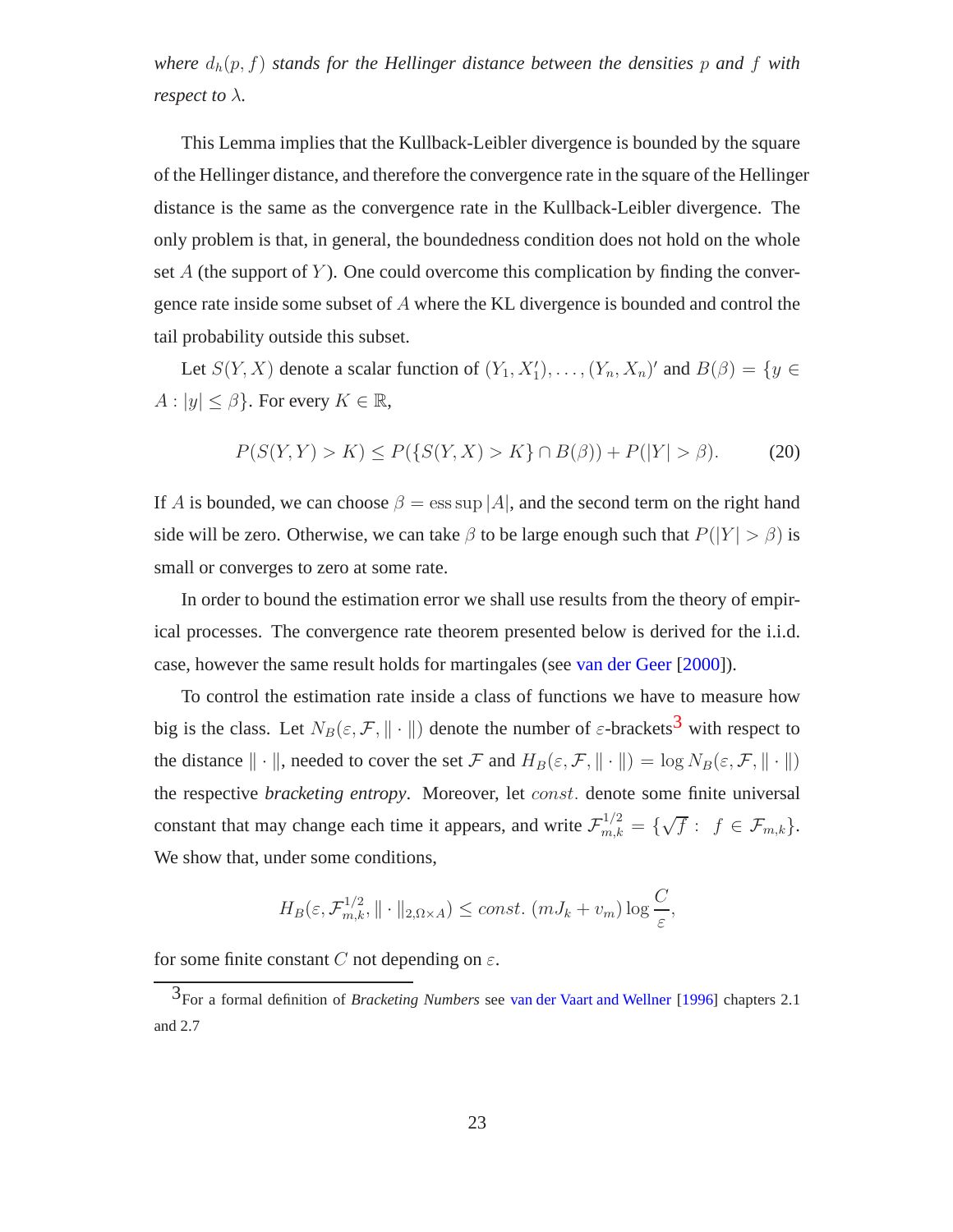*where*  $d_h(p, f)$  *stands for the Hellinger distance between the densities* p and f with *respect to*  $\lambda$ *.* 

This Lemma implies that the Kullback-Leibler divergence is bounded by the square of the Hellinger distance, and therefore the convergence rate in the square of the Hellinger distance is the same as the convergence rate in the Kullback-Leibler divergence. The only problem is that, in general, the boundedness condition does not hold on the whole set  $A$  (the support of  $Y$ ). One could overcome this complication by finding the convergence rate inside some subset of A where the KL divergence is bounded and control the tail probability outside this subset.

Let  $S(Y, X)$  denote a scalar function of  $(Y_1, X'_1), \ldots, (Y_n, X_n)'$  and  $B(\beta) = \{y \in X\}$  $A: |y| \leq \beta$ . For every  $K \in \mathbb{R}$ ,

<span id="page-22-1"></span>
$$
P(S(Y, Y) > K) \le P(\{S(Y, X) > K\} \cap B(\beta)) + P(|Y| > \beta).
$$
 (20)

If A is bounded, we can choose  $\beta = \text{ess sup } |A|$ , and the second term on the right hand side will be zero. Otherwise, we can take  $\beta$  to be large enough such that  $P(|Y| > \beta)$  is small or converges to zero at some rate.

In order to bound the estimation error we shall use results from the theory of empirical processes. The convergence rate theorem presented below is derived for the i.i.d. case, however the same result holds for martingales (see [van der Geer](#page-20-10) [\[2000\]](#page-20-10)).

To control the estimation rate inside a class of functions we have to measure how big is the class. Let  $N_B(\varepsilon, \mathcal{F}, \| \cdot \|)$  denote the number of  $\varepsilon$ -brackets<sup>[3](#page-22-0)</sup> with respect to the distance  $\|\cdot\|$ , needed to cover the set F and  $H_B(\varepsilon, \mathcal{F}, \| \cdot \|) = \log N_B(\varepsilon, \mathcal{F}, \| \cdot \|)$ the respective *bracketing entropy*. Moreover, let const. denote some finite universal constant that may change each time it appears, and write  $\mathcal{F}_{m,k}^{1/2} = \{ \sqrt{f} : f \in \mathcal{F}_{m,k} \}.$ We show that, under some conditions,

$$
H_B(\varepsilon, \mathcal{F}_{m,k}^{1/2}, \|\cdot\|_{2,\Omega\times A}) \le const. \left(mJ_k + v_m\right) \log \frac{C}{\varepsilon},
$$

for some finite constant C not depending on  $\varepsilon$ .

<span id="page-22-0"></span><sup>3</sup>For a formal definition of *Bracketing Numbers* see [van der Vaart and Wellner](#page-20-12) [\[1996\]](#page-20-12) chapters 2.1 and 2.7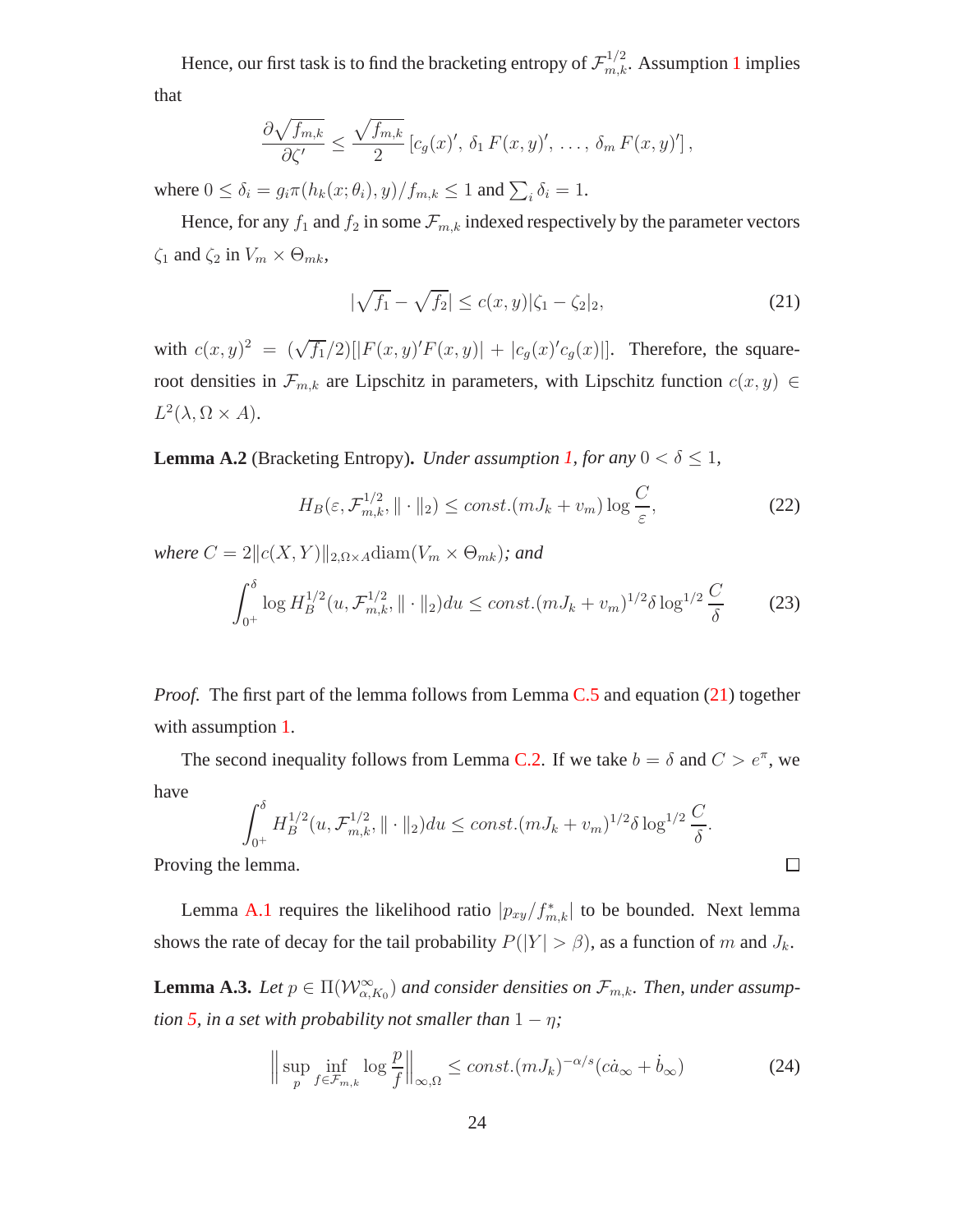Hence, our first task is to find the bracketing entropy of  $\mathcal{F}_{m,k}^{1/2}$  $\mathcal{F}_{m,k}^{1/2}$  $\mathcal{F}_{m,k}^{1/2}$ . Assumption 1 implies that

$$
\frac{\partial \sqrt{f_{m,k}}}{\partial \zeta'} \leq \frac{\sqrt{f_{m,k}}}{2} \left[ c_g(x)', \delta_1 F(x,y)', \ldots, \delta_m F(x,y)'\right],
$$

where  $0 \le \delta_i = g_i \pi(h_k(x; \theta_i), y) / f_{m,k} \le 1$  and  $\sum_i \delta_i = 1$ .

Hence, for any  $f_1$  and  $f_2$  in some  $\mathcal{F}_{m,k}$  indexed respectively by the parameter vectors  $\zeta_1$  and  $\zeta_2$  in  $V_m \times \Theta_{mk}$ ,

<span id="page-23-0"></span>
$$
|\sqrt{f_1} - \sqrt{f_2}| \le c(x, y)|\zeta_1 - \zeta_2|_2,
$$
\n(21)

with  $c(x, y)^2 = (\sqrt{f_1}/2)[|F(x, y)'F(x, y)| + |c_g(x)'c_g(x)|]$ . Therefore, the squareroot densities in  $\mathcal{F}_{m,k}$  are Lipschitz in parameters, with Lipschitz function  $c(x, y) \in$  $L^2(\lambda, \Omega \times A).$ 

**Lemma A.2** (Bracketing Entropy). *Under assumption [1,](#page-5-1) for any*  $0 < \delta \leq 1$ *,* 

$$
H_B(\varepsilon, \mathcal{F}_{m,k}^{1/2}, \|\cdot\|_2) \le const. (mJ_k + v_m) \log \frac{C}{\varepsilon},\tag{22}
$$

*where*  $C = 2||c(X, Y)||_{2, \Omega \times A}$ diam $(V_m \times \Theta_{mk})$ *; and* 

<span id="page-23-2"></span>
$$
\int_{0^+}^{\delta} \log H_B^{1/2}(u, \mathcal{F}_{m,k}^{1/2}, ||\cdot||_2) du \le const. (mJ_k + v_m)^{1/2} \delta \log^{1/2} \frac{C}{\delta}
$$
 (23)

*Proof.* The first part of the lemma follows from Lemma [C.5](#page-33-0) and equation [\(21\)](#page-23-0) together with assumption [1.](#page-5-1)

The second inequality follows from Lemma [C.2.](#page-31-0) If we take  $b = \delta$  and  $C > e^{\pi}$ , we have

$$
\int_{0^+}^{\delta} H_B^{1/2}(u, \mathcal{F}_{m,k}^{1/2}, ||\cdot||_2) du \le const. (mJ_k + v_m)^{1/2} \delta \log^{1/2} \frac{C}{\delta}.
$$

Proving the lemma.

Lemma [A.1](#page-21-3) requires the likelihood ratio  $|p_{xy}/f_{m,k}^*|$  to be bounded. Next lemma shows the rate of decay for the tail probability  $P(|Y| > \beta)$ , as a function of m and  $J_k$ .

**Lemma A.3.** Let  $p \in \Pi(W_{\alpha,K_0}^{\infty})$  and consider densities on  $\mathcal{F}_{m,k}$ . Then, under assump*tion* [5,](#page-10-0) *in a set with probability not smaller than*  $1 - \eta$ ;

<span id="page-23-1"></span>
$$
\left\| \sup_{p} \inf_{f \in \mathcal{F}_{m,k}} \log \frac{p}{f} \right\|_{\infty,\Omega} \le const. (mJ_k)^{-\alpha/s} (c\dot{a}_{\infty} + \dot{b}_{\infty}) \tag{24}
$$

 $\Box$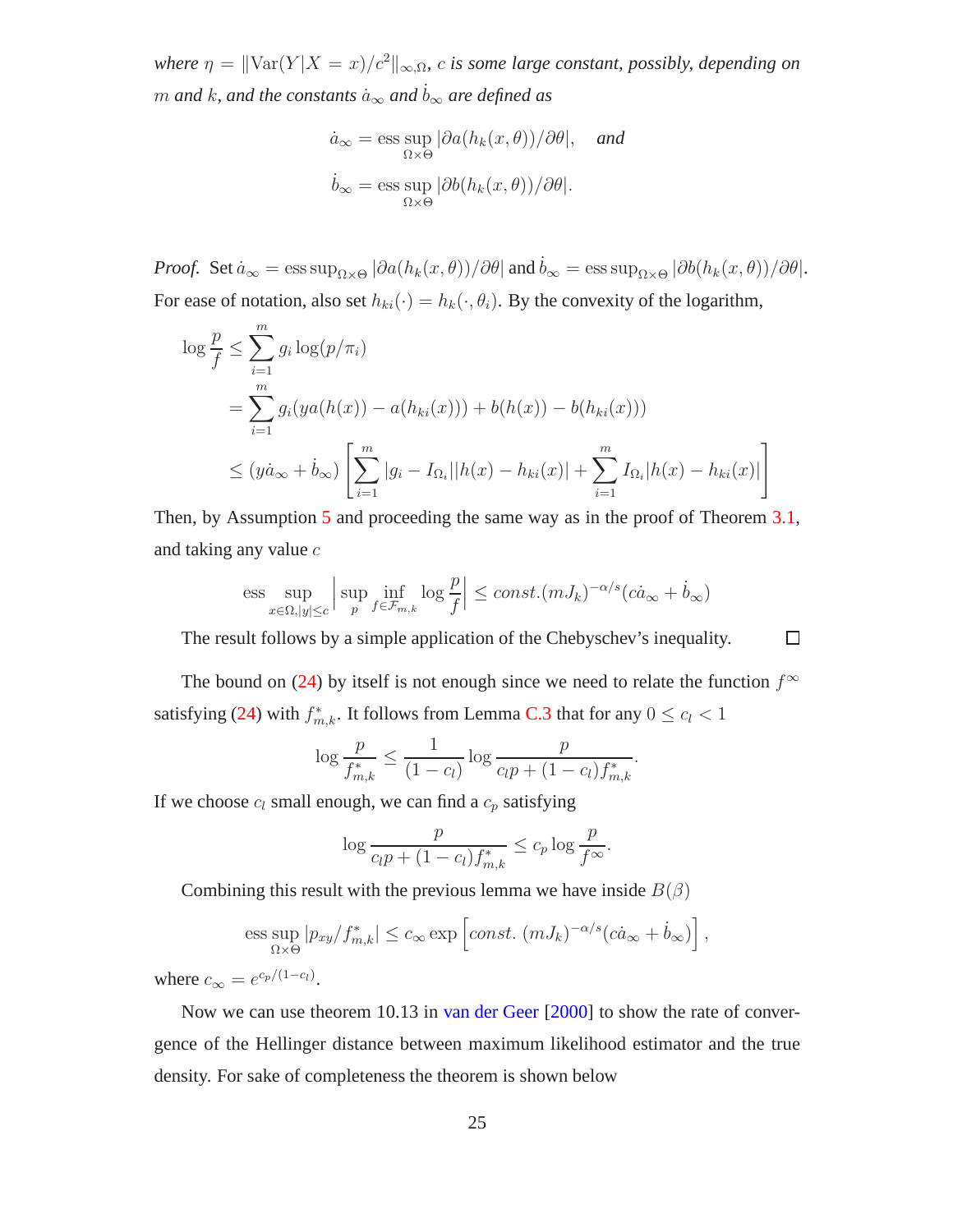*where*  $\eta = ||\text{Var}(Y | X = x)/c^2||_{\infty,\Omega}$ , *c is some large constant, possibly, depending on m* and *k*, and the constants  $a_{\infty}$  and  $b_{\infty}$  are defined as

$$
\dot{a}_{\infty} = \underset{\Omega \times \Theta}{\text{ess sup}} |\partial a(h_k(x, \theta)) / \partial \theta|, \text{ and}
$$

$$
\dot{b}_{\infty} = \underset{\Omega \times \Theta}{\text{ess sup}} |\partial b(h_k(x, \theta)) / \partial \theta|.
$$

*Proof.* Set  $\dot{a}_{\infty} = \text{ess sup}_{\Omega \times \Theta} |\partial a(h_k(x, \theta)) / \partial \theta|$  and  $\dot{b}_{\infty} = \text{ess sup}_{\Omega \times \Theta} |\partial b(h_k(x, \theta)) / \partial \theta|$ . For ease of notation, also set  $h_{ki}(\cdot) = h_k(\cdot, \theta_i)$ . By the convexity of the logarithm,

$$
\log \frac{p}{f} \leq \sum_{i=1}^{m} g_i \log(p/\pi_i)
$$
  
= 
$$
\sum_{i=1}^{m} g_i (ya(h(x)) - a(h_{ki}(x))) + b(h(x)) - b(h_{ki}(x)))
$$
  

$$
\leq (y\dot{a}_{\infty} + \dot{b}_{\infty}) \left[ \sum_{i=1}^{m} |g_i - I_{\Omega_i}| |h(x) - h_{ki}(x)| + \sum_{i=1}^{m} I_{\Omega_i} |h(x) - h_{ki}(x)| \right]
$$

Then, by Assumption [5](#page-10-0) and proceeding the same way as in the proof of Theorem [3.1,](#page-11-0) and taking any value c

$$
\text{ess} \sup_{x \in \Omega, |y| \le c} \left| \sup_p \inf_{f \in \mathcal{F}_{m,k}} \log \frac{p}{f} \right| \le const. (mJ_k)^{-\alpha/s} (c\dot{a}_{\infty} + \dot{b}_{\infty})
$$

The result follows by a simple application of the Chebyschev's inequality.  $\Box$ 

The bound on [\(24\)](#page-23-1) by itself is not enough since we need to relate the function  $f^{\infty}$ satisfying [\(24\)](#page-23-1) with  $f_{m,k}^*$ . It follows from Lemma [C.3](#page-32-0) that for any  $0 \leq c_l < 1$ 

$$
\log \frac{p}{f_{m,k}^*} \le \frac{1}{(1-c_l)} \log \frac{p}{c_l p + (1-c_l) f_{m,k}^*}.
$$

If we choose  $c_l$  small enough, we can find a  $c_p$  satisfying

$$
\log \frac{p}{c_l p + (1 - c_l) f_{m,k}^*} \le c_p \log \frac{p}{f^{\infty}}.
$$

Combining this result with the previous lemma we have inside  $B(\beta)$ 

$$
\text{ess}\sup_{\Omega\times\Theta}|p_{xy}/f_{m,k}^*|\leq c_\infty\exp\left[const.\ (mJ_k)^{-\alpha/s}(c\dot{a}_\infty+\dot{b}_\infty)\right],
$$

where  $c_{\infty} = e^{c_p/(1-c_l)}$ .

<span id="page-24-0"></span>Now we can use theorem 10.13 in [van der Geer](#page-20-10) [\[2000\]](#page-20-10) to show the rate of convergence of the Hellinger distance between maximum likelihood estimator and the true density. For sake of completeness the theorem is shown below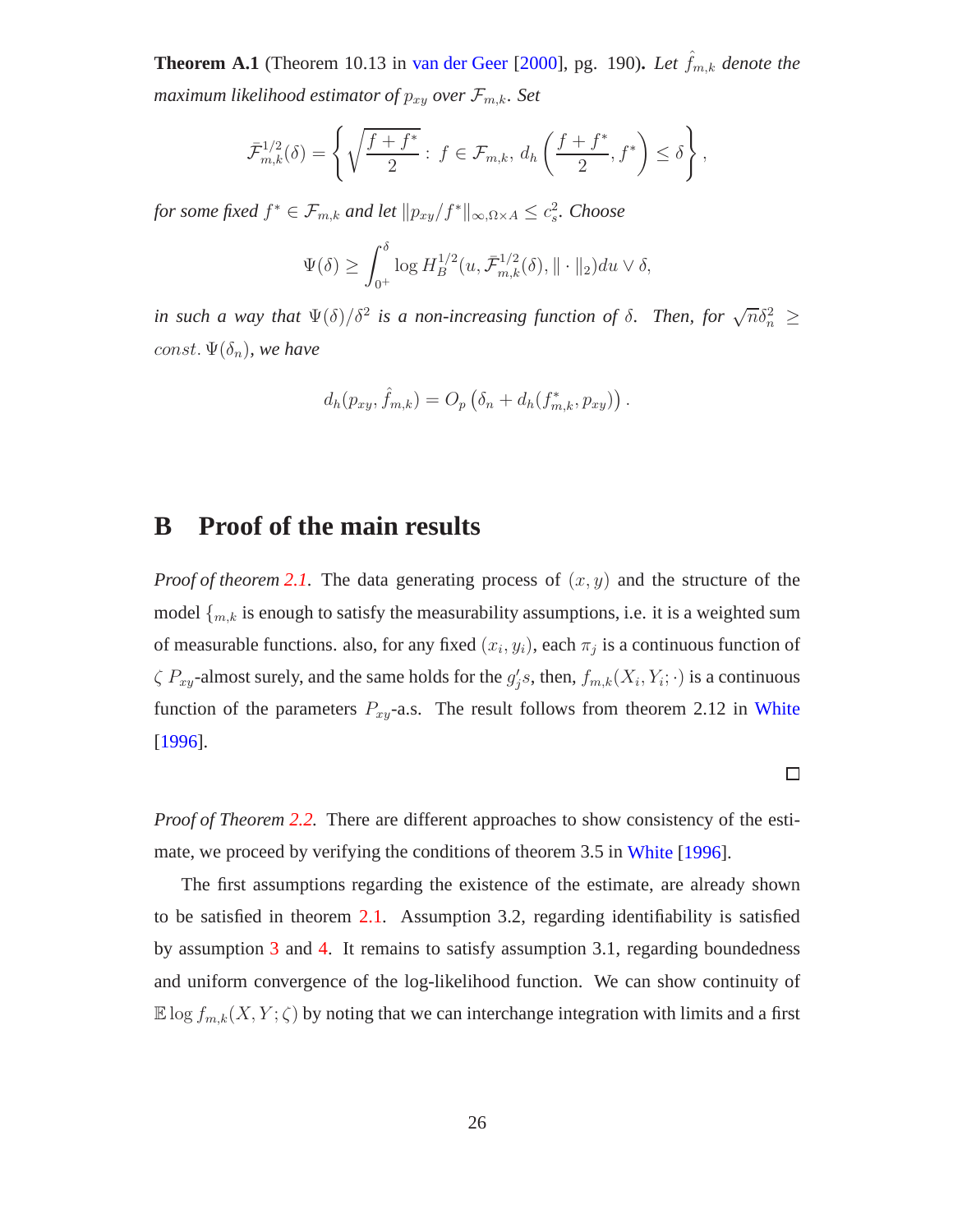**Theorem A.1** (Theorem 10.13 in [van der Geer](#page-20-10) [\[2000](#page-20-10)], pg. 190). Let  $\hat{f}_{m,k}$  denote the *maximum likelihood estimator of*  $p_{xy}$  *over*  $\mathcal{F}_{m,k}$ *. Set* 

$$
\bar{\mathcal{F}}_{m,k}^{1/2}(\delta) = \left\{ \sqrt{\frac{f+f^*}{2}} : f \in \mathcal{F}_{m,k}, d_h\left(\frac{f+f^*}{2}, f^*\right) \le \delta \right\},\,
$$

*for some fixed*  $f^* \in \mathcal{F}_{m,k}$  *and let*  $\|p_{xy}/f^*\|_{\infty, \Omega \times A} \leq c_s^2$ . *Choose* 

$$
\Psi(\delta) \ge \int_0^{\delta} \log H_B^{1/2}(u, \bar{\mathcal{F}}_{m,k}^{1/2}(\delta), \|\cdot\|_2) du \vee \delta,
$$

*in such a way that*  $\Psi(\delta)/\delta^2$  *is a non-increasing function of*  $\delta$ *. Then, for*  $\sqrt{n}\delta_n^2 \geq$ const.  $\Psi(\delta_n)$ *, we have* 

$$
d_h(p_{xy}, \hat{f}_{m,k}) = O_p\left(\delta_n + d_h(f_{m,k}^*, p_{xy})\right).
$$

### **B Proof of the main results**

*Proof of theorem* [2.1.](#page-6-4) The data generating process of  $(x, y)$  and the structure of the model  $\{m, k\}$  is enough to satisfy the measurability assumptions, i.e. it is a weighted sum of measurable functions. also, for any fixed  $(x_i, y_i)$ , each  $\pi_j$  is a continuous function of  $\zeta$   $P_{xy}$ -almost surely, and the same holds for the  $g'_j s$ , then,  $f_{m,k}(X_i, Y_i; \cdot)$  is a continuous function of the parameters  $P_{xy}$ -a.s. The result follows from theorem 2.12 in [White](#page-20-8) [\[1996\]](#page-20-8).

*Proof of Theorem [2.2.](#page-7-2)* There are different approaches to show consistency of the estimate, we proceed by verifying the conditions of theorem 3.5 in [White](#page-20-8) [\[1996](#page-20-8)].

 $\Box$ 

The first assumptions regarding the existence of the estimate, are already shown to be satisfied in theorem [2.1.](#page-6-4) Assumption 3.2, regarding identifiability is satisfied by assumption [3](#page-7-0) and [4.](#page-7-1) It remains to satisfy assumption 3.1, regarding boundedness and uniform convergence of the log-likelihood function. We can show continuity of  $\mathbb{E} \log f_{m,k}(X, Y; \zeta)$  by noting that we can interchange integration with limits and a first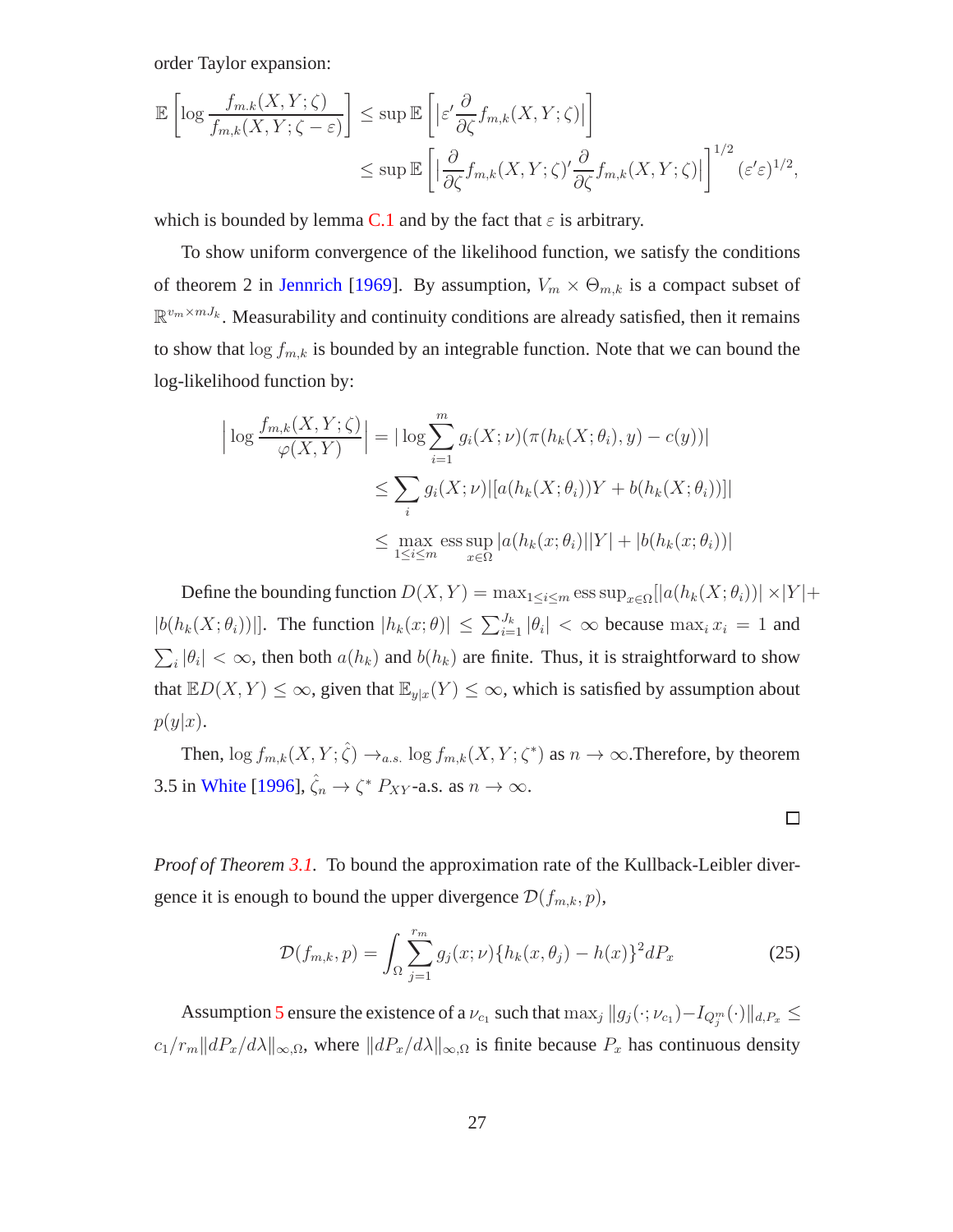order Taylor expansion:

$$
\mathbb{E}\left[\log \frac{f_{m,k}(X,Y;\zeta)}{f_{m,k}(X,Y;\zeta-\varepsilon)}\right] \leq \sup \mathbb{E}\left[\left|\varepsilon'\frac{\partial}{\partial \zeta}f_{m,k}(X,Y;\zeta)\right|\right] \leq \sup \mathbb{E}\left[\left|\frac{\partial}{\partial \zeta}f_{m,k}(X,Y;\zeta)'\frac{\partial}{\partial \zeta}f_{m,k}(X,Y;\zeta)\right|\right]^{1/2}(\varepsilon'\varepsilon)^{1/2},
$$

which is bounded by lemma [C.1](#page-30-0) and by the fact that  $\varepsilon$  is arbitrary.

To show uniform convergence of the likelihood function, we satisfy the conditions of theorem 2 in [Jennrich](#page-19-12) [\[1969](#page-19-12)]. By assumption,  $V_m \times \Theta_{m,k}$  is a compact subset of  $\mathbb{R}^{v_m \times mJ_k}$ . Measurability and continuity conditions are already satisfied, then it remains to show that  $\log f_{m,k}$  is bounded by an integrable function. Note that we can bound the log-likelihood function by:

$$
\left| \log \frac{f_{m,k}(X,Y;\zeta)}{\varphi(X,Y)} \right| = \left| \log \sum_{i=1}^{m} g_i(X;\nu) (\pi(h_k(X;\theta_i),y) - c(y)) \right|
$$
  

$$
\leq \sum_{i} g_i(X;\nu) \left| [a(h_k(X;\theta_i))Y + b(h_k(X;\theta_i))] \right|
$$
  

$$
\leq \max_{1 \leq i \leq m} \operatorname{ess} \sup_{x \in \Omega} |a(h_k(x;\theta_i)||Y| + |b(h_k(x;\theta_i))|
$$

Define the bounding function  $D(X, Y) = \max_{1 \leq i \leq m} \text{ess sup}_{x \in \Omega} [|a(h_k(X; \theta_i))| \times |Y| +$  $|b(h_k(X; \theta_i))|$ . The function  $|h_k(x; \theta)| \leq \sum_{i=1}^{J_k} |\theta_i| < \infty$  because  $\max_i x_i = 1$  and  $\sum_i |\theta_i| < \infty$ , then both  $a(h_k)$  and  $b(h_k)$  are finite. Thus, it is straightforward to show that  $\mathbb{E}D(X,Y) \leq \infty$ , given that  $\mathbb{E}_{y|x}(Y) \leq \infty$ , which is satisfied by assumption about  $p(y|x)$ .

Then,  $\log f_{m,k}(X, Y; \hat{\zeta}) \to_{a.s.} \log f_{m,k}(X, Y; \zeta^*)$  as  $n \to \infty$ . Therefore, by theorem 3.5 in [White](#page-20-8) [\[1996](#page-20-8)],  $\hat{\zeta}_n \to \zeta^* P_{XY}$ -a.s. as  $n \to \infty$ .

*Proof of Theorem [3.1.](#page-11-0)* To bound the approximation rate of the Kullback-Leibler divergence it is enough to bound the upper divergence  $\mathcal{D}(f_{m,k}, p)$ ,

$$
\mathcal{D}(f_{m,k}, p) = \int_{\Omega} \sum_{j=1}^{r_m} g_j(x; \nu) \{ h_k(x, \theta_j) - h(x) \}^2 dP_x \tag{25}
$$

 $\Box$ 

Assumption [5](#page-10-0) ensure the existence of a  $\nu_{c_1}$  such that  $\max_j \|g_j(\cdot;\nu_{c_1})-I_{Q_j^m}(\cdot)\|_{d,P_x} \le$  $c_1/r_m \|dP_x/d\lambda\|_{\infty,\Omega}$ , where  $\|dP_x/d\lambda\|_{\infty,\Omega}$  is finite because  $P_x$  has continuous density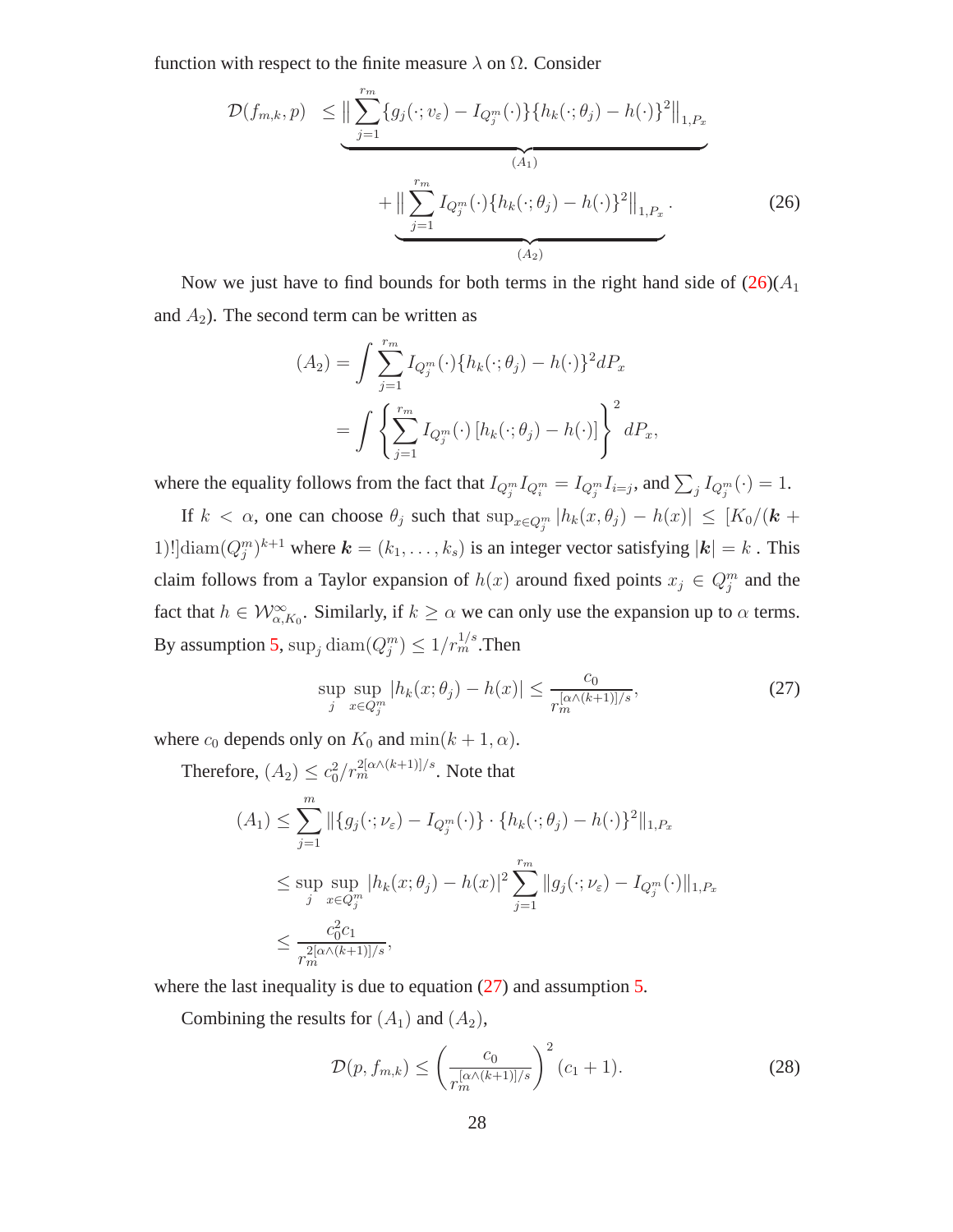function with respect to the finite measure  $\lambda$  on  $\Omega$ . Consider

<span id="page-27-0"></span>
$$
\mathcal{D}(f_{m,k}, p) \leq \Big\| \sum_{j=1}^{r_m} \{g_j(\cdot; v_{\varepsilon}) - I_{Q_j^m}(\cdot)\} \{h_k(\cdot; \theta_j) - h(\cdot)\}^2 \Big\|_{1, P_x} + \Big\| \sum_{j=1}^{r_m} I_{Q_j^m}(\cdot) \{h_k(\cdot; \theta_j) - h(\cdot)\}^2 \Big\|_{1, P_x}.
$$
\n(26)

Now we just have to find bounds for both terms in the right hand side of  $(26)(A<sub>1</sub>)$  $(26)(A<sub>1</sub>)$ and  $A_2$ ). The second term can be written as

$$
(A_2) = \int \sum_{j=1}^{r_m} I_{Q_j^m}(\cdot) \{ h_k(\cdot; \theta_j) - h(\cdot) \}^2 dP_x
$$
  
= 
$$
\int \left\{ \sum_{j=1}^{r_m} I_{Q_j^m}(\cdot) \left[ h_k(\cdot; \theta_j) - h(\cdot) \right] \right\}^2 dP_x,
$$

where the equality follows from the fact that  $I_{Q_j^m} I_{Q_i^m} = I_{Q_j^m} I_{i=j}$ , and  $\sum_j I_{Q_j^m}(\cdot) = 1$ .

If  $k < \alpha$ , one can choose  $\theta_j$  such that  $\sup_{x \in Q_j^m} |h_k(x, \theta_j) - h(x)| \leq [K_0/(k +$ 1)!] $\text{diam}(Q_j^m)^{k+1}$  where  $\mathbf{k} = (k_1, \ldots, k_s)$  is an integer vector satisfying  $|\mathbf{k}| = k$ . This claim follows from a Taylor expansion of  $h(x)$  around fixed points  $x_j \in Q_j^m$  and the fact that  $h \in \mathcal{W}^{\infty}_{\alpha,K_0}$ . Similarly, if  $k \geq \alpha$  we can only use the expansion up to  $\alpha$  terms. By assumption [5,](#page-10-0)  $\sup_j \text{diam}(Q_j^m) \leq 1/r_m^{1/s}$ . Then

<span id="page-27-1"></span>
$$
\sup_{j} \sup_{x \in Q_{j}^{m}} |h_{k}(x; \theta_{j}) - h(x)| \leq \frac{c_{0}}{r_{m}^{[\alpha \wedge (k+1)]/s}},
$$
\n(27)

where  $c_0$  depends only on  $K_0$  and  $\min(k + 1, \alpha)$ .

Therefore, 
$$
(A_2) \leq c_0^2 / r_m^{2[\alpha \wedge (k+1)]/s}
$$
. Note that  
\n
$$
(A_1) \leq \sum_{j=1}^m \|\{g_j(\cdot; \nu_{\varepsilon}) - I_{Q_j^m}(\cdot)\} \cdot \{h_k(\cdot; \theta_j) - h(\cdot)\}^2\|_{1, P_x}
$$
\n
$$
\leq \sup_j \sup_{x \in Q_j^m} |h_k(x; \theta_j) - h(x)|^2 \sum_{j=1}^{r_m} \|g_j(\cdot; \nu_{\varepsilon}) - I_{Q_j^m}(\cdot)\|_{1, P_x}
$$
\n
$$
\leq \frac{c_0^2 c_1}{r_m^{2[\alpha \wedge (k+1)]/s}},
$$

where the last inequality is due to equation  $(27)$  and assumption [5.](#page-10-0)

Combining the results for  $(A_1)$  and  $(A_2)$ ,

$$
\mathcal{D}(p, f_{m,k}) \le \left(\frac{c_0}{r_m^{[\alpha \wedge (k+1)]/s}}\right)^2 (c_1 + 1).
$$
 (28)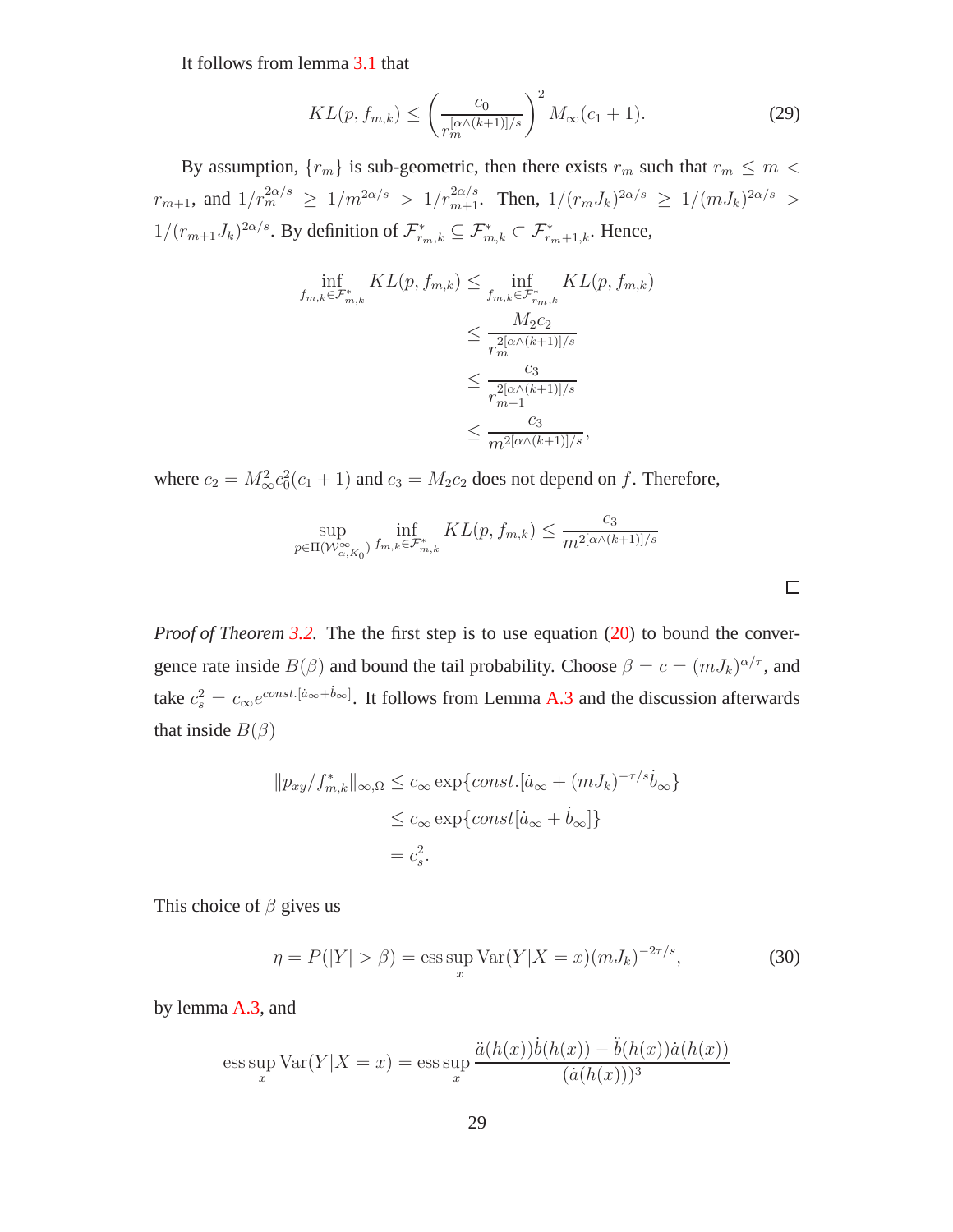It follows from lemma [3.1](#page-10-0) that

$$
KL(p, f_{m,k}) \le \left(\frac{c_0}{r_m^{[\alpha \wedge (k+1)]/s}}\right)^2 M_{\infty}(c_1+1).
$$
 (29)

By assumption,  ${r_m}$  is sub-geometric, then there exists  $r_m$  such that  $r_m \le m <$  $r_{m+1}$ , and  $1/r_m^{2\alpha/s} \ge 1/m^{2\alpha/s} > 1/r_{m+1}^{2\alpha/s}$ . Then,  $1/(r_m J_k)^{2\alpha/s} \ge 1/(m J_k)^{2\alpha/s} >$  $1/(r_{m+1}J_k)^{2\alpha/s}$ . By definition of  $\mathcal{F}_{r_m,k}^* \subseteq \mathcal{F}_{m,k}^* \subset \mathcal{F}_{r_m+1,k}^*$ . Hence,

$$
\inf_{f_{m,k}\in\mathcal{F}_{m,k}^*} KL(p, f_{m,k}) \leq \inf_{f_{m,k}\in\mathcal{F}_{r_m,k}^*} KL(p, f_{m,k})
$$
\n
$$
\leq \frac{M_2c_2}{r_m^{2[\alpha\wedge (k+1)]/s}}
$$
\n
$$
\leq \frac{c_3}{r_{m+1}^{2[\alpha\wedge (k+1)]/s}}
$$
\n
$$
\leq \frac{c_3}{m^{2[\alpha\wedge (k+1)]/s}},
$$

where  $c_2 = M_{\infty}^2 c_0^2 (c_1 + 1)$  and  $c_3 = M_2 c_2$  does not depend on f. Therefore,

$$
\sup_{p \in \Pi(\mathcal{W}_{\alpha,K_0}^{\infty})} \inf_{f_{m,k} \in \mathcal{F}_{m,k}^*} KL(p, f_{m,k}) \le \frac{c_3}{m^{2[\alpha \wedge (k+1)]/s}}
$$

*Proof of Theorem* [3.2.](#page-12-0) The the first step is to use equation [\(20\)](#page-22-1) to bound the convergence rate inside  $B(\beta)$  and bound the tail probability. Choose  $\beta = c = (mJ_k)^{\alpha/\tau}$ , and take  $c_s^2 = c_\infty e^{const.[\dot{a}_\infty + \dot{b}_\infty]}$ . It follows from Lemma [A.3](#page-23-1) and the discussion afterwards that inside  $B(\beta)$ 

$$
||p_{xy}/f_{m,k}^*||_{\infty,\Omega} \le c_{\infty} \exp\{const.[\dot{a}_{\infty} + (mJ_k)^{-\tau/s}\dot{b}_{\infty}\}\
$$

$$
\le c_{\infty} \exp\{const[\dot{a}_{\infty} + \dot{b}_{\infty}]\}
$$

$$
= c_s^2.
$$

This choice of  $\beta$  gives us

<span id="page-28-0"></span>
$$
\eta = P(|Y| > \beta) = \operatorname{ess} \sup_{x} \operatorname{Var}(Y|X = x)(mJ_k)^{-2\tau/s},
$$
\n(30)

by lemma [A.3,](#page-23-1) and

ess sup 
$$
\text{Var}(Y|X = x) = \text{ess sup } \frac{\ddot{a}(h(x))\dot{b}(h(x)) - \ddot{b}(h(x))\dot{a}(h(x))}{(\dot{a}(h(x)))^3}
$$

 $\Box$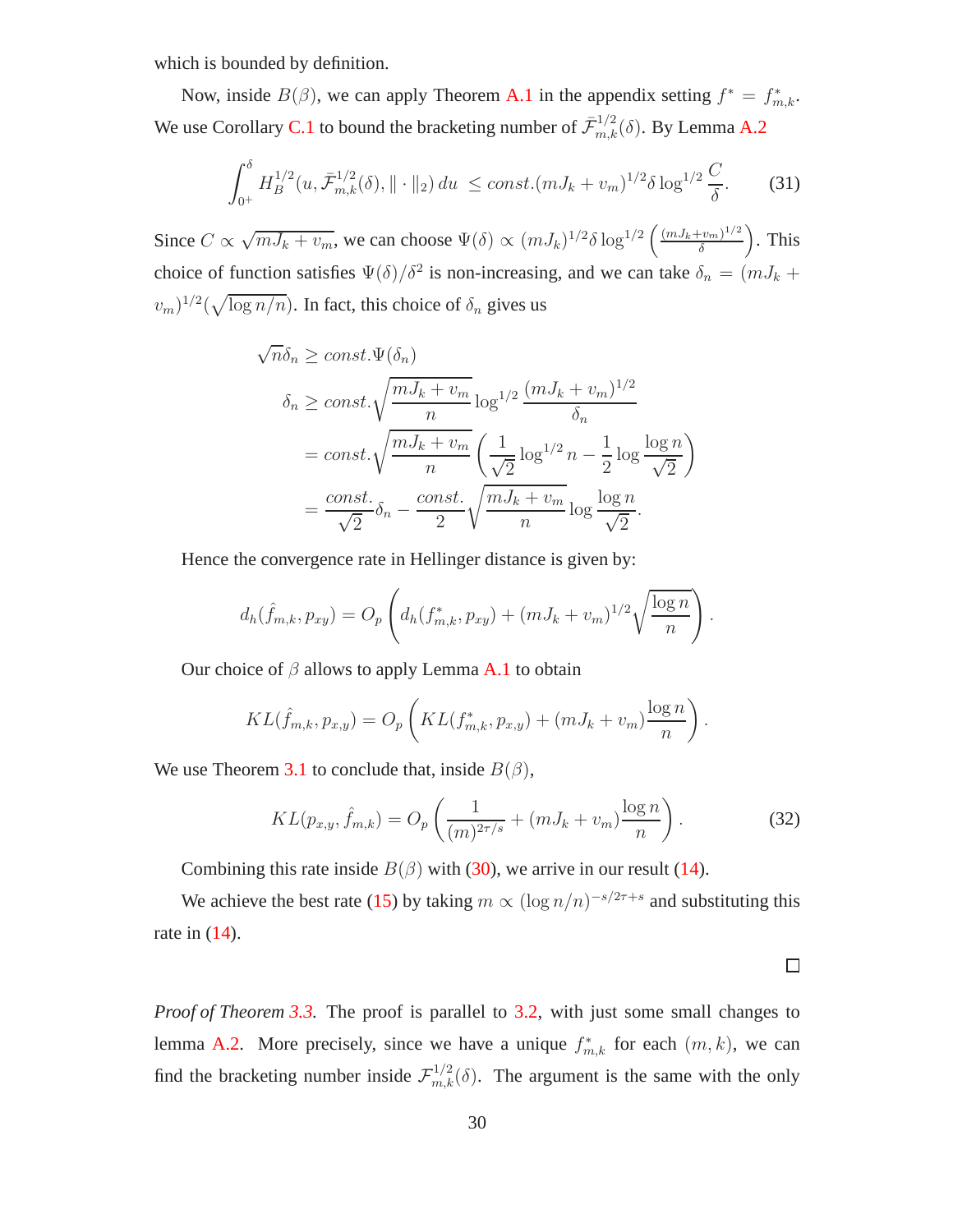which is bounded by definition.

Now, inside  $B(\beta)$ , we can apply Theorem [A.1](#page-24-0) in the appendix setting  $f^* = f^*_{m,k}$ . We use Corollary [C.1](#page-32-1) to bound the bracketing number of  $\bar{\mathcal{F}}_{m,k}^{1/2}(\delta)$ . By Lemma [A.2](#page-23-2)

<span id="page-29-0"></span>
$$
\int_{0^+}^{\delta} H_B^{1/2}(u, \bar{\mathcal{F}}_{m,k}^{1/2}(\delta), \|\cdot\|_2) du \le const. (mJ_k + v_m)^{1/2} \delta \log^{1/2} \frac{C}{\delta}.
$$
 (31)

Since  $C \propto \sqrt{mJ_k + v_m}$ , we can choose  $\Psi(\delta) \propto (mJ_k)^{1/2} \delta \log^{1/2} \left( \frac{(mJ_k + v_m)^{1/2}}{\delta} \right)$ δ . This choice of function satisfies  $\Psi(\delta)/\delta^2$  is non-increasing, and we can take  $\delta_n = (mJ_k + mJ_k)$  $(v_m)^{1/2}(\sqrt{\log n/n})$ . In fact, this choice of  $\delta_n$  gives us

$$
\sqrt{n}\delta_n \ge \text{const.}\Psi(\delta_n)
$$
  

$$
\delta_n \ge \text{const.}\sqrt{\frac{mJ_k + v_m}{n}} \log^{1/2} \frac{(mJ_k + v_m)^{1/2}}{\delta_n}
$$
  

$$
= \text{const.}\sqrt{\frac{mJ_k + v_m}{n}} \left(\frac{1}{\sqrt{2}} \log^{1/2} n - \frac{1}{2} \log \frac{\log n}{\sqrt{2}}\right)
$$
  

$$
= \frac{\text{const.}}{\sqrt{2}} \delta_n - \frac{\text{const.}}{2} \sqrt{\frac{mJ_k + v_m}{n}} \log \frac{\log n}{\sqrt{2}}.
$$

Hence the convergence rate in Hellinger distance is given by:

$$
d_h(\hat{f}_{m,k}, p_{xy}) = O_p\left(d_h(f_{m,k}^*, p_{xy}) + (mJ_k + v_m)^{1/2}\sqrt{\frac{\log n}{n}}\right).
$$

Our choice of  $\beta$  allows to apply Lemma [A.1](#page-21-3) to obtain

$$
KL(\hat{f}_{m,k}, p_{x,y}) = O_p\left(KL(f_{m,k}^*, p_{x,y}) + (mJ_k + v_m)\frac{\log n}{n}\right).
$$

We use Theorem [3.1](#page-11-0) to conclude that, inside  $B(\beta)$ ,

$$
KL(p_{x,y}, \hat{f}_{m,k}) = O_p\left(\frac{1}{(m)^{2\tau/s}} + (mJ_k + v_m)\frac{\log n}{n}\right).
$$
 (32)

Combining this rate inside  $B(\beta)$  with [\(30\)](#page-28-0), we arrive in our result [\(14\)](#page-12-2).

We achieve the best rate [\(15\)](#page-12-0) by taking  $m \propto (\log n/n)^{-s/2\tau+s}$  and substituting this rate in [\(14\)](#page-12-2).

 $\Box$ 

*Proof of Theorem [3.3.](#page-13-1)* The proof is parallel to [3.2,](#page-12-0) with just some small changes to lemma [A.2.](#page-23-2) More precisely, since we have a unique  $f_{m,k}^*$  for each  $(m, k)$ , we can find the bracketing number inside  $\mathcal{F}_{m,k}^{1/2}(\delta)$ . The argument is the same with the only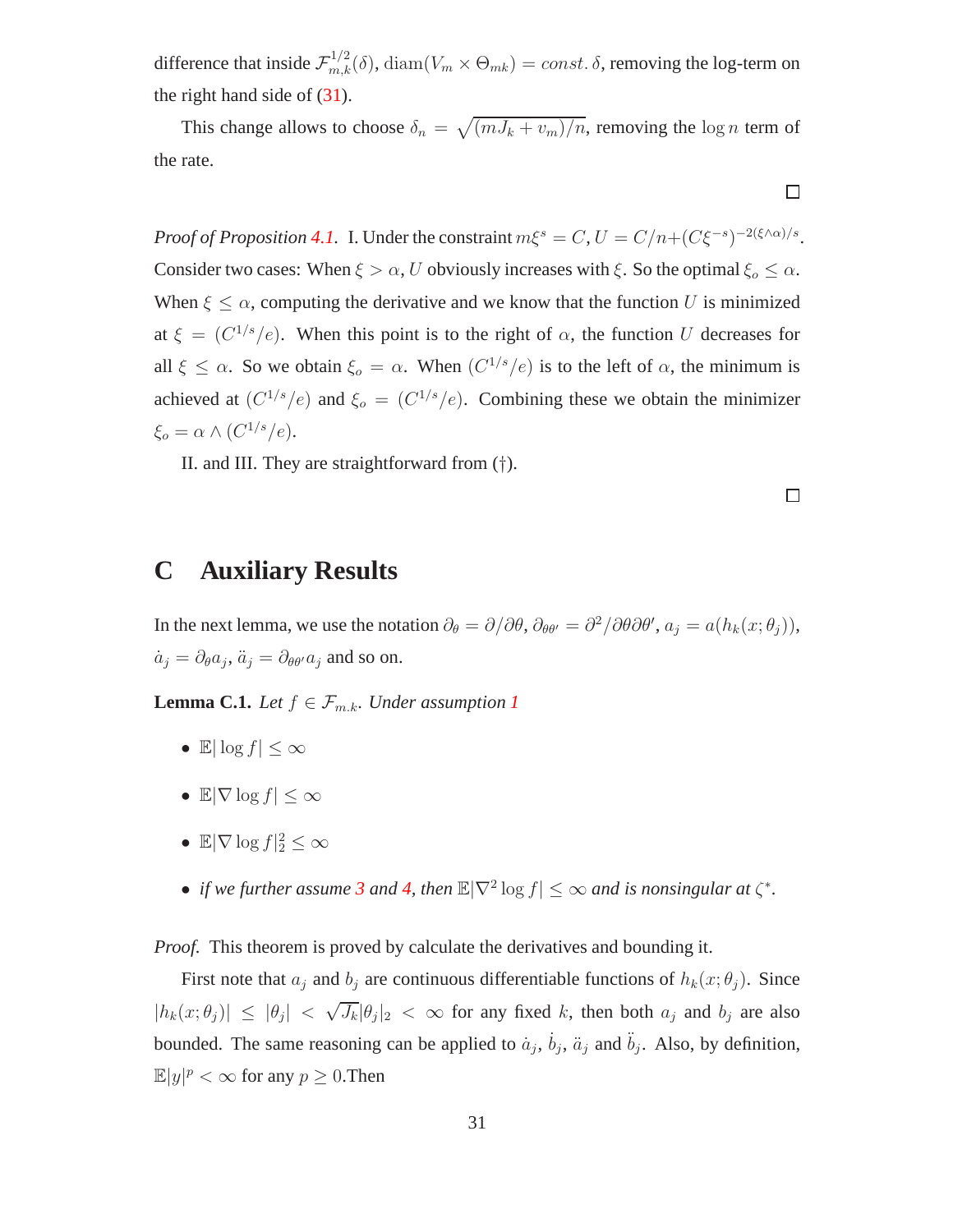difference that inside  $\mathcal{F}^{1/2}_{m,k}(\delta)$ ,  $\text{diam}(V_m \times \Theta_{mk}) = const.$   $\delta$ , removing the log-term on the right hand side of  $(31)$ .

This change allows to choose  $\delta_n = \sqrt{(mJ_k + v_m)/n}$ , removing the log n term of the rate.

 $\Box$ 

*Proof of Proposition [4.1.](#page-14-1)* I. Under the constraint  $m\xi^s = C$ ,  $U = C/n + (C\xi^{-s})^{-2(\xi \wedge \alpha)/s}$ . Consider two cases: When  $\xi > \alpha$ , U obviously increases with  $\xi$ . So the optimal  $\xi_o \leq \alpha$ . When  $\xi \leq \alpha$ , computing the derivative and we know that the function U is minimized at  $\xi = (C^{1/s}/e)$ . When this point is to the right of  $\alpha$ , the function U decreases for all  $\xi \leq \alpha$ . So we obtain  $\xi_o = \alpha$ . When  $(C^{1/s}/e)$  is to the left of  $\alpha$ , the minimum is achieved at  $(C^{1/s}/e)$  and  $\xi_o = (C^{1/s}/e)$ . Combining these we obtain the minimizer  $\xi_o = \alpha \wedge (C^{1/s}/e).$ 

II. and III. They are straightforward from (†).

 $\Box$ 

## **C Auxiliary Results**

<span id="page-30-0"></span>In the next lemma, we use the notation  $\partial_{\theta} = \partial/\partial \theta$ ,  $\partial_{\theta \theta'} = \partial^2/\partial \theta \partial \theta'$ ,  $a_j = a(h_k(x; \theta_j))$ ,  $\dot{a}_j = \partial_\theta a_j, \ddot{a}_j = \partial_{\theta\theta'} a_j$  and so on.

**Lemma C.[1](#page-5-1).** *Let*  $f \in \mathcal{F}_{m,k}$ *. Under assumption 1* 

- E $|\log f| < \infty$
- $\mathbb{E}|\nabla \log f| \leq \infty$
- $\mathbb{E}|\nabla \log f|_2^2 \leq \infty$
- *if we further assume* [3](#page-7-0) *and* [4,](#page-7-1) *then*  $\mathbb{E}|\nabla^2 \log f| \leq \infty$  *and is nonsingular at*  $\zeta^*$ *.*

*Proof.* This theorem is proved by calculate the derivatives and bounding it.

First note that  $a_j$  and  $b_j$  are continuous differentiable functions of  $h_k(x; \theta_j)$ . Since  $|h_k(x; \theta_j)| \leq |\theta_j| < \sqrt{J_k} |\theta_j|_2 < \infty$  for any fixed k, then both  $a_j$  and  $b_j$  are also bounded. The same reasoning can be applied to  $\dot{a}_j$ ,  $\dot{b}_j$ ,  $\ddot{a}_j$  and  $\ddot{b}_j$ . Also, by definition,  $\mathbb{E}|y|^p < \infty$  for any  $p \geq 0$ . Then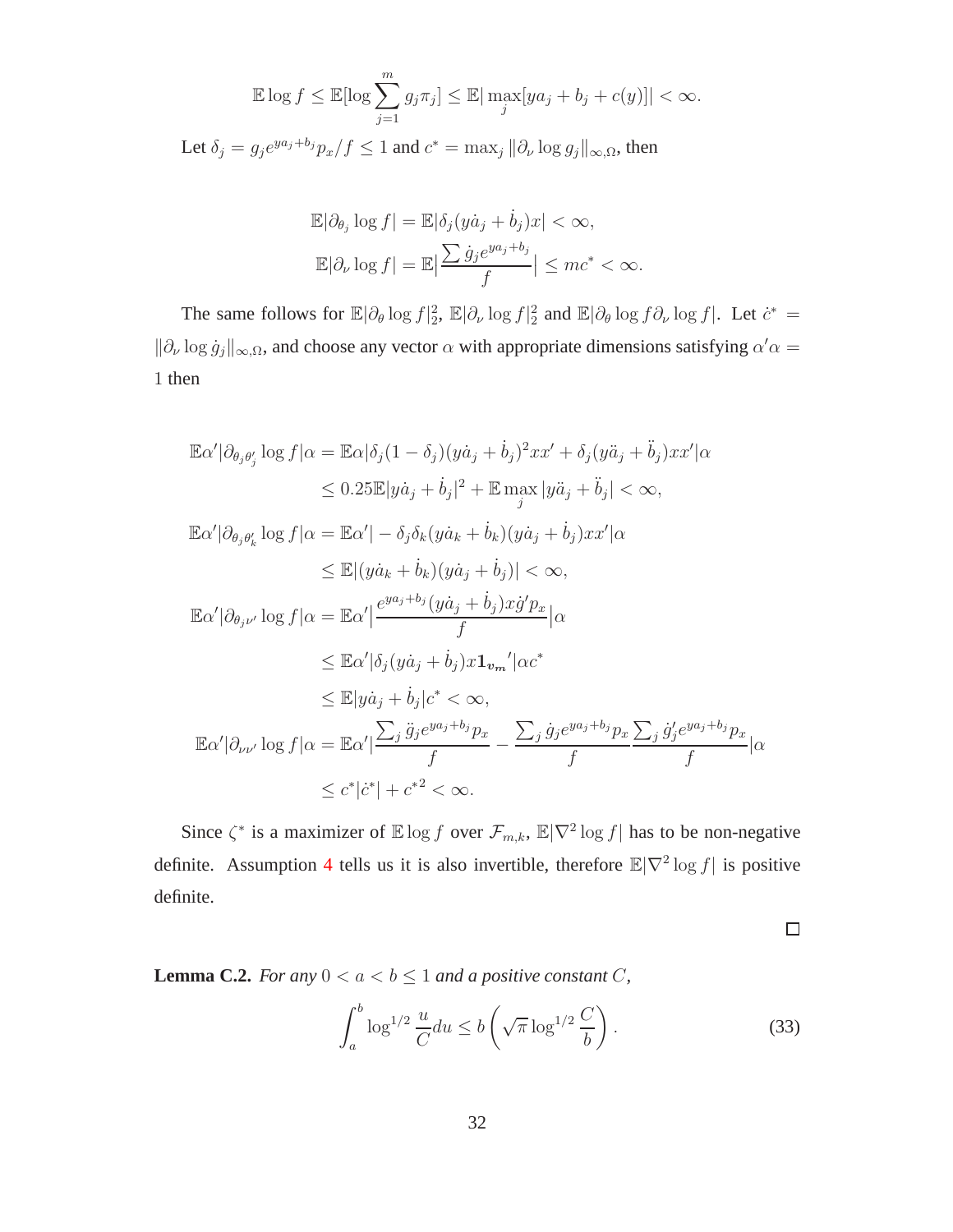$$
\mathbb{E}\log f \le \mathbb{E}[\log \sum_{j=1}^{m} g_j \pi_j] \le \mathbb{E}|\max_j [ya_j + b_j + c(y)]| < \infty.
$$
  
Let  $\delta_j = g_j e^{ya_j + b_j} p_x / f \le 1$  and  $c^* = \max_j ||\partial_\nu \log g_j||_{\infty,\Omega}$ , then

$$
\mathbb{E}|\partial_{\theta_j}\log f| = \mathbb{E}|\delta_j(y\dot{a}_j + \dot{b}_j)x| < \infty,
$$
  

$$
\mathbb{E}|\partial_{\nu}\log f| = \mathbb{E}|\frac{\sum \dot{g}_j e^{ya_j + b_j}}{f}| \le mc^* < \infty.
$$

The same follows for  $\mathbb{E}|\partial_{\theta}\log f|_{2}^{2}$ ,  $\mathbb{E}|\partial_{\nu}\log f|_{2}^{2}$  and  $\mathbb{E}|\partial_{\theta}\log f \partial_{\nu}\log f|$ . Let  $\dot{c}^{*}$  =  $\|\partial_{\nu}\log \dot{g}_j\|_{\infty,\Omega}$ , and choose any vector  $\alpha$  with appropriate dimensions satisfying  $\alpha'\alpha =$ 1 then

$$
\mathbb{E}\alpha'|\partial_{\theta_{j}\theta'_{j}}\log f|\alpha = \mathbb{E}\alpha|\delta_{j}(1-\delta_{j})(y\dot{a}_{j}+\dot{b}_{j})^{2}xx' + \delta_{j}(y\ddot{a}_{j}+\ddot{b}_{j})xx'|\alpha
$$
  
\n
$$
\leq 0.25\mathbb{E}|y\dot{a}_{j}+\dot{b}_{j}|^{2} + \mathbb{E}\max_{j}|y\ddot{a}_{j}+\ddot{b}_{j}| < \infty,
$$
  
\n
$$
\mathbb{E}\alpha'|\partial_{\theta_{j}\theta'_{k}}\log f|\alpha = \mathbb{E}\alpha'|-\delta_{j}\delta_{k}(y\dot{a}_{k}+\dot{b}_{k})(y\dot{a}_{j}+\dot{b}_{j})xx'|\alpha
$$
  
\n
$$
\leq \mathbb{E}|(y\dot{a}_{k}+\dot{b}_{k})(y\dot{a}_{j}+\dot{b}_{j})| < \infty,
$$
  
\n
$$
\mathbb{E}\alpha'|\partial_{\theta_{j}\nu'}\log f|\alpha = \mathbb{E}\alpha'|\frac{e^{ya_{j}+b_{j}}(y\dot{a}_{j}+\dot{b}_{j})x\dot{g}'p_{x}}{f}|\alpha
$$
  
\n
$$
\leq \mathbb{E}\alpha'|\delta_{j}(y\dot{a}_{j}+\dot{b}_{j})x\mathbf{1}_{v_{m}}'|\alpha c^{*}
$$
  
\n
$$
\leq \mathbb{E}|y\dot{a}_{j}+\dot{b}_{j}|c^{*}<\infty,
$$
  
\n
$$
\mathbb{E}\alpha'|\partial_{\nu\nu'}\log f|\alpha = \mathbb{E}\alpha'|\frac{\sum_{j}\ddot{g}_{j}e^{ya_{j}+b_{j}}p_{x}}{f}-\frac{\sum_{j}\dot{g}_{j}e^{ya_{j}+b_{j}}p_{x}}{f}\sum_{j}\dot{g}'_{j}e^{ya_{j}+b_{j}}p_{x}}|\alpha
$$
  
\n
$$
\leq c^{*}|c^{*}|+c^{*2}<\infty.
$$

Since  $\zeta^*$  is a maximizer of  $\mathbb{E} \log f$  over  $\mathcal{F}_{m,k}$ ,  $\mathbb{E} |\nabla^2 \log f|$  has to be non-negative definite. Assumption [4](#page-7-1) tells us it is also invertible, therefore  $\mathbb{E}|\nabla^2 \log f|$  is positive definite.

 $\Box$ 

**Lemma C.2.** *For any*  $0 < a < b \leq 1$  *and a positive constant C*,

<span id="page-31-0"></span>
$$
\int_{a}^{b} \log^{1/2} \frac{u}{C} du \le b \left( \sqrt{\pi} \log^{1/2} \frac{C}{b} \right).
$$
 (33)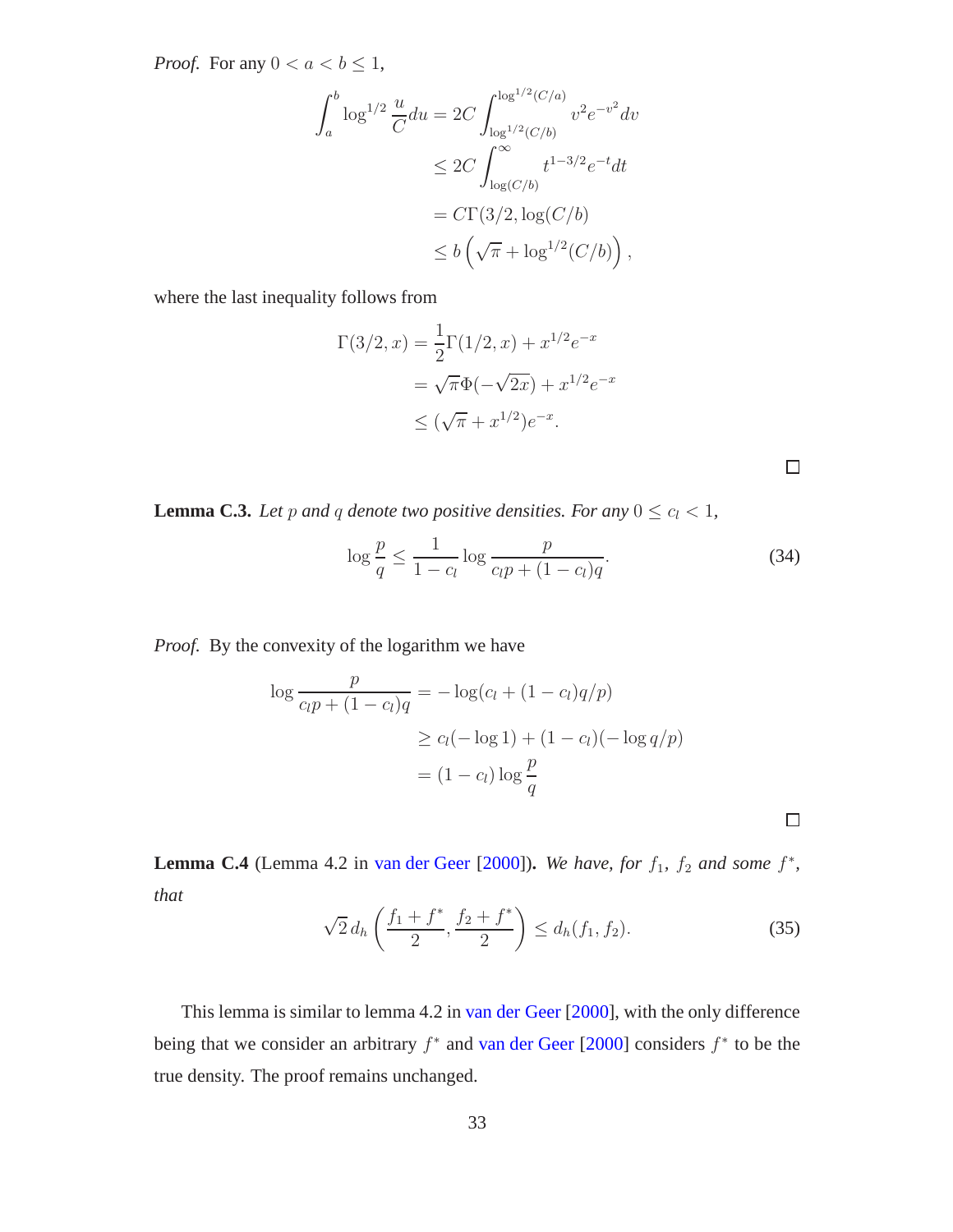*Proof.* For any  $0 < a < b \leq 1$ ,

$$
\int_{a}^{b} \log^{1/2} \frac{u}{C} du = 2C \int_{\log^{1/2}(C/b)}^{\log^{1/2}(C/a)} v^{2} e^{-v^{2}} dv
$$
  
\n
$$
\leq 2C \int_{\log(C/b)}^{\infty} t^{1-3/2} e^{-t} dt
$$
  
\n
$$
= C\Gamma(3/2, \log(C/b))
$$
  
\n
$$
\leq b \left( \sqrt{\pi} + \log^{1/2}(C/b) \right),
$$

where the last inequality follows from

$$
\Gamma(3/2, x) = \frac{1}{2}\Gamma(1/2, x) + x^{1/2}e^{-x}
$$

$$
= \sqrt{\pi}\Phi(-\sqrt{2x}) + x^{1/2}e^{-x}
$$

$$
\leq (\sqrt{\pi} + x^{1/2})e^{-x}.
$$

 $\Box$ 

 $\Box$ 

**Lemma C.3.** *Let* p and q denote two positive densities. For any  $0 \le c_l < 1$ ,

<span id="page-32-0"></span>
$$
\log \frac{p}{q} \le \frac{1}{1 - c_l} \log \frac{p}{c_l p + (1 - c_l) q}.
$$
\n(34)

*Proof.* By the convexity of the logarithm we have

$$
\log \frac{p}{c_l p + (1 - c_l)q} = -\log(c_l + (1 - c_l)q/p)
$$
  
\n
$$
\ge c_l (-\log 1) + (1 - c_l)(-\log q/p)
$$
  
\n
$$
= (1 - c_l)\log \frac{p}{q}
$$

**Lemma C.4** (Lemma 4.2 in [van der Geer](#page-20-10) [\[2000](#page-20-10)]). We have, for  $f_1$ ,  $f_2$  and some  $f^*$ , *that*

<span id="page-32-2"></span>
$$
\sqrt{2} d_h \left( \frac{f_1 + f^*}{2}, \frac{f_2 + f^*}{2} \right) \le d_h(f_1, f_2). \tag{35}
$$

<span id="page-32-1"></span>This lemma is similar to lemma 4.2 in [van der Geer](#page-20-10) [\[2000](#page-20-10)], with the only difference being that we consider an arbitrary  $f^*$  and [van der Geer](#page-20-10) [\[2000\]](#page-20-10) considers  $f^*$  to be the true density. The proof remains unchanged.